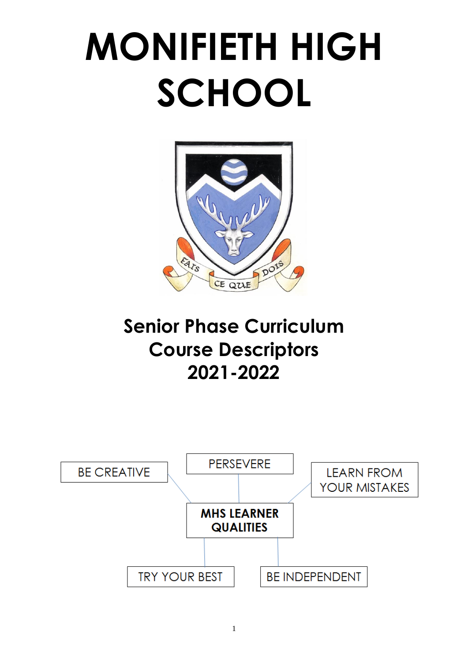# **MONIFIETH HIGH SCHOOL**



# **Senior Phase Curriculum Course Descriptors 2021-2022**

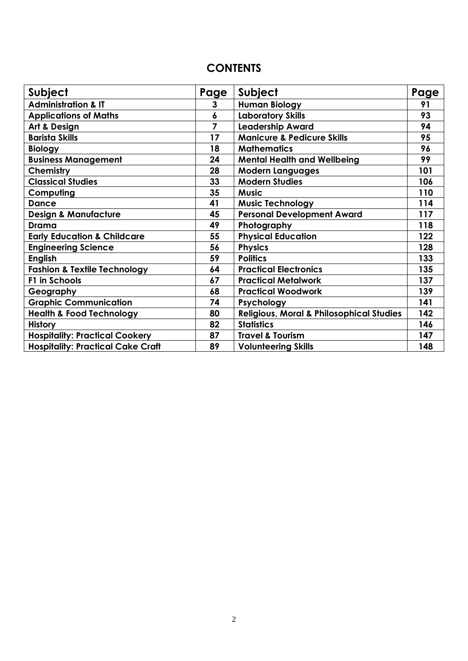# **CONTENTS**

| Subject                                  | Page | Subject                                             | Page |
|------------------------------------------|------|-----------------------------------------------------|------|
| <b>Administration &amp; IT</b>           | 3    | <b>Human Biology</b>                                | 91   |
| <b>Applications of Maths</b>             | 6    | <b>Laboratory Skills</b>                            | 93   |
| Art & Design                             | 7    | <b>Leadership Award</b>                             | 94   |
| <b>Barista Skills</b>                    | 17   | <b>Manicure &amp; Pedicure Skills</b>               | 95   |
| <b>Biology</b>                           | 18   | <b>Mathematics</b>                                  | 96   |
| <b>Business Management</b>               | 24   | <b>Mental Health and Wellbeing</b>                  | 99   |
| Chemistry                                | 28   | <b>Modern Languages</b>                             | 101  |
| <b>Classical Studies</b>                 | 33   | <b>Modern Studies</b>                               | 106  |
| Computing                                | 35   | <b>Music</b>                                        | 110  |
| <b>Dance</b>                             | 41   | <b>Music Technology</b>                             | 114  |
| <b>Design &amp; Manufacture</b>          | 45   | <b>Personal Development Award</b>                   | 117  |
| <b>Drama</b>                             | 49   | Photography                                         | 118  |
| <b>Early Education &amp; Childcare</b>   | 55   | <b>Physical Education</b>                           | 122  |
| <b>Engineering Science</b>               | 56   | <b>Physics</b>                                      | 128  |
| <b>English</b>                           | 59   | <b>Politics</b>                                     | 133  |
| <b>Fashion &amp; Textile Technology</b>  | 64   | <b>Practical Electronics</b>                        | 135  |
| F1 in Schools                            | 67   | <b>Practical Metalwork</b>                          | 137  |
| Geography                                | 68   | <b>Practical Woodwork</b>                           | 139  |
| <b>Graphic Communication</b>             | 74   | Psychology                                          | 141  |
| <b>Health &amp; Food Technology</b>      | 80   | <b>Religious, Moral &amp; Philosophical Studies</b> | 142  |
| <b>History</b>                           | 82   | <b>Statistics</b>                                   | 146  |
| <b>Hospitality: Practical Cookery</b>    | 87   | <b>Travel &amp; Tourism</b>                         | 147  |
| <b>Hospitality: Practical Cake Craft</b> | 89   | <b>Volunteering Skills</b>                          | 148  |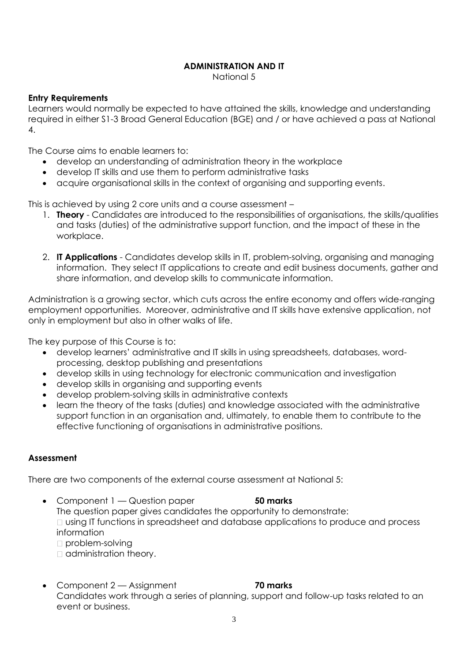#### **ADMINISTRATION AND IT**

National 5

#### **Entry Requirements**

Learners would normally be expected to have attained the skills, knowledge and understanding required in either S1-3 Broad General Education (BGE) and / or have achieved a pass at National 4.

The Course aims to enable learners to:

- develop an understanding of administration theory in the workplace
- develop IT skills and use them to perform administrative tasks
- acquire organisational skills in the context of organising and supporting events.

This is achieved by using 2 core units and a course assessment –

- 1. **Theory**  Candidates are introduced to the responsibilities of organisations, the skills/qualities and tasks (duties) of the administrative support function, and the impact of these in the workplace.
- 2. **IT Applications** Candidates develop skills in IT, problem-solving, organising and managing information. They select IT applications to create and edit business documents, gather and share information, and develop skills to communicate information.

Administration is a growing sector, which cuts across the entire economy and offers wide-ranging employment opportunities. Moreover, administrative and IT skills have extensive application, not only in employment but also in other walks of life.

The key purpose of this Course is to:

- develop learners' administrative and IT skills in using spreadsheets, databases, wordprocessing, desktop publishing and presentations
- develop skills in using technology for electronic communication and investigation
- develop skills in organising and supporting events
- develop problem-solving skills in administrative contexts
- learn the theory of the tasks (duties) and knowledge associated with the administrative support function in an organisation and, ultimately, to enable them to contribute to the effective functioning of organisations in administrative positions.

#### **Assessment**

There are two components of the external course assessment at National 5:

• Component 1 — Question paper **50 marks** The question paper gives candidates the opportunity to demonstrate: □ using IT functions in spreadsheet and database applications to produce and process information

□ problem-solving

 $\Box$  administration theory.

• Component 2 — Assignment **70 marks** Candidates work through a series of planning, support and follow-up tasks related to an event or business.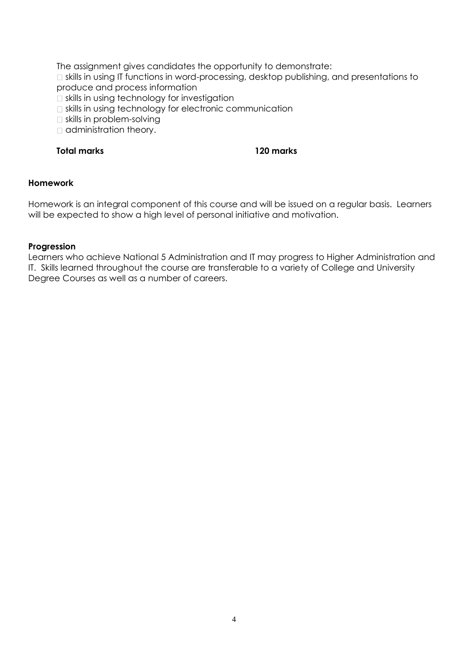The assignment gives candidates the opportunity to demonstrate:

□ skills in using IT functions in word-processing, desktop publishing, and presentations to produce and process information

 $\Box$  skills in using technology for investigation

- □ skills in using technology for electronic communication
- □ skills in problem-solving
- $\Box$  administration theory.

#### **Total marks 120 marks**

#### **Homework**

Homework is an integral component of this course and will be issued on a regular basis. Learners will be expected to show a high level of personal initiative and motivation.

#### **Progression**

Learners who achieve National 5 Administration and IT may progress to Higher Administration and IT. Skills learned throughout the course are transferable to a variety of College and University Degree Courses as well as a number of careers.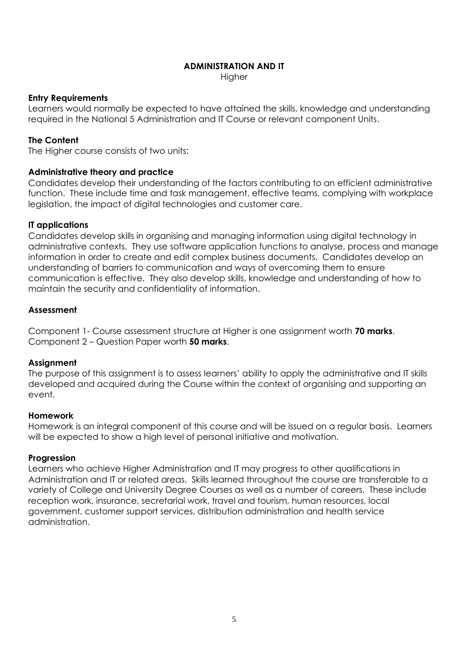#### **ADMINISTRATION AND IT**

**Higher** 

#### **Entry Requirements**

Learners would normally be expected to have attained the skills, knowledge and understanding required in the National 5 Administration and IT Course or relevant component Units.

#### **The Content**

The Higher course consists of two units:

#### **Administrative theory and practice**

Candidates develop their understanding of the factors contributing to an efficient administrative function. These include time and task management, effective teams, complying with workplace legislation, the impact of digital technologies and customer care.

#### **IT applications**

Candidates develop skills in organising and managing information using digital technology in administrative contexts. They use software application functions to analyse, process and manage information in order to create and edit complex business documents. Candidates develop an understanding of barriers to communication and ways of overcoming them to ensure communication is effective. They also develop skills, knowledge and understanding of how to maintain the security and confidentiality of information.

#### **Assessment**

Component 1- Course assessment structure at Higher is one assignment worth **70 marks**. Component 2 – Question Paper worth **50 marks**.

#### **Assignment**

The purpose of this assignment is to assess learners' ability to apply the administrative and IT skills developed and acquired during the Course within the context of organising and supporting an event.

#### **Homework**

Homework is an integral component of this course and will be issued on a regular basis. Learners will be expected to show a high level of personal initiative and motivation.

#### **Progression**

Learners who achieve Higher Administration and IT may progress to other qualifications in Administration and IT or related areas. Skills learned throughout the course are transferable to a variety of College and University Degree Courses as well as a number of careers. These include reception work, insurance, secretarial work, travel and tourism, human resources, local government, customer support services, distribution administration and health service administration.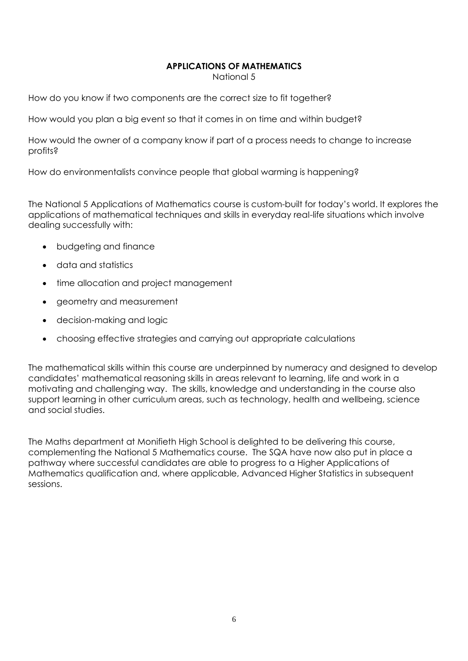#### **APPLICATIONS OF MATHEMATICS**

National 5

How do you know if two components are the correct size to fit together?

How would you plan a big event so that it comes in on time and within budget?

How would the owner of a company know if part of a process needs to change to increase profits?

How do environmentalists convince people that global warming is happening?

The National 5 Applications of Mathematics course is custom-built for today's world. It explores the applications of mathematical techniques and skills in everyday real-life situations which involve dealing successfully with:

- budgeting and finance
- data and statistics
- time allocation and project management
- geometry and measurement
- decision-making and logic
- choosing effective strategies and carrying out appropriate calculations

The mathematical skills within this course are underpinned by numeracy and designed to develop candidates' mathematical reasoning skills in areas relevant to learning, life and work in a motivating and challenging way. The skills, knowledge and understanding in the course also support learning in other curriculum areas, such as technology, health and wellbeing, science and social studies.

The Maths department at Monifieth High School is delighted to be delivering this course, complementing the National 5 Mathematics course. The SQA have now also put in place a pathway where successful candidates are able to progress to a Higher Applications of Mathematics qualification and, where applicable, Advanced Higher Statistics in subsequent sessions.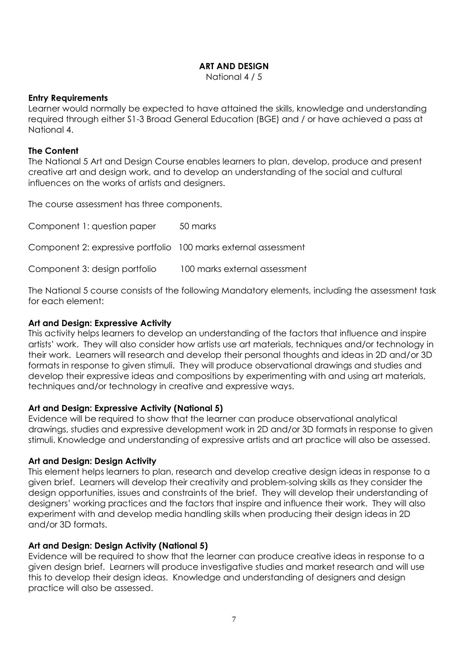#### **ART AND DESIGN**

National 4 / 5

#### **Entry Requirements**

Learner would normally be expected to have attained the skills, knowledge and understanding required through either S1-3 Broad General Education (BGE) and / or have achieved a pass at National 4.

#### **The Content**

The National 5 Art and Design Course enables learners to plan, develop, produce and present creative art and design work, and to develop an understanding of the social and cultural influences on the works of artists and designers.

The course assessment has three components.

| Component 1: question paper                                     | 50 marks                      |
|-----------------------------------------------------------------|-------------------------------|
| Component 2: expressive portfolio 100 marks external assessment |                               |
| Component 3: design portfolio                                   | 100 marks external assessment |

The National 5 course consists of the following Mandatory elements, including the assessment task for each element:

#### **Art and Design: Expressive Activity**

This activity helps learners to develop an understanding of the factors that influence and inspire artists' work. They will also consider how artists use art materials, techniques and/or technology in their work. Learners will research and develop their personal thoughts and ideas in 2D and/or 3D formats in response to given stimuli. They will produce observational drawings and studies and develop their expressive ideas and compositions by experimenting with and using art materials, techniques and/or technology in creative and expressive ways.

#### **Art and Design: Expressive Activity (National 5)**

Evidence will be required to show that the learner can produce observational analytical drawings, studies and expressive development work in 2D and/or 3D formats in response to given stimuli. Knowledge and understanding of expressive artists and art practice will also be assessed.

#### **Art and Design: Design Activity**

This element helps learners to plan, research and develop creative design ideas in response to a given brief. Learners will develop their creativity and problem-solving skills as they consider the design opportunities, issues and constraints of the brief. They will develop their understanding of designers' working practices and the factors that inspire and influence their work. They will also experiment with and develop media handling skills when producing their design ideas in 2D and/or 3D formats.

#### **Art and Design: Design Activity (National 5)**

Evidence will be required to show that the learner can produce creative ideas in response to a given design brief. Learners will produce investigative studies and market research and will use this to develop their design ideas. Knowledge and understanding of designers and design practice will also be assessed.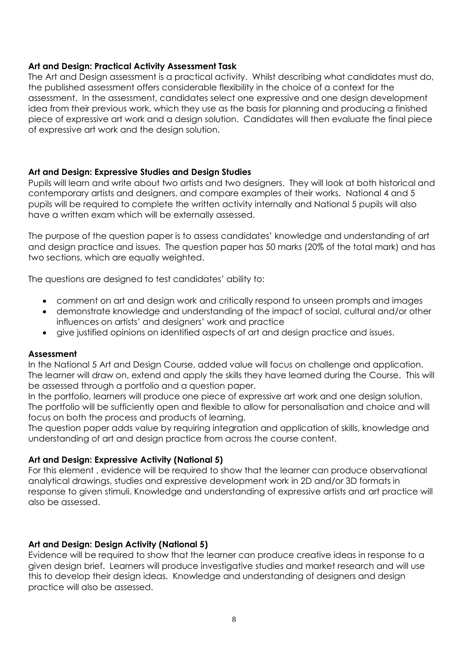#### **Art and Design: Practical Activity Assessment Task**

The Art and Design assessment is a practical activity. Whilst describing what candidates must do, the published assessment offers considerable flexibility in the choice of a context for the assessment. In the assessment, candidates select one expressive and one design development idea from their previous work, which they use as the basis for planning and producing a finished piece of expressive art work and a design solution. Candidates will then evaluate the final piece of expressive art work and the design solution.

#### **Art and Design: Expressive Studies and Design Studies**

Pupils will learn and write about two artists and two designers. They will look at both historical and contemporary artists and designers, and compare examples of their works. National 4 and 5 pupils will be required to complete the written activity internally and National 5 pupils will also have a written exam which will be externally assessed.

The purpose of the question paper is to assess candidates' knowledge and understanding of art and design practice and issues. The question paper has 50 marks (20% of the total mark) and has two sections, which are equally weighted.

The questions are designed to test candidates' ability to:

- comment on art and design work and critically respond to unseen prompts and images
- demonstrate knowledge and understanding of the impact of social, cultural and/or other influences on artists' and designers' work and practice
- give justified opinions on identified aspects of art and design practice and issues.

#### **Assessment**

In the National 5 Art and Design Course, added value will focus on challenge and application. The learner will draw on, extend and apply the skills they have learned during the Course. This will be assessed through a portfolio and a question paper.

In the portfolio, learners will produce one piece of expressive art work and one design solution. The portfolio will be sufficiently open and flexible to allow for personalisation and choice and will focus on both the process and products of learning.

The question paper adds value by requiring integration and application of skills, knowledge and understanding of art and design practice from across the course content.

#### **Art and Design: Expressive Activity (National 5)**

For this element , evidence will be required to show that the learner can produce observational analytical drawings, studies and expressive development work in 2D and/or 3D formats in response to given stimuli. Knowledge and understanding of expressive artists and art practice will also be assessed.

#### **Art and Design: Design Activity (National 5)**

Evidence will be required to show that the learner can produce creative ideas in response to a given design brief. Learners will produce investigative studies and market research and will use this to develop their design ideas. Knowledge and understanding of designers and design practice will also be assessed.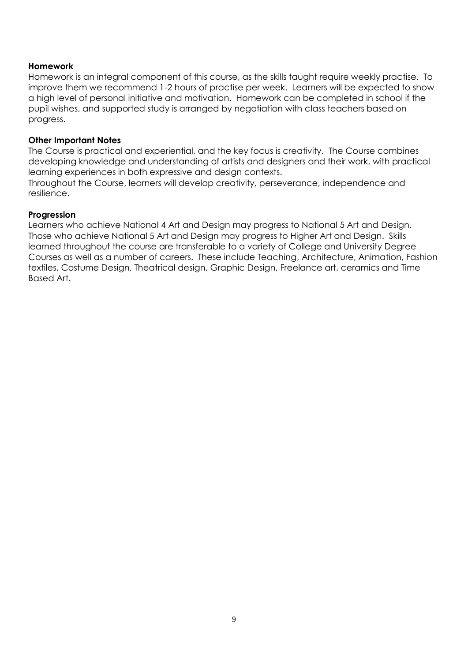#### **Homework**

Homework is an integral component of this course, as the skills taught require weekly practise. To improve them we recommend 1-2 hours of practise per week. Learners will be expected to show a high level of personal initiative and motivation. Homework can be completed in school if the pupil wishes, and supported study is arranged by negotiation with class teachers based on progress.

#### **Other Important Notes**

The Course is practical and experiential, and the key focus is creativity. The Course combines developing knowledge and understanding of artists and designers and their work, with practical learning experiences in both expressive and design contexts.

Throughout the Course, learners will develop creativity, perseverance, independence and resilience.

#### **Progression**

Learners who achieve National 4 Art and Design may progress to National 5 Art and Design. Those who achieve National 5 Art and Design may progress to Higher Art and Design. Skills learned throughout the course are transferable to a variety of College and University Degree Courses as well as a number of careers. These include Teaching, Architecture, Animation, Fashion textiles, Costume Design, Theatrical design, Graphic Design, Freelance art, ceramics and Time Based Art.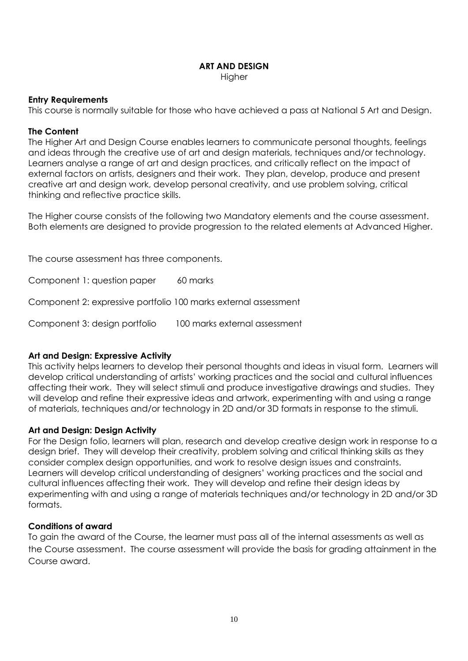# **ART AND DESIGN**

**Higher** 

#### **Entry Requirements**

This course is normally suitable for those who have achieved a pass at National 5 Art and Design.

#### **The Content**

The Higher Art and Design Course enables learners to communicate personal thoughts, feelings and ideas through the creative use of art and design materials, techniques and/or technology. Learners analyse a range of art and design practices, and critically reflect on the impact of external factors on artists, designers and their work. They plan, develop, produce and present creative art and design work, develop personal creativity, and use problem solving, critical thinking and reflective practice skills.

The Higher course consists of the following two Mandatory elements and the course assessment. Both elements are designed to provide progression to the related elements at Advanced Higher.

The course assessment has three components.

Component 1: question paper 60 marks Component 2: expressive portfolio 100 marks external assessment

Component 3: design portfolio 100 marks external assessment

#### **Art and Design: Expressive Activity**

This activity helps learners to develop their personal thoughts and ideas in visual form. Learners will develop critical understanding of artists' working practices and the social and cultural influences affecting their work. They will select stimuli and produce investigative drawings and studies. They will develop and refine their expressive ideas and artwork, experimenting with and using a range of materials, techniques and/or technology in 2D and/or 3D formats in response to the stimuli.

#### **Art and Design: Design Activity**

For the Design folio, learners will plan, research and develop creative design work in response to a design brief. They will develop their creativity, problem solving and critical thinking skills as they consider complex design opportunities, and work to resolve design issues and constraints. Learners will develop critical understanding of designers' working practices and the social and cultural influences affecting their work. They will develop and refine their design ideas by experimenting with and using a range of materials techniques and/or technology in 2D and/or 3D formats.

#### **Conditions of award**

To gain the award of the Course, the learner must pass all of the internal assessments as well as the Course assessment. The course assessment will provide the basis for grading attainment in the Course award.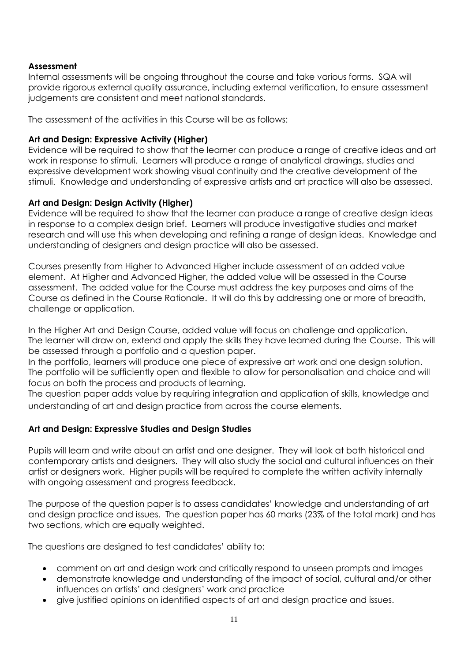#### **Assessment**

Internal assessments will be ongoing throughout the course and take various forms. SQA will provide rigorous external quality assurance, including external verification, to ensure assessment judgements are consistent and meet national standards.

The assessment of the activities in this Course will be as follows:

#### **Art and Design: Expressive Activity (Higher)**

Evidence will be required to show that the learner can produce a range of creative ideas and art work in response to stimuli. Learners will produce a range of analytical drawings, studies and expressive development work showing visual continuity and the creative development of the stimuli. Knowledge and understanding of expressive artists and art practice will also be assessed.

#### **Art and Design: Design Activity (Higher)**

Evidence will be required to show that the learner can produce a range of creative design ideas in response to a complex design brief. Learners will produce investigative studies and market research and will use this when developing and refining a range of design ideas. Knowledge and understanding of designers and design practice will also be assessed.

Courses presently from Higher to Advanced Higher include assessment of an added value element. At Higher and Advanced Higher, the added value will be assessed in the Course assessment. The added value for the Course must address the key purposes and aims of the Course as defined in the Course Rationale. It will do this by addressing one or more of breadth, challenge or application.

In the Higher Art and Design Course, added value will focus on challenge and application. The learner will draw on, extend and apply the skills they have learned during the Course. This will be assessed through a portfolio and a question paper.

In the portfolio, learners will produce one piece of expressive art work and one design solution. The portfolio will be sufficiently open and flexible to allow for personalisation and choice and will focus on both the process and products of learning.

The question paper adds value by requiring integration and application of skills, knowledge and understanding of art and design practice from across the course elements.

#### **Art and Design: Expressive Studies and Design Studies**

Pupils will learn and write about an artist and one designer. They will look at both historical and contemporary artists and designers. They will also study the social and cultural influences on their artist or designers work. Higher pupils will be required to complete the written activity internally with ongoing assessment and progress feedback.

The purpose of the question paper is to assess candidates' knowledge and understanding of art and design practice and issues. The question paper has 60 marks (23% of the total mark) and has two sections, which are equally weighted.

The questions are designed to test candidates' ability to:

- comment on art and design work and critically respond to unseen prompts and images
- demonstrate knowledge and understanding of the impact of social, cultural and/or other influences on artists' and designers' work and practice
- give justified opinions on identified aspects of art and design practice and issues.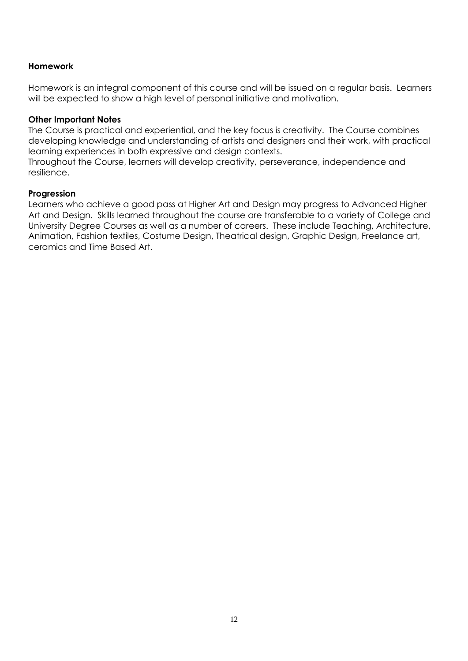#### **Homework**

Homework is an integral component of this course and will be issued on a regular basis. Learners will be expected to show a high level of personal initiative and motivation.

#### **Other Important Notes**

The Course is practical and experiential, and the key focus is creativity. The Course combines developing knowledge and understanding of artists and designers and their work, with practical learning experiences in both expressive and design contexts.

Throughout the Course, learners will develop creativity, perseverance, independence and resilience.

#### **Progression**

Learners who achieve a good pass at Higher Art and Design may progress to Advanced Higher Art and Design. Skills learned throughout the course are transferable to a variety of College and University Degree Courses as well as a number of careers. These include Teaching, Architecture, Animation, Fashion textiles, Costume Design, Theatrical design, Graphic Design, Freelance art, ceramics and Time Based Art.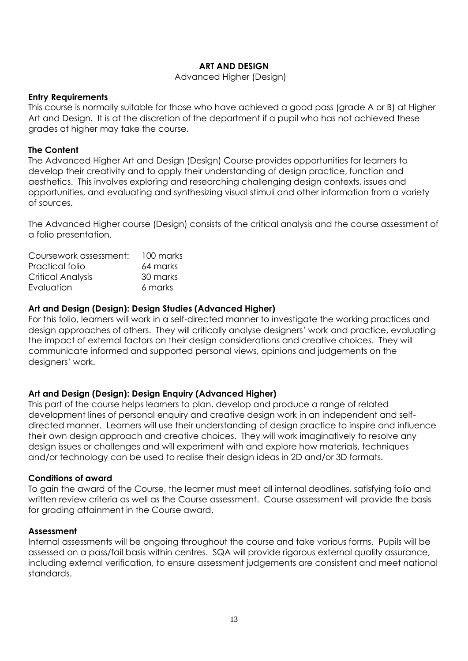#### **ART AND DESIGN**

#### Advanced Higher (Design)

#### **Entry Requirements**

This course is normally suitable for those who have achieved a good pass (grade A or B) at Higher Art and Design. It is at the discretion of the department if a pupil who has not achieved these grades at higher may take the course.

#### **The Content**

The Advanced Higher Art and Design (Design) Course provides opportunities for learners to develop their creativity and to apply their understanding of design practice, function and aesthetics. This involves exploring and researching challenging design contexts, issues and opportunities, and evaluating and synthesizing visual stimuli and other information from a variety of sources.

The Advanced Higher course (Design) consists of the critical analysis and the course assessment of a folio presentation.

| Coursework assessment:   | 100 marks |
|--------------------------|-----------|
| Practical folio          | 64 marks  |
| <b>Critical Analysis</b> | 30 marks  |
| Evaluation               | 6 marks   |

#### **Art and Design (Design): Design Studies (Advanced Higher)**

For this folio, learners will work in a self-directed manner to investigate the working practices and design approaches of others. They will critically analyse designers' work and practice, evaluating the impact of external factors on their design considerations and creative choices. They will communicate informed and supported personal views, opinions and judgements on the designers' work.

#### **Art and Design (Design): Design Enquiry (Advanced Higher)**

This part of the course helps learners to plan, develop and produce a range of related development lines of personal enquiry and creative design work in an independent and selfdirected manner. Learners will use their understanding of design practice to inspire and influence their own design approach and creative choices. They will work imaginatively to resolve any design issues or challenges and will experiment with and explore how materials, techniques and/or technology can be used to realise their design ideas in 2D and/or 3D formats.

#### **Conditions of award**

To gain the award of the Course, the learner must meet all internal deadlines, satisfying folio and written review criteria as well as the Course assessment. Course assessment will provide the basis for grading attainment in the Course award.

#### **Assessment**

Internal assessments will be ongoing throughout the course and take various forms. Pupils will be assessed on a pass/fail basis within centres. SQA will provide rigorous external quality assurance, including external verification, to ensure assessment judgements are consistent and meet national standards.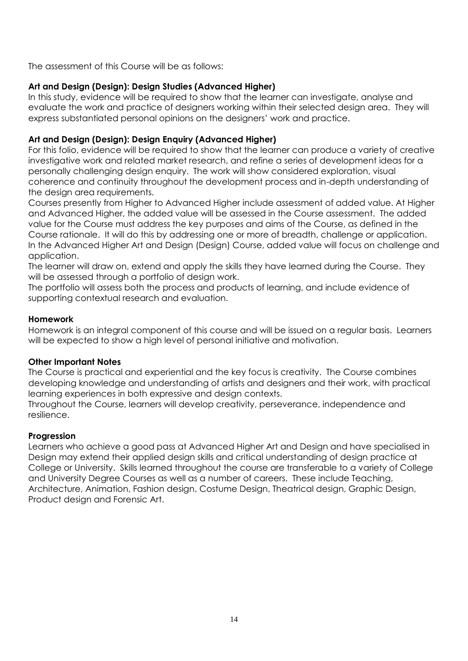The assessment of this Course will be as follows:

#### **Art and Design (Design): Design Studies (Advanced Higher)**

In this study, evidence will be required to show that the learner can investigate, analyse and evaluate the work and practice of designers working within their selected design area. They will express substantiated personal opinions on the designers' work and practice.

#### **Art and Design (Design): Design Enquiry (Advanced Higher)**

For this folio, evidence will be required to show that the learner can produce a variety of creative investigative work and related market research, and refine a series of development ideas for a personally challenging design enquiry. The work will show considered exploration, visual coherence and continuity throughout the development process and in-depth understanding of the design area requirements.

Courses presently from Higher to Advanced Higher include assessment of added value. At Higher and Advanced Higher, the added value will be assessed in the Course assessment. The added value for the Course must address the key purposes and aims of the Course, as defined in the Course rationale. It will do this by addressing one or more of breadth, challenge or application. In the Advanced Higher Art and Design (Design) Course, added value will focus on challenge and application.

The learner will draw on, extend and apply the skills they have learned during the Course. They will be assessed through a portfolio of design work.

The portfolio will assess both the process and products of learning, and include evidence of supporting contextual research and evaluation.

#### **Homework**

Homework is an integral component of this course and will be issued on a regular basis. Learners will be expected to show a high level of personal initiative and motivation.

#### **Other Important Notes**

The Course is practical and experiential and the key focus is creativity. The Course combines developing knowledge and understanding of artists and designers and their work, with practical learning experiences in both expressive and design contexts.

Throughout the Course, learners will develop creativity, perseverance, independence and resilience.

#### **Progression**

Learners who achieve a good pass at Advanced Higher Art and Design and have specialised in Design may extend their applied design skills and critical understanding of design practice at College or University. Skills learned throughout the course are transferable to a variety of College and University Degree Courses as well as a number of careers. These include Teaching, Architecture, Animation, Fashion design, Costume Design, Theatrical design, Graphic Design, Product design and Forensic Art.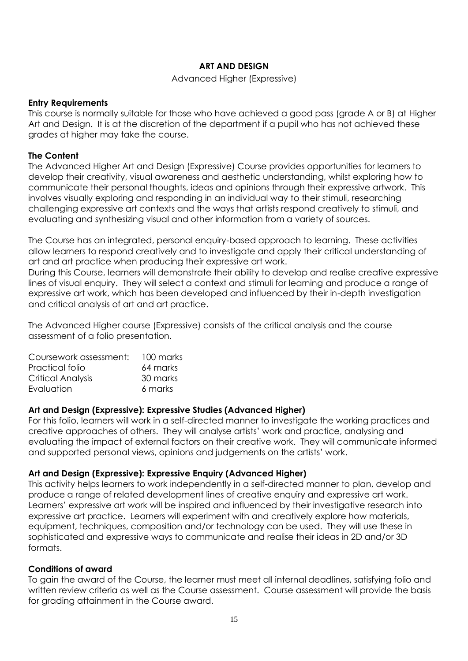#### **ART AND DESIGN**

#### Advanced Higher (Expressive)

#### **Entry Requirements**

This course is normally suitable for those who have achieved a good pass (grade A or B) at Higher Art and Design. It is at the discretion of the department if a pupil who has not achieved these grades at higher may take the course.

#### **The Content**

The Advanced Higher Art and Design (Expressive) Course provides opportunities for learners to develop their creativity, visual awareness and aesthetic understanding, whilst exploring how to communicate their personal thoughts, ideas and opinions through their expressive artwork. This involves visually exploring and responding in an individual way to their stimuli, researching challenging expressive art contexts and the ways that artists respond creatively to stimuli, and evaluating and synthesizing visual and other information from a variety of sources.

The Course has an integrated, personal enquiry-based approach to learning. These activities allow learners to respond creatively and to investigate and apply their critical understanding of art and art practice when producing their expressive art work.

During this Course, learners will demonstrate their ability to develop and realise creative expressive lines of visual enquiry. They will select a context and stimuli for learning and produce a range of expressive art work, which has been developed and influenced by their in-depth investigation and critical analysis of art and art practice.

The Advanced Higher course (Expressive) consists of the critical analysis and the course assessment of a folio presentation.

| 100 marks |
|-----------|
| 64 marks  |
| 30 marks  |
| 6 marks   |
|           |

#### **Art and Design (Expressive): Expressive Studies (Advanced Higher)**

For this folio, learners will work in a self-directed manner to investigate the working practices and creative approaches of others. They will analyse artists' work and practice, analysing and evaluating the impact of external factors on their creative work. They will communicate informed and supported personal views, opinions and judgements on the artists' work.

#### **Art and Design (Expressive): Expressive Enquiry (Advanced Higher)**

This activity helps learners to work independently in a self-directed manner to plan, develop and produce a range of related development lines of creative enquiry and expressive art work. Learners' expressive art work will be inspired and influenced by their investigative research into expressive art practice. Learners will experiment with and creatively explore how materials, equipment, techniques, composition and/or technology can be used. They will use these in sophisticated and expressive ways to communicate and realise their ideas in 2D and/or 3D formats.

#### **Conditions of award**

To gain the award of the Course, the learner must meet all internal deadlines, satisfying folio and written review criteria as well as the Course assessment. Course assessment will provide the basis for grading attainment in the Course award.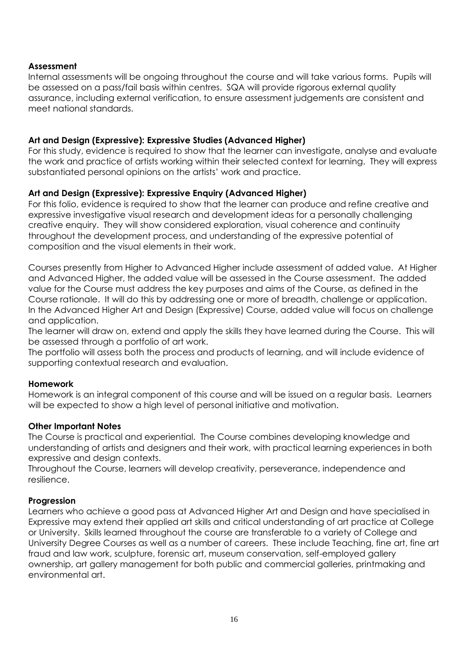#### **Assessment**

Internal assessments will be ongoing throughout the course and will take various forms. Pupils will be assessed on a pass/fail basis within centres. SQA will provide rigorous external quality assurance, including external verification, to ensure assessment judgements are consistent and meet national standards.

#### **Art and Design (Expressive): Expressive Studies (Advanced Higher)**

For this study, evidence is required to show that the learner can investigate, analyse and evaluate the work and practice of artists working within their selected context for learning. They will express substantiated personal opinions on the artists' work and practice.

#### **Art and Design (Expressive): Expressive Enquiry (Advanced Higher)**

For this folio, evidence is required to show that the learner can produce and refine creative and expressive investigative visual research and development ideas for a personally challenging creative enquiry. They will show considered exploration, visual coherence and continuity throughout the development process, and understanding of the expressive potential of composition and the visual elements in their work.

Courses presently from Higher to Advanced Higher include assessment of added value. At Higher and Advanced Higher, the added value will be assessed in the Course assessment. The added value for the Course must address the key purposes and aims of the Course, as defined in the Course rationale. It will do this by addressing one or more of breadth, challenge or application. In the Advanced Higher Art and Design (Expressive) Course, added value will focus on challenge and application.

The learner will draw on, extend and apply the skills they have learned during the Course. This will be assessed through a portfolio of art work.

The portfolio will assess both the process and products of learning, and will include evidence of supporting contextual research and evaluation.

#### **Homework**

Homework is an integral component of this course and will be issued on a regular basis. Learners will be expected to show a high level of personal initiative and motivation.

#### **Other Important Notes**

The Course is practical and experiential. The Course combines developing knowledge and understanding of artists and designers and their work, with practical learning experiences in both expressive and design contexts.

Throughout the Course, learners will develop creativity, perseverance, independence and resilience.

#### **Progression**

Learners who achieve a good pass at Advanced Higher Art and Design and have specialised in Expressive may extend their applied art skills and critical understanding of art practice at College or University. Skills learned throughout the course are transferable to a variety of College and University Degree Courses as well as a number of careers. These include Teaching, fine art, fine art fraud and law work, sculpture, forensic art, museum conservation, self-employed gallery ownership, art gallery management for both public and commercial galleries, printmaking and environmental art.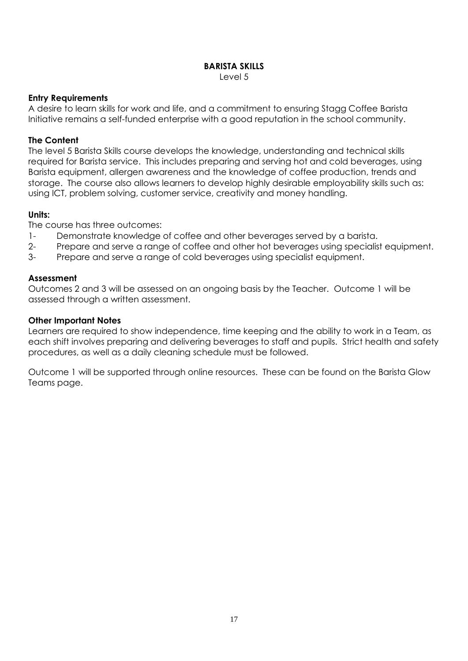### **BARISTA SKILLS**

Level 5

#### **Entry Requirements**

A desire to learn skills for work and life, and a commitment to ensuring Stagg Coffee Barista Initiative remains a self-funded enterprise with a good reputation in the school community.

#### **The Content**

The level 5 Barista Skills course develops the knowledge, understanding and technical skills required for Barista service. This includes preparing and serving hot and cold beverages, using Barista equipment, allergen awareness and the knowledge of coffee production, trends and storage. The course also allows learners to develop highly desirable employability skills such as: using ICT, problem solving, customer service, creativity and money handling.

#### **Units:**

The course has three outcomes:

- 1- Demonstrate knowledge of coffee and other beverages served by a barista.
- 2- Prepare and serve a range of coffee and other hot beverages using specialist equipment.
- 3- Prepare and serve a range of cold beverages using specialist equipment.

#### **Assessment**

Outcomes 2 and 3 will be assessed on an ongoing basis by the Teacher. Outcome 1 will be assessed through a written assessment.

#### **Other Important Notes**

Learners are required to show independence, time keeping and the ability to work in a Team, as each shift involves preparing and delivering beverages to staff and pupils. Strict health and safety procedures, as well as a daily cleaning schedule must be followed.

Outcome 1 will be supported through online resources. These can be found on the Barista Glow Teams page.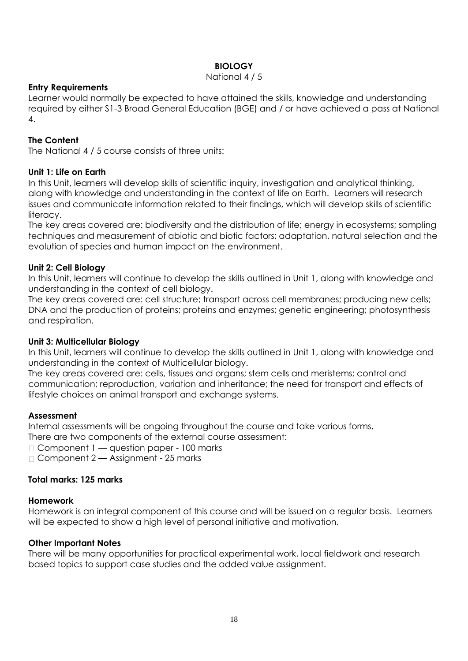## **BIOLOGY**

#### National 4 / 5

#### **Entry Requirements**

Learner would normally be expected to have attained the skills, knowledge and understanding required by either S1-3 Broad General Education (BGE) and / or have achieved a pass at National 4.

#### **The Content**

The National 4 / 5 course consists of three units:

#### **Unit 1: Life on Earth**

In this Unit, learners will develop skills of scientific inquiry, investigation and analytical thinking, along with knowledge and understanding in the context of life on Earth. Learners will research issues and communicate information related to their findings, which will develop skills of scientific literacy.

The key areas covered are: biodiversity and the distribution of life; energy in ecosystems; sampling techniques and measurement of abiotic and biotic factors; adaptation, natural selection and the evolution of species and human impact on the environment.

#### **Unit 2: Cell Biology**

In this Unit, learners will continue to develop the skills outlined in Unit 1, along with knowledge and understanding in the context of cell biology.

The key areas covered are: cell structure; transport across cell membranes; producing new cells; DNA and the production of proteins; proteins and enzymes; genetic engineering; photosynthesis and respiration.

#### **Unit 3: Multicellular Biology**

In this Unit, learners will continue to develop the skills outlined in Unit 1, along with knowledge and understanding in the context of Multicellular biology.

The key areas covered are: cells, tissues and organs; stem cells and meristems; control and communication; reproduction, variation and inheritance; the need for transport and effects of lifestyle choices on animal transport and exchange systems.

#### **Assessment**

Internal assessments will be ongoing throughout the course and take various forms.

- There are two components of the external course assessment:
- □ Component 1 question paper 100 marks
- □ Component 2 Assignment 25 marks

#### **Total marks: 125 marks**

#### **Homework**

Homework is an integral component of this course and will be issued on a regular basis. Learners will be expected to show a high level of personal initiative and motivation.

#### **Other Important Notes**

There will be many opportunities for practical experimental work, local fieldwork and research based topics to support case studies and the added value assignment.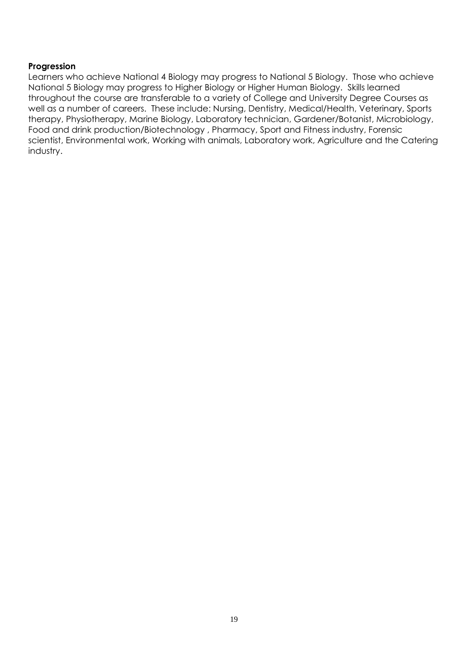#### **Progression**

Learners who achieve National 4 Biology may progress to National 5 Biology. Those who achieve National 5 Biology may progress to Higher Biology or Higher Human Biology. Skills learned throughout the course are transferable to a variety of College and University Degree Courses as well as a number of careers. These include: Nursing, Dentistry, Medical/Health, Veterinary, Sports therapy, Physiotherapy, Marine Biology, Laboratory technician, Gardener/Botanist, Microbiology, Food and drink production/Biotechnology , Pharmacy, Sport and Fitness industry, Forensic scientist, Environmental work, Working with animals, Laboratory work, Agriculture and the Catering industry.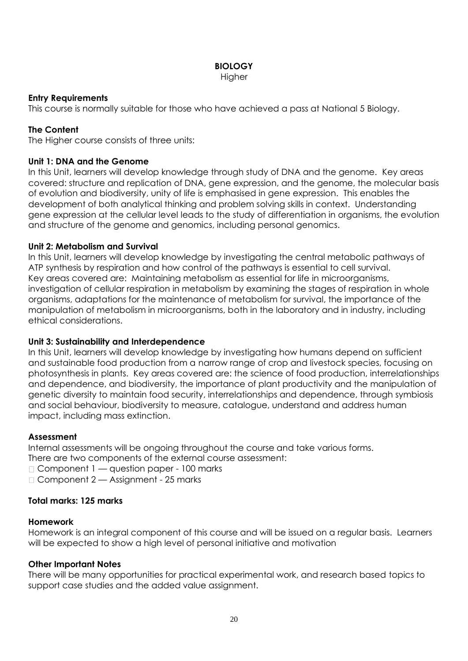## **BIOLOGY**

**Higher** 

#### **Entry Requirements**

This course is normally suitable for those who have achieved a pass at National 5 Biology.

#### **The Content**

The Higher course consists of three units:

#### **Unit 1: DNA and the Genome**

In this Unit, learners will develop knowledge through study of DNA and the genome. Key areas covered: structure and replication of DNA, gene expression, and the genome, the molecular basis of evolution and biodiversity, unity of life is emphasised in gene expression. This enables the development of both analytical thinking and problem solving skills in context. Understanding gene expression at the cellular level leads to the study of differentiation in organisms, the evolution and structure of the genome and genomics, including personal genomics.

#### **Unit 2: Metabolism and Survival**

In this Unit, learners will develop knowledge by investigating the central metabolic pathways of ATP synthesis by respiration and how control of the pathways is essential to cell survival. Key areas covered are: Maintaining metabolism as essential for life in microorganisms, investigation of cellular respiration in metabolism by examining the stages of respiration in whole organisms, adaptations for the maintenance of metabolism for survival, the importance of the manipulation of metabolism in microorganisms, both in the laboratory and in industry, including ethical considerations.

#### **Unit 3: Sustainability and Interdependence**

In this Unit, learners will develop knowledge by investigating how humans depend on sufficient and sustainable food production from a narrow range of crop and livestock species, focusing on photosynthesis in plants. Key areas covered are: the science of food production, interrelationships and dependence, and biodiversity, the importance of plant productivity and the manipulation of genetic diversity to maintain food security, interrelationships and dependence, through symbiosis and social behaviour, biodiversity to measure, catalogue, understand and address human impact, including mass extinction.

#### **Assessment**

Internal assessments will be ongoing throughout the course and take various forms. There are two components of the external course assessment:

- □ Component 1 question paper 100 marks
- □ Component 2 Assignment 25 marks

#### **Total marks: 125 marks**

#### **Homework**

Homework is an integral component of this course and will be issued on a regular basis. Learners will be expected to show a high level of personal initiative and motivation

#### **Other Important Notes**

There will be many opportunities for practical experimental work, and research based topics to support case studies and the added value assignment.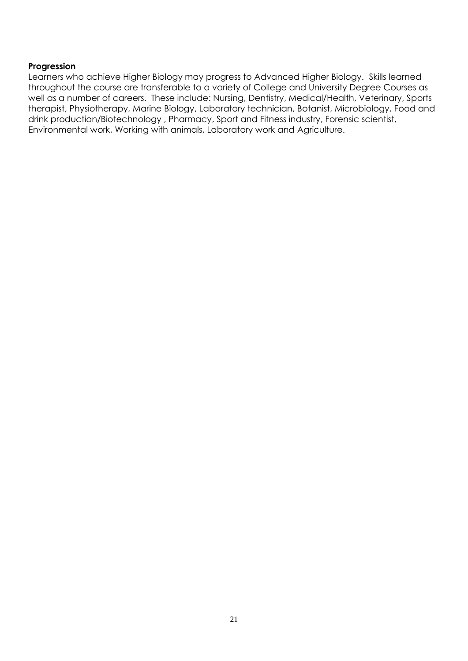#### **Progression**

Learners who achieve Higher Biology may progress to Advanced Higher Biology. Skills learned throughout the course are transferable to a variety of College and University Degree Courses as well as a number of careers. These include: Nursing, Dentistry, Medical/Health, Veterinary, Sports therapist, Physiotherapy, Marine Biology, Laboratory technician, Botanist, Microbiology, Food and drink production/Biotechnology , Pharmacy, Sport and Fitness industry, Forensic scientist, Environmental work, Working with animals, Laboratory work and Agriculture.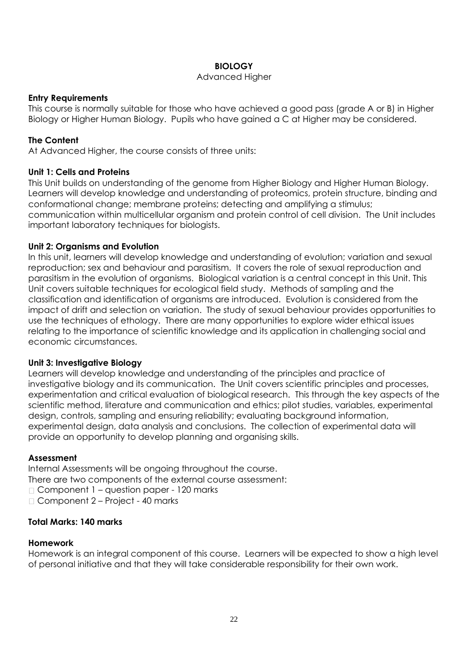#### **BIOLOGY**

#### Advanced Higher

#### **Entry Requirements**

This course is normally suitable for those who have achieved a good pass (grade A or B) in Higher Biology or Higher Human Biology. Pupils who have gained a C at Higher may be considered.

#### **The Content**

At Advanced Higher, the course consists of three units:

#### **Unit 1: Cells and Proteins**

This Unit builds on understanding of the genome from Higher Biology and Higher Human Biology. Learners will develop knowledge and understanding of proteomics, protein structure, binding and conformational change; membrane proteins; detecting and amplifying a stimulus; communication within multicellular organism and protein control of cell division. The Unit includes important laboratory techniques for biologists.

#### **Unit 2: Organisms and Evolution**

In this unit, learners will develop knowledge and understanding of evolution; variation and sexual reproduction; sex and behaviour and parasitism. It covers the role of sexual reproduction and parasitism in the evolution of organisms. Biological variation is a central concept in this Unit. This Unit covers suitable techniques for ecological field study. Methods of sampling and the classification and identification of organisms are introduced. Evolution is considered from the impact of drift and selection on variation. The study of sexual behaviour provides opportunities to use the techniques of ethology. There are many opportunities to explore wider ethical issues relating to the importance of scientific knowledge and its application in challenging social and economic circumstances.

#### **Unit 3: Investigative Biology**

Learners will develop knowledge and understanding of the principles and practice of investigative biology and its communication. The Unit covers scientific principles and processes, experimentation and critical evaluation of biological research. This through the key aspects of the scientific method, literature and communication and ethics; pilot studies, variables, experimental design, controls, sampling and ensuring reliability; evaluating background information, experimental design, data analysis and conclusions. The collection of experimental data will provide an opportunity to develop planning and organising skills.

#### **Assessment**

Internal Assessments will be ongoing throughout the course. There are two components of the external course assessment: □ Component 1 – question paper - 120 marks □ Component 2 – Project - 40 marks

#### **Total Marks: 140 marks**

#### **Homework**

Homework is an integral component of this course. Learners will be expected to show a high level of personal initiative and that they will take considerable responsibility for their own work.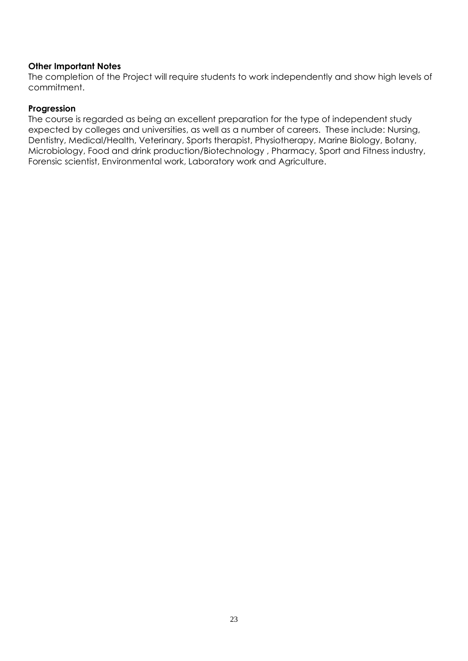#### **Other Important Notes**

The completion of the Project will require students to work independently and show high levels of commitment.

#### **Progression**

The course is regarded as being an excellent preparation for the type of independent study expected by colleges and universities, as well as a number of careers. These include: Nursing, Dentistry, Medical/Health, Veterinary, Sports therapist, Physiotherapy, Marine Biology, Botany, Microbiology, Food and drink production/Biotechnology , Pharmacy, Sport and Fitness industry, Forensic scientist, Environmental work, Laboratory work and Agriculture.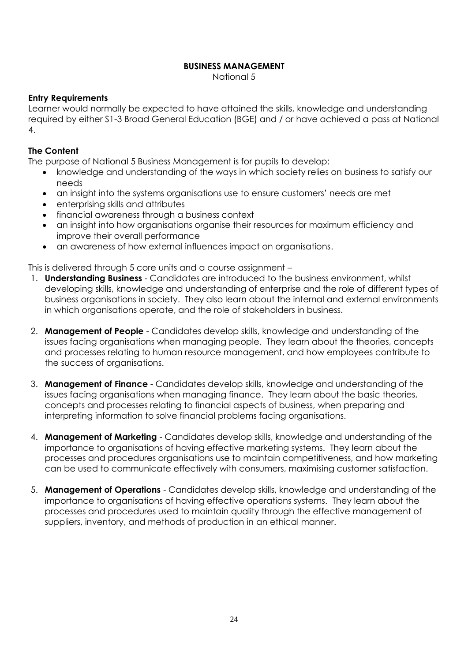#### **BUSINESS MANAGEMENT**

National 5

#### **Entry Requirements**

Learner would normally be expected to have attained the skills, knowledge and understanding required by either S1-3 Broad General Education (BGE) and / or have achieved a pass at National 4.

#### **The Content**

The purpose of National 5 Business Management is for pupils to develop:

- knowledge and understanding of the ways in which society relies on business to satisfy our needs
- an insight into the systems organisations use to ensure customers' needs are met
- enterprising skills and attributes
- financial awareness through a business context
- an insight into how organisations organise their resources for maximum efficiency and improve their overall performance
- an awareness of how external influences impact on organisations.

This is delivered through 5 core units and a course assignment –

- 1. **Understanding Business** Candidates are introduced to the business environment, whilst developing skills, knowledge and understanding of enterprise and the role of different types of business organisations in society. They also learn about the internal and external environments in which organisations operate, and the role of stakeholders in business.
- 2. **Management of People** Candidates develop skills, knowledge and understanding of the issues facing organisations when managing people. They learn about the theories, concepts and processes relating to human resource management, and how employees contribute to the success of organisations.
- 3. **Management of Finance** Candidates develop skills, knowledge and understanding of the issues facing organisations when managing finance. They learn about the basic theories, concepts and processes relating to financial aspects of business, when preparing and interpreting information to solve financial problems facing organisations.
- 4. **Management of Marketing**  Candidates develop skills, knowledge and understanding of the importance to organisations of having effective marketing systems. They learn about the processes and procedures organisations use to maintain competitiveness, and how marketing can be used to communicate effectively with consumers, maximising customer satisfaction.
- 5. **Management of Operations** Candidates develop skills, knowledge and understanding of the importance to organisations of having effective operations systems. They learn about the processes and procedures used to maintain quality through the effective management of suppliers, inventory, and methods of production in an ethical manner.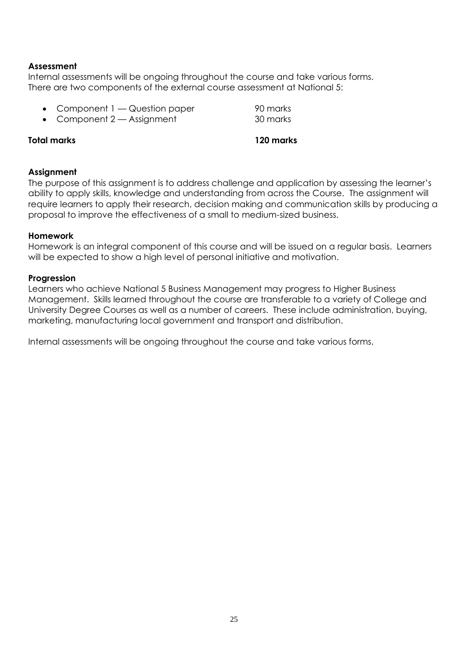#### **Assessment**

Internal assessments will be ongoing throughout the course and take various forms. There are two components of the external course assessment at National 5:

| Component 1 — Question paper |  | 90 marks |
|------------------------------|--|----------|
|                              |  |          |

• Component 2 — Assignment 30 marks

#### **Total marks 120 marks**

#### **Assignment**

The purpose of this assignment is to address challenge and application by assessing the learner's ability to apply skills, knowledge and understanding from across the Course. The assignment will require learners to apply their research, decision making and communication skills by producing a proposal to improve the effectiveness of a small to medium-sized business.

#### **Homework**

Homework is an integral component of this course and will be issued on a regular basis. Learners will be expected to show a high level of personal initiative and motivation.

#### **Progression**

Learners who achieve National 5 Business Management may progress to Higher Business Management. Skills learned throughout the course are transferable to a variety of College and University Degree Courses as well as a number of careers. These include administration, buying, marketing, manufacturing local government and transport and distribution.

Internal assessments will be ongoing throughout the course and take various forms.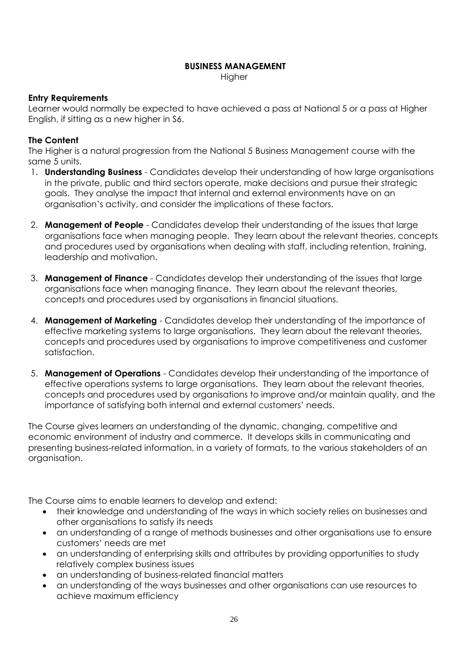#### **BUSINESS MANAGEMENT**

**Higher** 

#### **Entry Requirements**

Learner would normally be expected to have achieved a pass at National 5 or a pass at Higher English, if sitting as a new higher in S6.

#### **The Content**

The Higher is a natural progression from the National 5 Business Management course with the same 5 units.

- 1. **Understanding Business** Candidates develop their understanding of how large organisations in the private, public and third sectors operate, make decisions and pursue their strategic goals. They analyse the impact that internal and external environments have on an organisation's activity, and consider the implications of these factors.
- 2. **Management of People** Candidates develop their understanding of the issues that large organisations face when managing people. They learn about the relevant theories, concepts and procedures used by organisations when dealing with staff, including retention, training, leadership and motivation.
- 3. **Management of Finance** Candidates develop their understanding of the issues that large organisations face when managing finance. They learn about the relevant theories, concepts and procedures used by organisations in financial situations.
- 4. **Management of Marketing**  Candidates develop their understanding of the importance of effective marketing systems to large organisations. They learn about the relevant theories, concepts and procedures used by organisations to improve competitiveness and customer satisfaction.
- 5. **Management of Operations** Candidates develop their understanding of the importance of effective operations systems to large organisations. They learn about the relevant theories, concepts and procedures used by organisations to improve and/or maintain quality, and the importance of satisfying both internal and external customers' needs.

The Course gives learners an understanding of the dynamic, changing, competitive and economic environment of industry and commerce. It develops skills in communicating and presenting business-related information, in a variety of formats, to the various stakeholders of an organisation.

The Course aims to enable learners to develop and extend:

- their knowledge and understanding of the ways in which society relies on businesses and other organisations to satisfy its needs
- an understanding of a range of methods businesses and other organisations use to ensure customers' needs are met
- an understanding of enterprising skills and attributes by providing opportunities to study relatively complex business issues
- an understanding of business-related financial matters
- an understanding of the ways businesses and other organisations can use resources to achieve maximum efficiency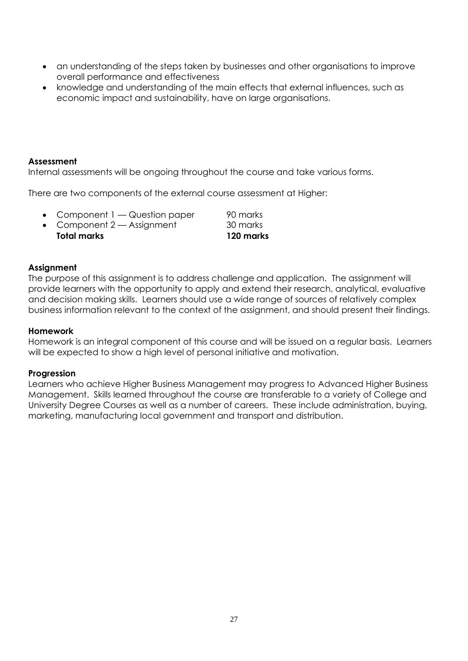- an understanding of the steps taken by businesses and other organisations to improve overall performance and effectiveness
- knowledge and understanding of the main effects that external influences, such as economic impact and sustainability, have on large organisations.

#### **Assessment**

Internal assessments will be ongoing throughout the course and take various forms.

There are two components of the external course assessment at Higher:

• Component 1 — Question paper 90 marks • Component 2 — Assignment 30 marks **Total marks 120 marks**

#### **Assignment**

The purpose of this assignment is to address challenge and application. The assignment will provide learners with the opportunity to apply and extend their research, analytical, evaluative and decision making skills. Learners should use a wide range of sources of relatively complex business information relevant to the context of the assignment, and should present their findings.

#### **Homework**

Homework is an integral component of this course and will be issued on a regular basis. Learners will be expected to show a high level of personal initiative and motivation.

#### **Progression**

Learners who achieve Higher Business Management may progress to Advanced Higher Business Management. Skills learned throughout the course are transferable to a variety of College and University Degree Courses as well as a number of careers. These include administration, buying, marketing, manufacturing local government and transport and distribution.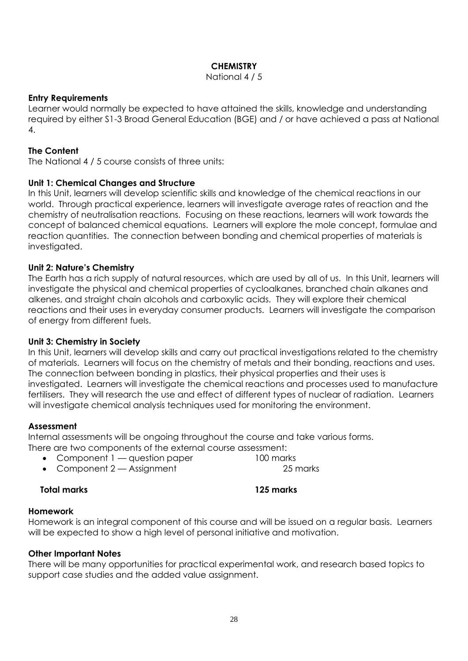#### **CHEMISTRY**

National 4 / 5

#### **Entry Requirements**

Learner would normally be expected to have attained the skills, knowledge and understanding required by either S1-3 Broad General Education (BGE) and / or have achieved a pass at National 4.

#### **The Content**

The National 4 / 5 course consists of three units:

#### **Unit 1: Chemical Changes and Structure**

In this Unit, learners will develop scientific skills and knowledge of the chemical reactions in our world. Through practical experience, learners will investigate average rates of reaction and the chemistry of neutralisation reactions. Focusing on these reactions, learners will work towards the concept of balanced chemical equations. Learners will explore the mole concept, formulae and reaction quantities. The connection between bonding and chemical properties of materials is investigated.

#### **Unit 2: Nature's Chemistry**

The Earth has a rich supply of natural resources, which are used by all of us. In this Unit, learners will investigate the physical and chemical properties of cycloalkanes, branched chain alkanes and alkenes, and straight chain alcohols and carboxylic acids. They will explore their chemical reactions and their uses in everyday consumer products. Learners will investigate the comparison of energy from different fuels.

#### **Unit 3: Chemistry in Society**

In this Unit, learners will develop skills and carry out practical investigations related to the chemistry of materials. Learners will focus on the chemistry of metals and their bonding, reactions and uses. The connection between bonding in plastics, their physical properties and their uses is investigated. Learners will investigate the chemical reactions and processes used to manufacture fertilisers. They will research the use and effect of different types of nuclear of radiation. Learners will investigate chemical analysis techniques used for monitoring the environment.

#### **Assessment**

Internal assessments will be ongoing throughout the course and take various forms. There are two components of the external course assessment:

- Component 1 question paper 100 marks
- Component 2 Assignment 25 marks

#### **Total marks 125 marks**

#### **Homework**

Homework is an integral component of this course and will be issued on a regular basis. Learners will be expected to show a high level of personal initiative and motivation.

#### **Other Important Notes**

There will be many opportunities for practical experimental work, and research based topics to support case studies and the added value assignment.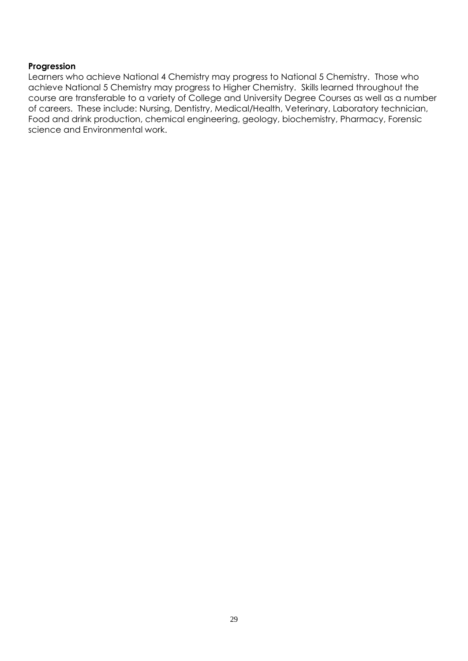#### **Progression**

Learners who achieve National 4 Chemistry may progress to National 5 Chemistry. Those who achieve National 5 Chemistry may progress to Higher Chemistry. Skills learned throughout the course are transferable to a variety of College and University Degree Courses as well as a number of careers. These include: Nursing, Dentistry, Medical/Health, Veterinary, Laboratory technician, Food and drink production, chemical engineering, geology, biochemistry, Pharmacy, Forensic science and Environmental work.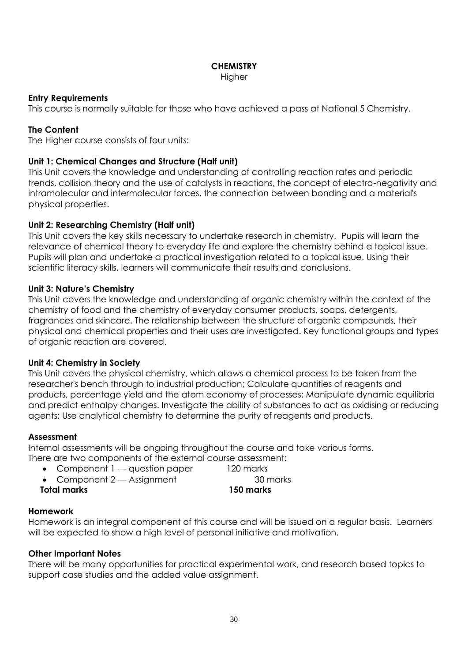#### **CHEMISTRY**

**Higher** 

#### **Entry Requirements**

This course is normally suitable for those who have achieved a pass at National 5 Chemistry.

#### **The Content**

The Higher course consists of four units:

#### **Unit 1: Chemical Changes and Structure (Half unit)**

This Unit covers the knowledge and understanding of controlling reaction rates and periodic trends, collision theory and the use of catalysts in reactions, the concept of electro-negativity and intramolecular and intermolecular forces, the connection between bonding and a material's physical properties.

#### **Unit 2: Researching Chemistry (Half unit)**

This Unit covers the key skills necessary to undertake research in chemistry. Pupils will learn the relevance of chemical theory to everyday life and explore the chemistry behind a topical issue. Pupils will plan and undertake a practical investigation related to a topical issue. Using their scientific literacy skills, learners will communicate their results and conclusions.

#### **Unit 3: Nature's Chemistry**

This Unit covers the knowledge and understanding of organic chemistry within the context of the chemistry of food and the chemistry of everyday consumer products, soaps, detergents, fragrances and skincare. The relationship between the structure of organic compounds, their physical and chemical properties and their uses are investigated. Key functional groups and types of organic reaction are covered.

#### **Unit 4: Chemistry in Society**

This Unit covers the physical chemistry, which allows a chemical process to be taken from the researcher's bench through to industrial production; Calculate quantities of reagents and products, percentage yield and the atom economy of processes; Manipulate dynamic equilibria and predict enthalpy changes. Investigate the ability of substances to act as oxidising or reducing agents; Use analytical chemistry to determine the purity of reagents and products.

#### **Assessment**

Internal assessments will be ongoing throughout the course and take various forms. There are two components of the external course assessment:

- Component 1 question paper 120 marks
	- Component 2 Assignment 30 marks

 **Total marks 150 marks**

#### **Homework**

Homework is an integral component of this course and will be issued on a regular basis. Learners will be expected to show a high level of personal initiative and motivation.

#### **Other Important Notes**

There will be many opportunities for practical experimental work, and research based topics to support case studies and the added value assignment.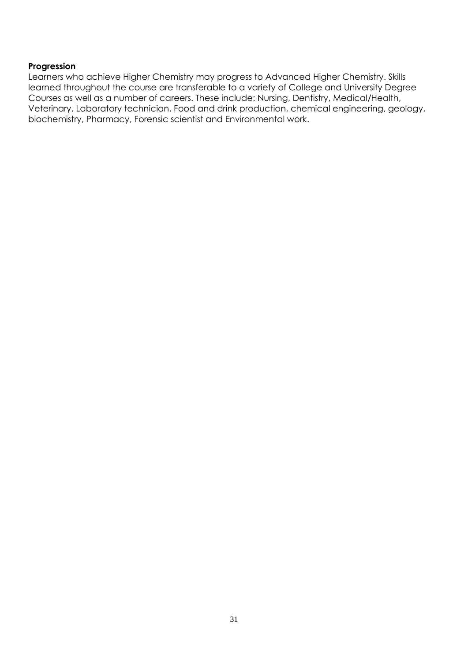#### **Progression**

Learners who achieve Higher Chemistry may progress to Advanced Higher Chemistry. Skills learned throughout the course are transferable to a variety of College and University Degree Courses as well as a number of careers. These include: Nursing, Dentistry, Medical/Health, Veterinary, Laboratory technician, Food and drink production, chemical engineering, geology, biochemistry, Pharmacy, Forensic scientist and Environmental work.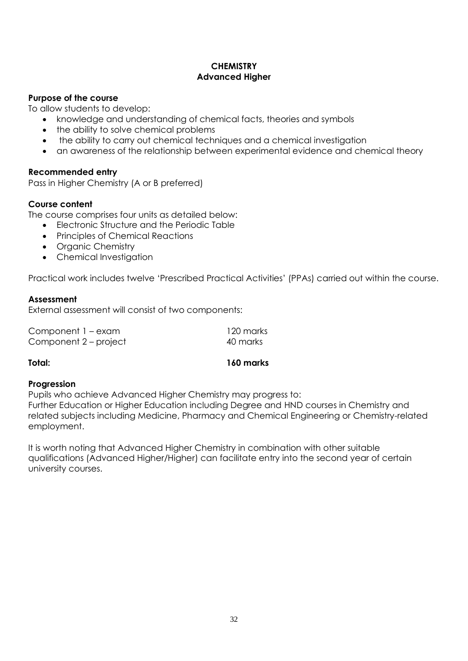#### **CHEMISTRY Advanced Higher**

#### **Purpose of the course**

To allow students to develop:

- knowledge and understanding of chemical facts, theories and symbols
- the ability to solve chemical problems
- the ability to carry out chemical techniques and a chemical investigation
- an awareness of the relationship between experimental evidence and chemical theory

#### **Recommended entry**

Pass in Higher Chemistry (A or B preferred)

#### **Course content**

The course comprises four units as detailed below:

- Electronic Structure and the Periodic Table
- Principles of Chemical Reactions
- Organic Chemistry
- Chemical Investigation

Practical work includes twelve 'Prescribed Practical Activities' (PPAs) carried out within the course.

#### **Assessment**

External assessment will consist of two components:

| Component 1 – exam    | 120 marks |
|-----------------------|-----------|
| Component 2 – project | 40 marks  |

#### **Total: 160 marks**

#### **Progression**

Pupils who achieve Advanced Higher Chemistry may progress to: Further Education or Higher Education including Degree and HND courses in Chemistry and related subjects including Medicine, Pharmacy and Chemical Engineering or Chemistry-related employment.

It is worth noting that Advanced Higher Chemistry in combination with other suitable qualifications (Advanced Higher/Higher) can facilitate entry into the second year of certain university courses.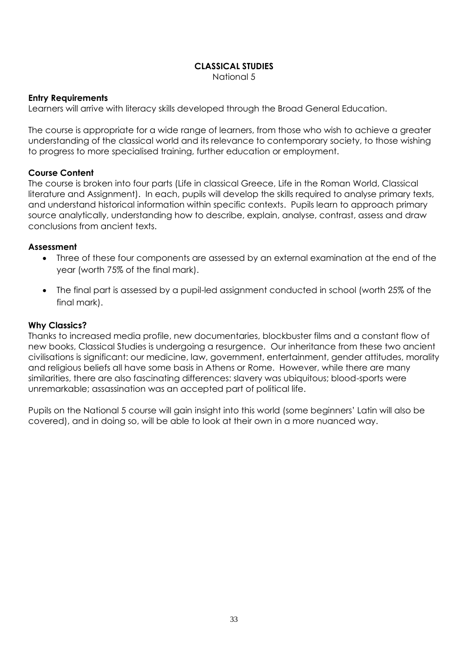## **CLASSICAL STUDIES**

National 5

#### **Entry Requirements**

Learners will arrive with literacy skills developed through the Broad General Education.

The course is appropriate for a wide range of learners, from those who wish to achieve a greater understanding of the classical world and its relevance to contemporary society, to those wishing to progress to more specialised training, further education or employment.

#### **Course Content**

The course is broken into four parts (Life in classical Greece, Life in the Roman World, Classical literature and Assignment). In each, pupils will develop the skills required to analyse primary texts, and understand historical information within specific contexts. Pupils learn to approach primary source analytically, understanding how to describe, explain, analyse, contrast, assess and draw conclusions from ancient texts.

#### **Assessment**

- Three of these four components are assessed by an external examination at the end of the year (worth 75% of the final mark).
- The final part is assessed by a pupil-led assignment conducted in school (worth 25% of the final mark).

#### **Why Classics?**

Thanks to increased media profile, new documentaries, blockbuster films and a constant flow of new books, Classical Studies is undergoing a resurgence. Our inheritance from these two ancient civilisations is significant: our medicine, law, government, entertainment, gender attitudes, morality and religious beliefs all have some basis in Athens or Rome. However, while there are many similarities, there are also fascinating differences: slavery was ubiquitous; blood-sports were unremarkable; assassination was an accepted part of political life.

Pupils on the National 5 course will gain insight into this world (some beginners' Latin will also be covered), and in doing so, will be able to look at their own in a more nuanced way.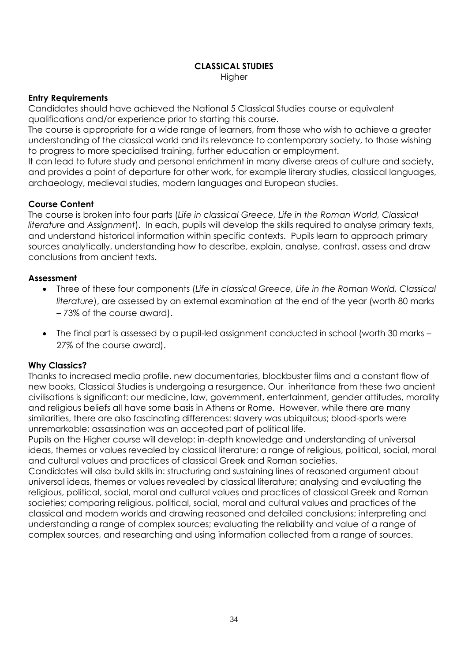#### **CLASSICAL STUDIES Higher**

#### **Entry Requirements**

Candidates should have achieved the National 5 Classical Studies course or equivalent qualifications and/or experience prior to starting this course.

The course is appropriate for a wide range of learners, from those who wish to achieve a greater understanding of the classical world and its relevance to contemporary society, to those wishing to progress to more specialised training, further education or employment.

It can lead to future study and personal enrichment in many diverse areas of culture and society, and provides a point of departure for other work, for example literary studies, classical languages, archaeology, medieval studies, modern languages and European studies.

#### **Course Content**

The course is broken into four parts (*Life in classical Greece, Life in the Roman World, Classical literature* and *Assignment*). In each, pupils will develop the skills required to analyse primary texts, and understand historical information within specific contexts. Pupils learn to approach primary sources analytically, understanding how to describe, explain, analyse, contrast, assess and draw conclusions from ancient texts.

#### **Assessment**

- Three of these four components (*Life in classical Greece, Life in the Roman World, Classical literature*), are assessed by an external examination at the end of the year (worth 80 marks – 73% of the course award).
- The final part is assessed by a pupil-led assignment conducted in school (worth 30 marks 27% of the course award).

#### **Why Classics?**

Thanks to increased media profile, new documentaries, blockbuster films and a constant flow of new books, Classical Studies is undergoing a resurgence. Our inheritance from these two ancient civilisations is significant: our medicine, law, government, entertainment, gender attitudes, morality and religious beliefs all have some basis in Athens or Rome. However, while there are many similarities, there are also fascinating differences: slavery was ubiquitous; blood-sports were unremarkable; assassination was an accepted part of political life.

Pupils on the Higher course will develop: in-depth knowledge and understanding of universal ideas, themes or values revealed by classical literature; a range of religious, political, social, moral and cultural values and practices of classical Greek and Roman societies.

Candidates will also build skills in: structuring and sustaining lines of reasoned argument about universal ideas, themes or values revealed by classical literature; analysing and evaluating the religious, political, social, moral and cultural values and practices of classical Greek and Roman societies; comparing religious, political, social, moral and cultural values and practices of the classical and modern worlds and drawing reasoned and detailed conclusions; interpreting and understanding a range of complex sources; evaluating the reliability and value of a range of complex sources, and researching and using information collected from a range of sources.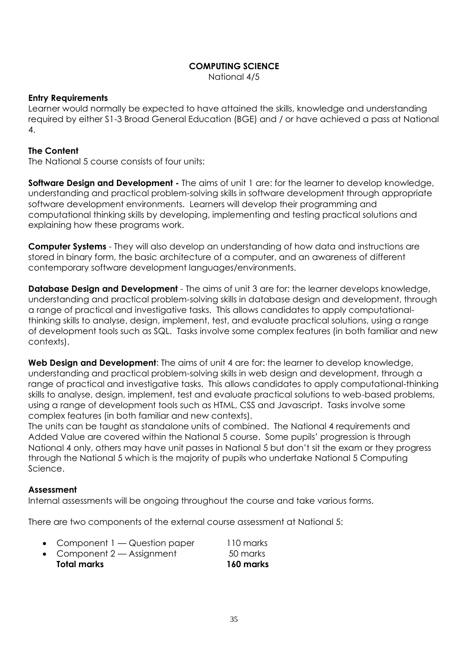#### **COMPUTING SCIENCE**

National 4/5

#### **Entry Requirements**

Learner would normally be expected to have attained the skills, knowledge and understanding required by either S1-3 Broad General Education (BGE) and / or have achieved a pass at National 4.

#### **The Content**

The National 5 course consists of four units:

**Software Design and Development -** The aims of unit 1 are: for the learner to develop knowledge, understanding and practical problem-solving skills in software development through appropriate software development environments. Learners will develop their programming and computational thinking skills by developing, implementing and testing practical solutions and explaining how these programs work.

**Computer Systems** - They will also develop an understanding of how data and instructions are stored in binary form, the basic architecture of a computer, and an awareness of different contemporary software development languages/environments.

**Database Design and Development** - The aims of unit 3 are for: the learner develops knowledge, understanding and practical problem-solving skills in database design and development, through a range of practical and investigative tasks. This allows candidates to apply computationalthinking skills to analyse, design, implement, test, and evaluate practical solutions, using a range of development tools such as SQL. Tasks involve some complex features (in both familiar and new contexts).

**Web Design and Development**: The aims of unit 4 are for: the learner to develop knowledge, understanding and practical problem-solving skills in web design and development, through a range of practical and investigative tasks. This allows candidates to apply computational-thinking skills to analyse, design, implement, test and evaluate practical solutions to web-based problems, using a range of development tools such as HTML, CSS and Javascript. Tasks involve some complex features (in both familiar and new contexts).

The units can be taught as standalone units of combined. The National 4 requirements and Added Value are covered within the National 5 course. Some pupils' progression is through National 4 only, others may have unit passes in National 5 but don't sit the exam or they progress through the National 5 which is the majority of pupils who undertake National 5 Computing Science.

#### **Assessment**

Internal assessments will be ongoing throughout the course and take various forms.

There are two components of the external course assessment at National 5:

| <b>Total marks</b>               | 160 marks |
|----------------------------------|-----------|
| • Component $2$ $-$ Assignment   | 50 marks  |
| • Component $1$ — Question paper | 110 marks |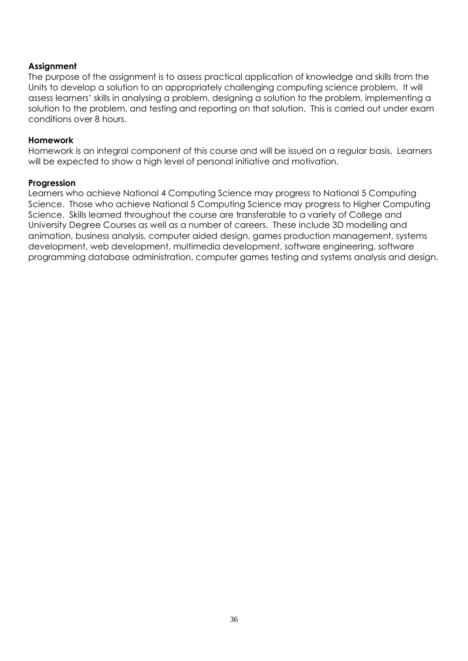#### **Assignment**

The purpose of the assignment is to assess practical application of knowledge and skills from the Units to develop a solution to an appropriately challenging computing science problem. It will assess learners' skills in analysing a problem, designing a solution to the problem, implementing a solution to the problem, and testing and reporting on that solution. This is carried out under exam conditions over 8 hours.

#### **Homework**

Homework is an integral component of this course and will be issued on a regular basis. Learners will be expected to show a high level of personal initiative and motivation.

#### **Progression**

Learners who achieve National 4 Computing Science may progress to National 5 Computing Science. Those who achieve National 5 Computing Science may progress to Higher Computing Science. Skills learned throughout the course are transferable to a variety of College and University Degree Courses as well as a number of careers. These include 3D modelling and animation, business analysis, computer aided design, games production management, systems development, web development, multimedia development, software engineering, software programming database administration, computer games testing and systems analysis and design.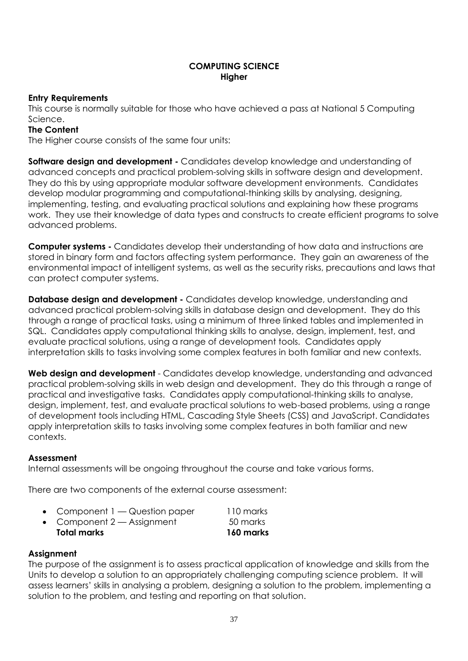## **COMPUTING SCIENCE Higher**

## **Entry Requirements**

This course is normally suitable for those who have achieved a pass at National 5 Computing Science.

## **The Content**

The Higher course consists of the same four units:

**Software design and development -** Candidates develop knowledge and understanding of advanced concepts and practical problem-solving skills in software design and development. They do this by using appropriate modular software development environments. Candidates develop modular programming and computational-thinking skills by analysing, designing, implementing, testing, and evaluating practical solutions and explaining how these programs work. They use their knowledge of data types and constructs to create efficient programs to solve advanced problems.

**Computer systems -** Candidates develop their understanding of how data and instructions are stored in binary form and factors affecting system performance. They gain an awareness of the environmental impact of intelligent systems, as well as the security risks, precautions and laws that can protect computer systems.

**Database design and development -** Candidates develop knowledge, understanding and advanced practical problem-solving skills in database design and development. They do this through a range of practical tasks, using a minimum of three linked tables and implemented in SQL. Candidates apply computational thinking skills to analyse, design, implement, test, and evaluate practical solutions, using a range of development tools. Candidates apply interpretation skills to tasks involving some complex features in both familiar and new contexts.

**Web design and development** - Candidates develop knowledge, understanding and advanced practical problem-solving skills in web design and development. They do this through a range of practical and investigative tasks. Candidates apply computational-thinking skills to analyse, design, implement, test, and evaluate practical solutions to web-based problems, using a range of development tools including HTML, Cascading Style Sheets (CSS) and JavaScript. Candidates apply interpretation skills to tasks involving some complex features in both familiar and new contexts.

## **Assessment**

Internal assessments will be ongoing throughout the course and take various forms.

There are two components of the external course assessment:

|                                      | Component 1 — Question paper | 110 marks                |
|--------------------------------------|------------------------------|--------------------------|
| $\sim$ Component $\Omega$ Assemblant |                              | $E_{\text{O}}$ no outlet |

Component 2 — Assignment 50 marks **Total marks 160 marks**

## **Assignment**

The purpose of the assignment is to assess practical application of knowledge and skills from the Units to develop a solution to an appropriately challenging computing science problem. It will assess learners' skills in analysing a problem, designing a solution to the problem, implementing a solution to the problem, and testing and reporting on that solution.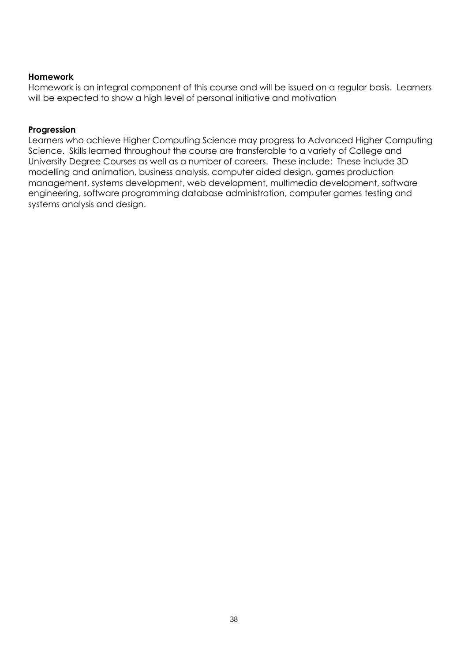#### **Homework**

Homework is an integral component of this course and will be issued on a regular basis. Learners will be expected to show a high level of personal initiative and motivation

### **Progression**

Learners who achieve Higher Computing Science may progress to Advanced Higher Computing Science. Skills learned throughout the course are transferable to a variety of College and University Degree Courses as well as a number of careers. These include: These include 3D modelling and animation, business analysis, computer aided design, games production management, systems development, web development, multimedia development, software engineering, software programming database administration, computer games testing and systems analysis and design.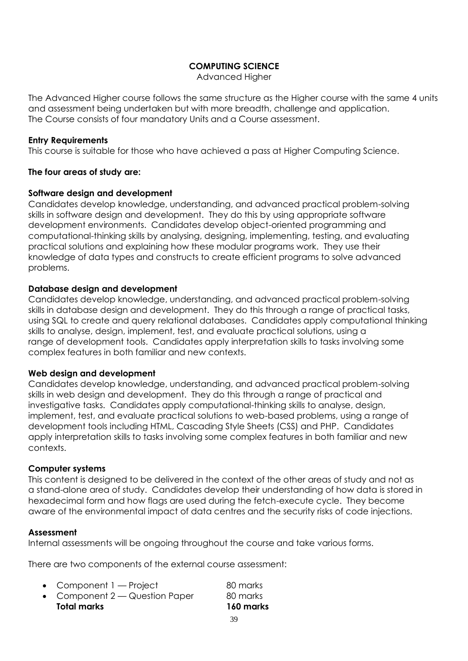## **COMPUTING SCIENCE**

Advanced Higher

The Advanced Higher course follows the same structure as the Higher course with the same 4 units and assessment being undertaken but with more breadth, challenge and application. The Course consists of four mandatory Units and a Course assessment.

#### **Entry Requirements**

This course is suitable for those who have achieved a pass at Higher Computing Science.

### **The four areas of study are:**

### **Software design and development**

Candidates develop knowledge, understanding, and advanced practical problem-solving skills in software design and development. They do this by using appropriate software development environments. Candidates develop object-oriented programming and computational-thinking skills by analysing, designing, implementing, testing, and evaluating practical solutions and explaining how these modular programs work. They use their knowledge of data types and constructs to create efficient programs to solve advanced problems.

### **Database design and development**

Candidates develop knowledge, understanding, and advanced practical problem-solving skills in database design and development. They do this through a range of practical tasks, using SQL to create and query relational databases. Candidates apply computational thinking skills to analyse, design, implement, test, and evaluate practical solutions, using a range of development tools. Candidates apply interpretation skills to tasks involving some complex features in both familiar and new contexts.

#### **Web design and development**

Candidates develop knowledge, understanding, and advanced practical problem-solving skills in web design and development. They do this through a range of practical and investigative tasks. Candidates apply computational-thinking skills to analyse, design, implement, test, and evaluate practical solutions to web-based problems, using a range of development tools including HTML, Cascading Style Sheets (CSS) and PHP. Candidates apply interpretation skills to tasks involving some complex features in both familiar and new contexts.

#### **Computer systems**

This content is designed to be delivered in the context of the other areas of study and not as a stand-alone area of study. Candidates develop their understanding of how data is stored in hexadecimal form and how flags are used during the fetch-execute cycle. They become aware of the environmental impact of data centres and the security risks of code injections.

#### **Assessment**

Internal assessments will be ongoing throughout the course and take various forms.

There are two components of the external course assessment:

|                                  | $\cap$    |
|----------------------------------|-----------|
| <b>Total marks</b>               | 160 marks |
| • Component $2$ — Question Paper | 80 marks  |
| • Component $1$ - Project        | 80 marks  |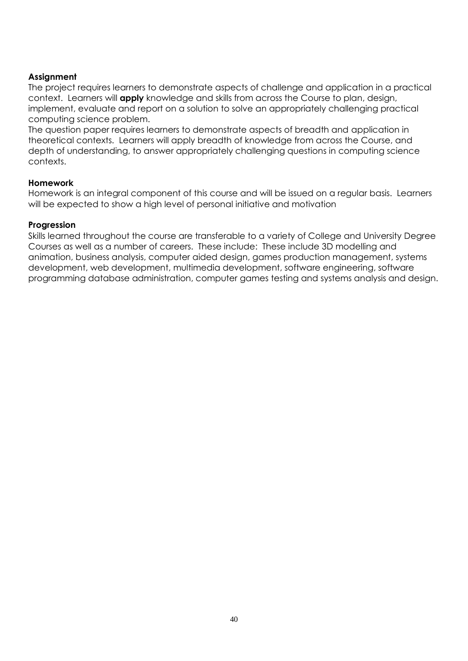## **Assignment**

The project requires learners to demonstrate aspects of challenge and application in a practical context. Learners will **apply** knowledge and skills from across the Course to plan, design, implement, evaluate and report on a solution to solve an appropriately challenging practical computing science problem.

The question paper requires learners to demonstrate aspects of breadth and application in theoretical contexts. Learners will apply breadth of knowledge from across the Course, and depth of understanding, to answer appropriately challenging questions in computing science contexts.

#### **Homework**

Homework is an integral component of this course and will be issued on a regular basis. Learners will be expected to show a high level of personal initiative and motivation

#### **Progression**

Skills learned throughout the course are transferable to a variety of College and University Degree Courses as well as a number of careers. These include: These include 3D modelling and animation, business analysis, computer aided design, games production management, systems development, web development, multimedia development, software engineering, software programming database administration, computer games testing and systems analysis and design.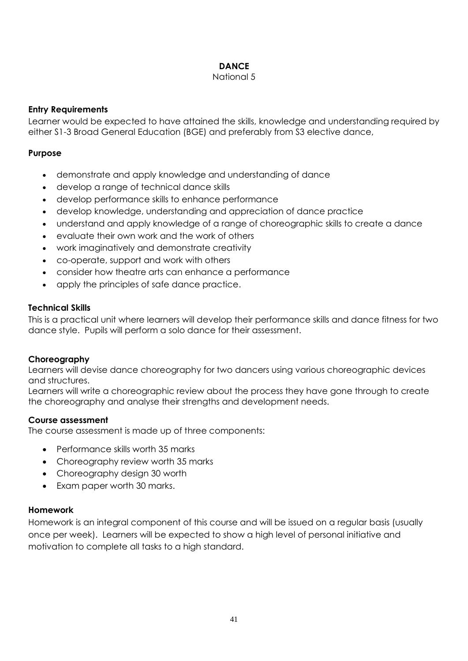# **DANCE**

## National 5

## **Entry Requirements**

Learner would be expected to have attained the skills, knowledge and understanding required by either S1-3 Broad General Education (BGE) and preferably from S3 elective dance,

## **Purpose**

- demonstrate and apply knowledge and understanding of dance
- develop a range of technical dance skills
- develop performance skills to enhance performance
- develop knowledge, understanding and appreciation of dance practice
- understand and apply knowledge of a range of choreographic skills to create a dance
- evaluate their own work and the work of others
- work imaginatively and demonstrate creativity
- co-operate, support and work with others
- consider how theatre arts can enhance a performance
- apply the principles of safe dance practice.

## **Technical Skills**

This is a practical unit where learners will develop their performance skills and dance fitness for two dance style. Pupils will perform a solo dance for their assessment.

## **Choreography**

Learners will devise dance choreography for two dancers using various choreographic devices and structures.

Learners will write a choreographic review about the process they have gone through to create the choreography and analyse their strengths and development needs.

## **Course assessment**

The course assessment is made up of three components:

- Performance skills worth 35 marks
- Choreography review worth 35 marks
- Choreography design 30 worth
- Exam paper worth 30 marks.

## **Homework**

Homework is an integral component of this course and will be issued on a regular basis (usually once per week). Learners will be expected to show a high level of personal initiative and motivation to complete all tasks to a high standard.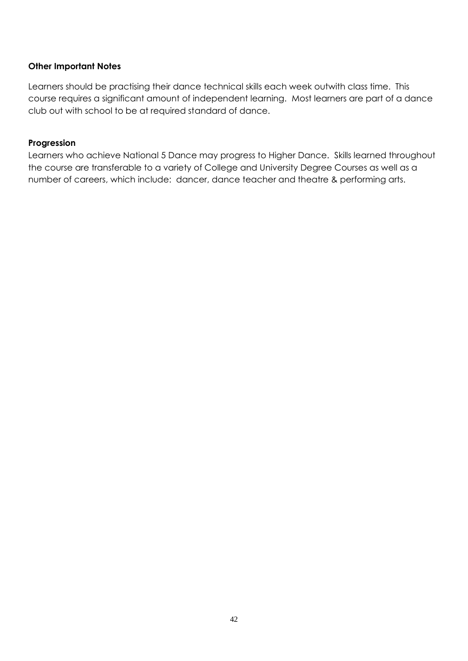## **Other Important Notes**

Learners should be practising their dance technical skills each week outwith class time. This course requires a significant amount of independent learning. Most learners are part of a dance club out with school to be at required standard of dance.

### **Progression**

Learners who achieve National 5 Dance may progress to Higher Dance. Skills learned throughout the course are transferable to a variety of College and University Degree Courses as well as a number of careers, which include: dancer, dance teacher and theatre & performing arts.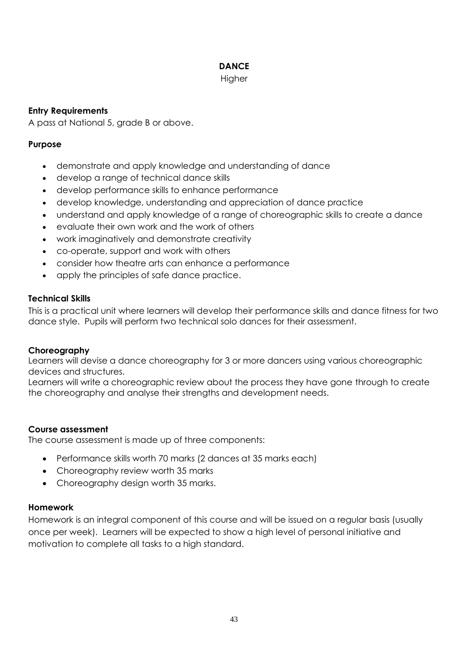# **DANCE**

## **Higher**

## **Entry Requirements**

A pass at National 5, grade B or above.

## **Purpose**

- demonstrate and apply knowledge and understanding of dance
- develop a range of technical dance skills
- develop performance skills to enhance performance
- develop knowledge, understanding and appreciation of dance practice
- understand and apply knowledge of a range of choreographic skills to create a dance
- evaluate their own work and the work of others
- work imaginatively and demonstrate creativity
- co-operate, support and work with others
- consider how theatre arts can enhance a performance
- apply the principles of safe dance practice.

## **Technical Skills**

This is a practical unit where learners will develop their performance skills and dance fitness for two dance style. Pupils will perform two technical solo dances for their assessment.

## **Choreography**

Learners will devise a dance choreography for 3 or more dancers using various choreographic devices and structures.

Learners will write a choreographic review about the process they have gone through to create the choreography and analyse their strengths and development needs.

## **Course assessment**

The course assessment is made up of three components:

- Performance skills worth 70 marks (2 dances at 35 marks each)
- Choreography review worth 35 marks
- Choreography design worth 35 marks.

## **Homework**

Homework is an integral component of this course and will be issued on a regular basis (usually once per week). Learners will be expected to show a high level of personal initiative and motivation to complete all tasks to a high standard.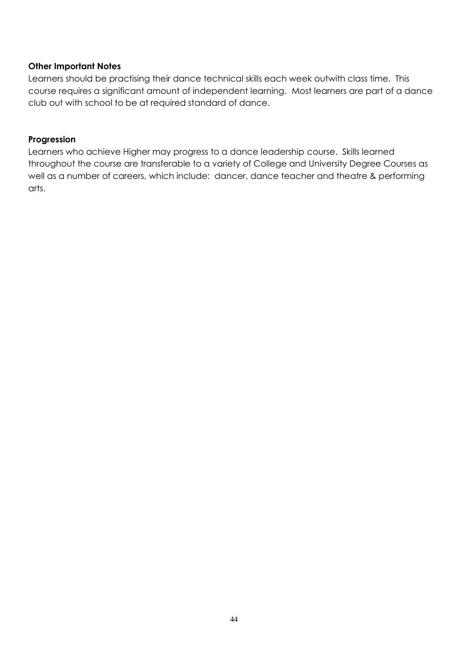## **Other Important Notes**

Learners should be practising their dance technical skills each week outwith class time. This course requires a significant amount of independent learning. Most learners are part of a dance club out with school to be at required standard of dance.

#### **Progression**

Learners who achieve Higher may progress to a dance leadership course. Skills learned throughout the course are transferable to a variety of College and University Degree Courses as well as a number of careers, which include: dancer, dance teacher and theatre & performing arts.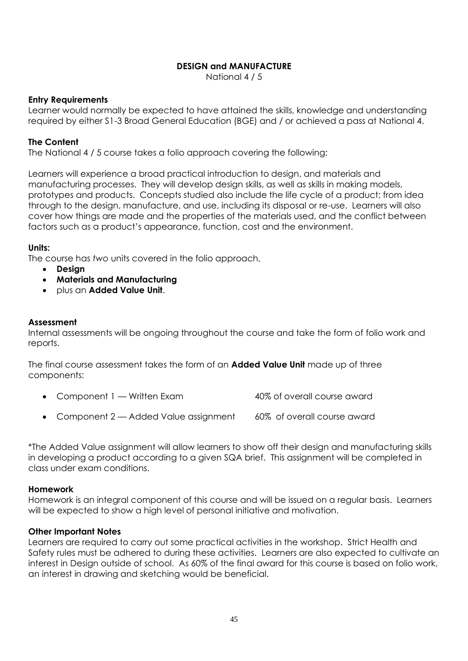## **DESIGN and MANUFACTURE**

National 4 / 5

#### **Entry Requirements**

Learner would normally be expected to have attained the skills, knowledge and understanding required by either S1-3 Broad General Education (BGE) and / or achieved a pass at National 4.

### **The Content**

The National 4 / 5 course takes a folio approach covering the following:

Learners will experience a broad practical introduction to design, and materials and manufacturing processes. They will develop design skills, as well as skills in making models, prototypes and products. Concepts studied also include the life cycle of a product; from idea through to the design, manufacture, and use, including its disposal or re-use. Learners will also cover how things are made and the properties of the materials used, and the conflict between factors such as a product's appearance, function, cost and the environment.

### **Units:**

The course has *two* units covered in the folio approach,

- **Design**
- **Materials and Manufacturing**
- plus an **Added Value Unit**.

### **Assessment**

Internal assessments will be ongoing throughout the course and take the form of folio work and reports.

The final course assessment takes the form of an **Added Value Unit** made up of three components:

- Component 1 Written Exam  $40\%$  of overall course award
- Component 2 Added Value assignment 60% of overall course award

\*The Added Value assignment will allow learners to show off their design and manufacturing skills in developing a product according to a given SQA brief. This assignment will be completed in class under exam conditions.

#### **Homework**

Homework is an integral component of this course and will be issued on a regular basis. Learners will be expected to show a high level of personal initiative and motivation.

#### **Other Important Notes**

Learners are required to carry out some practical activities in the workshop. Strict Health and Safety rules must be adhered to during these activities. Learners are also expected to cultivate an interest in Design outside of school. As 60% of the final award for this course is based on folio work, an interest in drawing and sketching would be beneficial.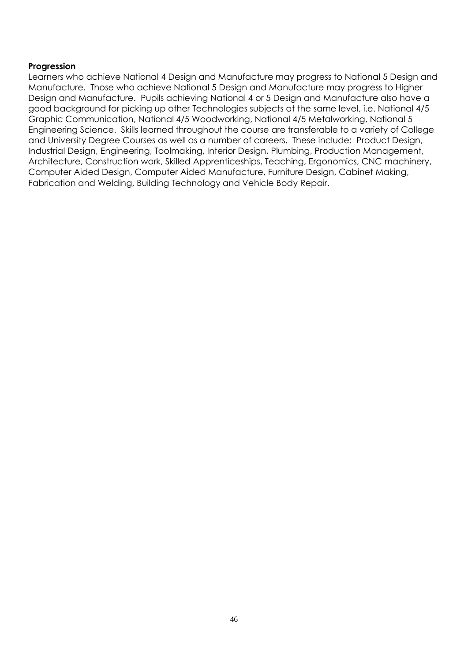#### **Progression**

Learners who achieve National 4 Design and Manufacture may progress to National 5 Design and Manufacture. Those who achieve National 5 Design and Manufacture may progress to Higher Design and Manufacture. Pupils achieving National 4 or 5 Design and Manufacture also have a good background for picking up other Technologies subjects at the same level, i.e. National 4/5 Graphic Communication, National 4/5 Woodworking, National 4/5 Metalworking, National 5 Engineering Science. Skills learned throughout the course are transferable to a variety of College and University Degree Courses as well as a number of careers. These include: Product Design, Industrial Design, Engineering, Toolmaking, Interior Design, Plumbing, Production Management, Architecture, Construction work, Skilled Apprenticeships, Teaching, Ergonomics, CNC machinery, Computer Aided Design, Computer Aided Manufacture, Furniture Design, Cabinet Making, Fabrication and Welding, Building Technology and Vehicle Body Repair.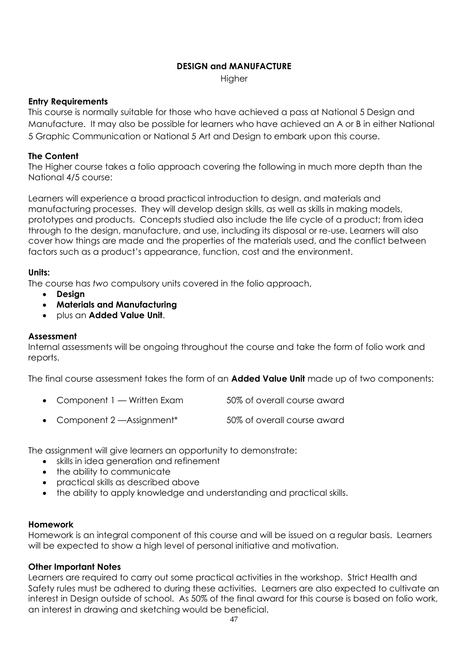## **DESIGN and MANUFACTURE**

**Higher** 

#### **Entry Requirements**

This course is normally suitable for those who have achieved a pass at National 5 Design and Manufacture. It may also be possible for learners who have achieved an A or B in either National 5 Graphic Communication or National 5 Art and Design to embark upon this course.

### **The Content**

The Higher course takes a folio approach covering the following in much more depth than the National 4/5 course:

Learners will experience a broad practical introduction to design, and materials and manufacturing processes. They will develop design skills, as well as skills in making models, prototypes and products. Concepts studied also include the life cycle of a product; from idea through to the design, manufacture, and use, including its disposal or re-use. Learners will also cover how things are made and the properties of the materials used, and the conflict between factors such as a product's appearance, function, cost and the environment.

### **Units:**

The course has *two* compulsory units covered in the folio approach,

- **Design**
- **Materials and Manufacturing**
- plus an **Added Value Unit**.

## **Assessment**

Internal assessments will be ongoing throughout the course and take the form of folio work and reports.

The final course assessment takes the form of an **Added Value Unit** made up of two components:

- Component 1 Written Exam 50% of overall course award
- Component 2 Assignment<sup>\*</sup> 50% of overall course award

The assignment will give learners an opportunity to demonstrate:

- skills in idea generation and refinement
- the ability to communicate
- practical skills as described above
- the ability to apply knowledge and understanding and practical skills.

#### **Homework**

Homework is an integral component of this course and will be issued on a regular basis. Learners will be expected to show a high level of personal initiative and motivation.

## **Other Important Notes**

Learners are required to carry out some practical activities in the workshop. Strict Health and Safety rules must be adhered to during these activities. Learners are also expected to cultivate an interest in Design outside of school. As 50% of the final award for this course is based on folio work, an interest in drawing and sketching would be beneficial.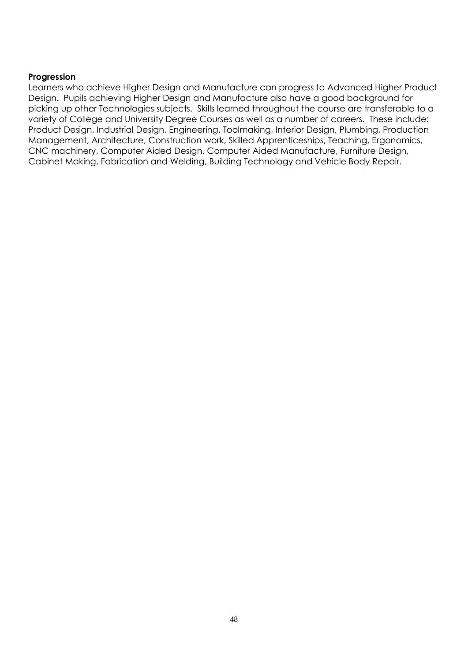#### **Progression**

Learners who achieve Higher Design and Manufacture can progress to Advanced Higher Product Design. Pupils achieving Higher Design and Manufacture also have a good background for picking up other Technologies subjects. Skills learned throughout the course are transferable to a variety of College and University Degree Courses as well as a number of careers. These include: Product Design, Industrial Design, Engineering, Toolmaking, Interior Design, Plumbing, Production Management, Architecture, Construction work, Skilled Apprenticeships, Teaching, Ergonomics, CNC machinery, Computer Aided Design, Computer Aided Manufacture, Furniture Design, Cabinet Making, Fabrication and Welding, Building Technology and Vehicle Body Repair.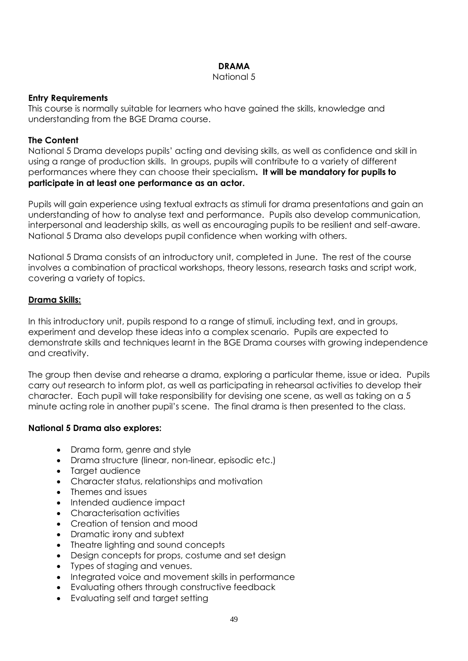#### National 5

## **Entry Requirements**

This course is normally suitable for learners who have gained the skills, knowledge and understanding from the BGE Drama course.

### **The Content**

National 5 Drama develops pupils' acting and devising skills, as well as confidence and skill in using a range of production skills. In groups, pupils will contribute to a variety of different performances where they can choose their specialism**. It will be mandatory for pupils to participate in at least one performance as an actor.**

Pupils will gain experience using textual extracts as stimuli for drama presentations and gain an understanding of how to analyse text and performance. Pupils also develop communication, interpersonal and leadership skills, as well as encouraging pupils to be resilient and self-aware. National 5 Drama also develops pupil confidence when working with others.

National 5 Drama consists of an introductory unit, completed in June. The rest of the course involves a combination of practical workshops, theory lessons, research tasks and script work, covering a variety of topics.

### **Drama Skills:**

In this introductory unit, pupils respond to a range of stimuli, including text, and in groups, experiment and develop these ideas into a complex scenario. Pupils are expected to demonstrate skills and techniques learnt in the BGE Drama courses with growing independence and creativity.

The group then devise and rehearse a drama, exploring a particular theme, issue or idea. Pupils carry out research to inform plot, as well as participating in rehearsal activities to develop their character. Each pupil will take responsibility for devising one scene, as well as taking on a 5 minute acting role in another pupil's scene. The final drama is then presented to the class.

#### **National 5 Drama also explores:**

- Drama form, genre and style
- Drama structure (linear, non-linear, episodic etc.)
- Target audience
- Character status, relationships and motivation
- Themes and issues
- Intended audience impact
- Characterisation activities
- Creation of tension and mood
- Dramatic irony and subtext
- Theatre lighting and sound concepts
- Design concepts for props, costume and set design
- Types of staging and venues.
- Integrated voice and movement skills in performance
- Evaluating others through constructive feedback
- Evaluating self and target setting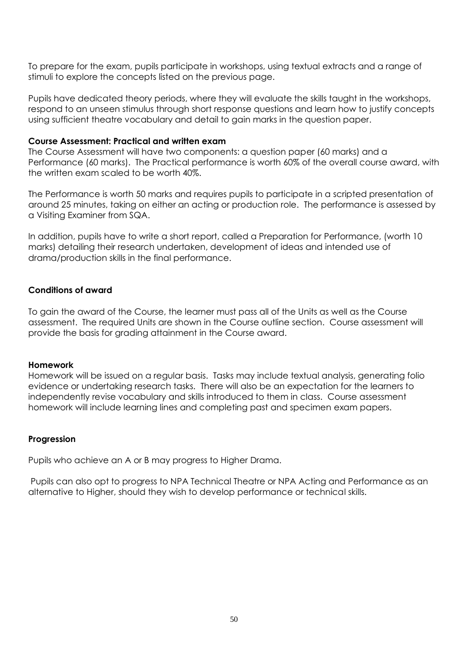To prepare for the exam, pupils participate in workshops, using textual extracts and a range of stimuli to explore the concepts listed on the previous page.

Pupils have dedicated theory periods, where they will evaluate the skills taught in the workshops, respond to an unseen stimulus through short response questions and learn how to justify concepts using sufficient theatre vocabulary and detail to gain marks in the question paper.

#### **Course Assessment: Practical and written exam**

The Course Assessment will have two components: a question paper (60 marks) and a Performance (60 marks). The Practical performance is worth 60% of the overall course award, with the written exam scaled to be worth 40%.

The Performance is worth 50 marks and requires pupils to participate in a scripted presentation of around 25 minutes, taking on either an acting or production role. The performance is assessed by a Visiting Examiner from SQA.

In addition, pupils have to write a short report, called a Preparation for Performance, (worth 10 marks) detailing their research undertaken, development of ideas and intended use of drama/production skills in the final performance.

## **Conditions of award**

To gain the award of the Course, the learner must pass all of the Units as well as the Course assessment. The required Units are shown in the Course outline section. Course assessment will provide the basis for grading attainment in the Course award.

## **Homework**

Homework will be issued on a regular basis. Tasks may include textual analysis, generating folio evidence or undertaking research tasks. There will also be an expectation for the learners to independently revise vocabulary and skills introduced to them in class. Course assessment homework will include learning lines and completing past and specimen exam papers.

## **Progression**

Pupils who achieve an A or B may progress to Higher Drama.

Pupils can also opt to progress to NPA Technical Theatre or NPA Acting and Performance as an alternative to Higher, should they wish to develop performance or technical skills.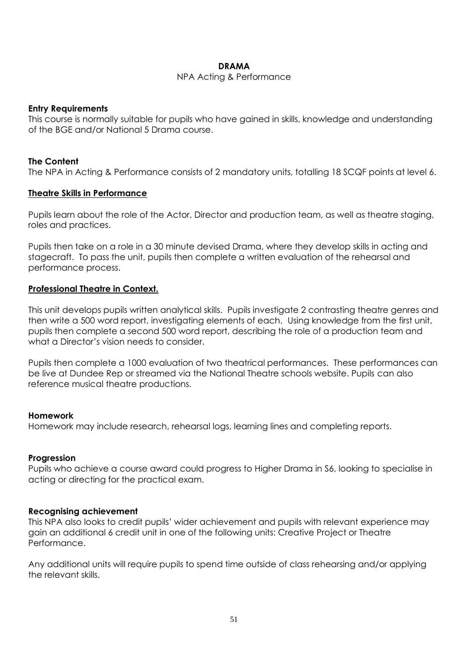### NPA Acting & Performance

#### **Entry Requirements**

This course is normally suitable for pupils who have gained in skills, knowledge and understanding of the BGE and/or National 5 Drama course.

### **The Content**

The NPA in Acting & Performance consists of 2 mandatory units, totalling 18 SCQF points at level 6.

#### **Theatre Skills in Performance**

Pupils learn about the role of the Actor, Director and production team, as well as theatre staging, roles and practices.

Pupils then take on a role in a 30 minute devised Drama, where they develop skills in acting and stagecraft. To pass the unit, pupils then complete a written evaluation of the rehearsal and performance process.

### **Professional Theatre in Context.**

This unit develops pupils written analytical skills. Pupils investigate 2 contrasting theatre genres and then write a 500 word report, investigating elements of each. Using knowledge from the first unit, pupils then complete a second 500 word report, describing the role of a production team and what a Director's vision needs to consider.

Pupils then complete a 1000 evaluation of two theatrical performances. These performances can be live at Dundee Rep or streamed via the National Theatre schools website. Pupils can also reference musical theatre productions.

#### **Homework**

Homework may include research, rehearsal logs, learning lines and completing reports.

#### **Progression**

Pupils who achieve a course award could progress to Higher Drama in S6, looking to specialise in acting or directing for the practical exam.

#### **Recognising achievement**

This NPA also looks to credit pupils' wider achievement and pupils with relevant experience may gain an additional 6 credit unit in one of the following units: Creative Project or Theatre Performance.

Any additional units will require pupils to spend time outside of class rehearsing and/or applying the relevant skills.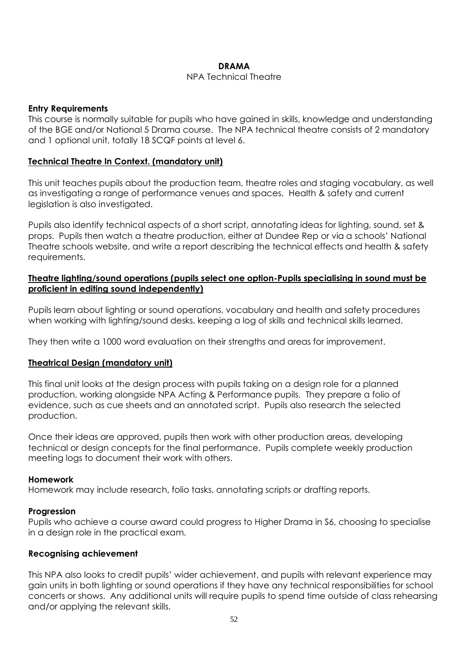### NPA Technical Theatre

#### **Entry Requirements**

This course is normally suitable for pupils who have gained in skills, knowledge and understanding of the BGE and/or National 5 Drama course. The NPA technical theatre consists of 2 mandatory and 1 optional unit, totally 18 SCQF points at level 6.

#### **Technical Theatre In Context. (mandatory unit)**

This unit teaches pupils about the production team, theatre roles and staging vocabulary, as well as investigating a range of performance venues and spaces. Health & safety and current legislation is also investigated.

Pupils also identify technical aspects of a short script, annotating ideas for lighting, sound, set & props. Pupils then watch a theatre production, either at Dundee Rep or via a schools' National Theatre schools website, and write a report describing the technical effects and health & safety requirements.

#### **Theatre lighting/sound operations (pupils select one option-Pupils specialising in sound must be proficient in editing sound independently)**

Pupils learn about lighting or sound operations, vocabulary and health and safety procedures when working with lighting/sound desks, keeping a log of skills and technical skills learned.

They then write a 1000 word evaluation on their strengths and areas for improvement.

#### **Theatrical Design (mandatory unit)**

This final unit looks at the design process with pupils taking on a design role for a planned production, working alongside NPA Acting & Performance pupils. They prepare a folio of evidence, such as cue sheets and an annotated script. Pupils also research the selected production.

Once their ideas are approved, pupils then work with other production areas, developing technical or design concepts for the final performance. Pupils complete weekly production meeting logs to document their work with others.

#### **Homework**

Homework may include research, folio tasks, annotating scripts or drafting reports.

#### **Progression**

Pupils who achieve a course award could progress to Higher Drama in S6, choosing to specialise in a design role in the practical exam.

#### **Recognising achievement**

This NPA also looks to credit pupils' wider achievement, and pupils with relevant experience may gain units in both lighting or sound operations if they have any technical responsibilities for school concerts or shows. Any additional units will require pupils to spend time outside of class rehearsing and/or applying the relevant skills.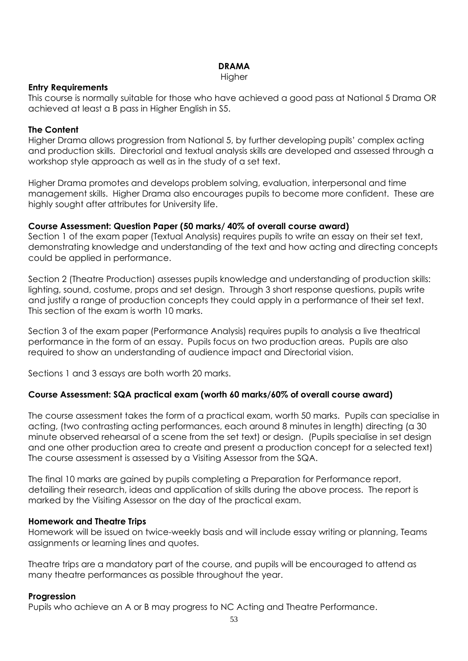#### Higher

### **Entry Requirements**

This course is normally suitable for those who have achieved a good pass at National 5 Drama OR achieved at least a B pass in Higher English in S5.

## **The Content**

Higher Drama allows progression from National 5, by further developing pupils' complex acting and production skills. Directorial and textual analysis skills are developed and assessed through a workshop style approach as well as in the study of a set text.

Higher Drama promotes and develops problem solving, evaluation, interpersonal and time management skills. Higher Drama also encourages pupils to become more confident. These are highly sought after attributes for University life.

## **Course Assessment: Question Paper (50 marks/ 40% of overall course award)**

Section 1 of the exam paper (Textual Analysis) requires pupils to write an essay on their set text, demonstrating knowledge and understanding of the text and how acting and directing concepts could be applied in performance.

Section 2 (Theatre Production) assesses pupils knowledge and understanding of production skills: lighting, sound, costume, props and set design. Through 3 short response questions, pupils write and justify a range of production concepts they could apply in a performance of their set text. This section of the exam is worth 10 marks.

Section 3 of the exam paper (Performance Analysis) requires pupils to analysis a live theatrical performance in the form of an essay. Pupils focus on two production areas. Pupils are also required to show an understanding of audience impact and Directorial vision.

Sections 1 and 3 essays are both worth 20 marks.

## **Course Assessment: SQA practical exam (worth 60 marks/60% of overall course award)**

The course assessment takes the form of a practical exam, worth 50 marks. Pupils can specialise in acting, (two contrasting acting performances, each around 8 minutes in length) directing (a 30 minute observed rehearsal of a scene from the set text) or design. (Pupils specialise in set design and one other production area to create and present a production concept for a selected text) The course assessment is assessed by a Visiting Assessor from the SQA.

The final 10 marks are gained by pupils completing a Preparation for Performance report, detailing their research, ideas and application of skills during the above process. The report is marked by the Visiting Assessor on the day of the practical exam.

## **Homework and Theatre Trips**

Homework will be issued on twice-weekly basis and will include essay writing or planning, Teams assignments or learning lines and quotes.

Theatre trips are a mandatory part of the course, and pupils will be encouraged to attend as many theatre performances as possible throughout the year.

#### **Progression**

Pupils who achieve an A or B may progress to NC Acting and Theatre Performance.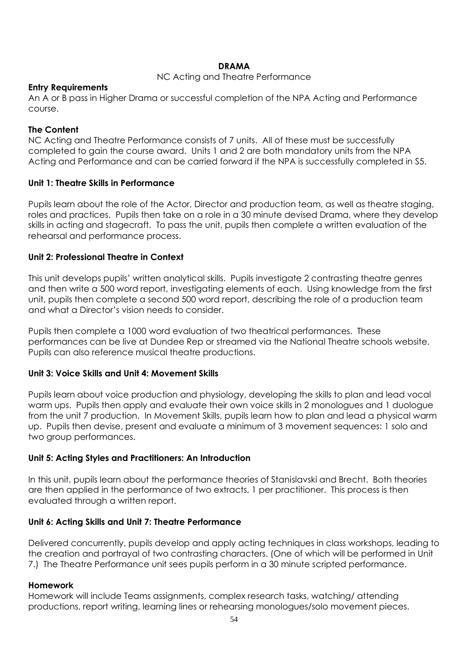### NC Acting and Theatre Performance

## **Entry Requirements**

An A or B pass in Higher Drama or successful completion of the NPA Acting and Performance course.

## **The Content**

NC Acting and Theatre Performance consists of 7 units. All of these must be successfully completed to gain the course award. Units 1 and 2 are both mandatory units from the NPA Acting and Performance and can be carried forward if the NPA is successfully completed in S5.

## **Unit 1: Theatre Skills in Performance**

Pupils learn about the role of the Actor, Director and production team, as well as theatre staging, roles and practices. Pupils then take on a role in a 30 minute devised Drama, where they develop skills in acting and stagecraft. To pass the unit, pupils then complete a written evaluation of the rehearsal and performance process.

## **Unit 2: Professional Theatre in Context**

This unit develops pupils' written analytical skills. Pupils investigate 2 contrasting theatre genres and then write a 500 word report, investigating elements of each. Using knowledge from the first unit, pupils then complete a second 500 word report, describing the role of a production team and what a Director's vision needs to consider.

Pupils then complete a 1000 word evaluation of two theatrical performances. These performances can be live at Dundee Rep or streamed via the National Theatre schools website. Pupils can also reference musical theatre productions.

## **Unit 3: Voice Skills and Unit 4: Movement Skills**

Pupils learn about voice production and physiology, developing the skills to plan and lead vocal warm ups. Pupils then apply and evaluate their own voice skills in 2 monologues and 1 duologue from the unit 7 production. In Movement Skills, pupils learn how to plan and lead a physical warm up. Pupils then devise, present and evaluate a minimum of 3 movement sequences: 1 solo and two group performances.

## **Unit 5: Acting Styles and Practitioners: An Introduction**

In this unit, pupils learn about the performance theories of Stanislavski and Brecht. Both theories are then applied in the performance of two extracts, 1 per practitioner. This process is then evaluated through a written report.

## **Unit 6: Acting Skills and Unit 7: Theatre Performance**

Delivered concurrently, pupils develop and apply acting techniques in class workshops, leading to the creation and portrayal of two contrasting characters. (One of which will be performed in Unit 7.) The Theatre Performance unit sees pupils perform in a 30 minute scripted performance.

#### **Homework**

Homework will include Teams assignments, complex research tasks, watching/ attending productions, report writing, learning lines or rehearsing monologues/solo movement pieces.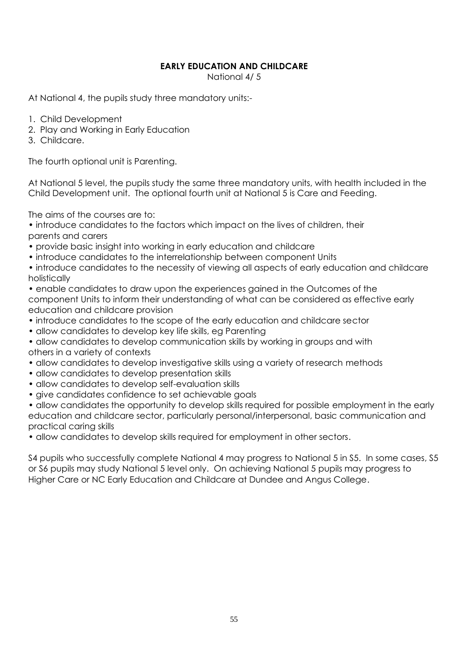## **EARLY EDUCATION AND CHILDCARE**

National 4/ 5

At National 4, the pupils study three mandatory units:-

- 1. Child Development
- 2. Play and Working in Early Education
- 3. Childcare.

The fourth optional unit is Parenting.

At National 5 level, the pupils study the same three mandatory units, with health included in the Child Development unit. The optional fourth unit at National 5 is Care and Feeding.

The aims of the courses are to:

- introduce candidates to the factors which impact on the lives of children, their parents and carers
- provide basic insight into working in early education and childcare
- introduce candidates to the interrelationship between component Units
- introduce candidates to the necessity of viewing all aspects of early education and childcare holistically
- enable candidates to draw upon the experiences gained in the Outcomes of the component Units to inform their understanding of what can be considered as effective early education and childcare provision
- introduce candidates to the scope of the early education and childcare sector
- allow candidates to develop key life skills, eg Parenting
- allow candidates to develop communication skills by working in groups and with others in a variety of contexts
- allow candidates to develop investigative skills using a variety of research methods
- allow candidates to develop presentation skills
- allow candidates to develop self-evaluation skills
- give candidates confidence to set achievable goals

• allow candidates the opportunity to develop skills required for possible employment in the early education and childcare sector, particularly personal/interpersonal, basic communication and practical caring skills

• allow candidates to develop skills required for employment in other sectors.

S4 pupils who successfully complete National 4 may progress to National 5 in S5. In some cases, S5 or S6 pupils may study National 5 level only. On achieving National 5 pupils may progress to Higher Care or NC Early Education and Childcare at Dundee and Angus College.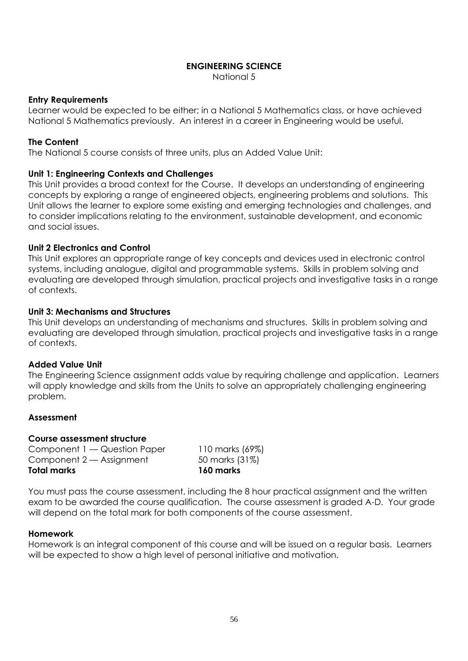## **ENGINEERING SCIENCE**

National 5

#### **Entry Requirements**

Learner would be expected to be either; in a National 5 Mathematics class, or have achieved National 5 Mathematics previously. An interest in a career in Engineering would be useful.

#### **The Content**

The National 5 course consists of three units, plus an Added Value Unit:

#### **Unit 1: Engineering Contexts and Challenges**

This Unit provides a broad context for the Course. It develops an understanding of engineering concepts by exploring a range of engineered objects, engineering problems and solutions. This Unit allows the learner to explore some existing and emerging technologies and challenges, and to consider implications relating to the environment, sustainable development, and economic and social issues.

#### **Unit 2 Electronics and Control**

This Unit explores an appropriate range of key concepts and devices used in electronic control systems, including analogue, digital and programmable systems. Skills in problem solving and evaluating are developed through simulation, practical projects and investigative tasks in a range of contexts.

#### **Unit 3: Mechanisms and Structures**

This Unit develops an understanding of mechanisms and structures. Skills in problem solving and evaluating are developed through simulation, practical projects and investigative tasks in a range of contexts.

#### **Added Value Unit**

The Engineering Science assignment adds value by requiring challenge and application. Learners will apply knowledge and skills from the Units to solve an appropriately challenging engineering problem.

#### **Assessment**

#### **Course assessment structure**

Component 1 — Question Paper 110 marks (69%) Component 2 — Assignment 50 marks (31%) **Total marks 160 marks**

You must pass the course assessment, including the 8 hour practical assignment and the written exam to be awarded the course qualification. The course assessment is graded A-D. Your grade will depend on the total mark for both components of the course assessment.

#### **Homework**

Homework is an integral component of this course and will be issued on a regular basis. Learners will be expected to show a high level of personal initiative and motivation.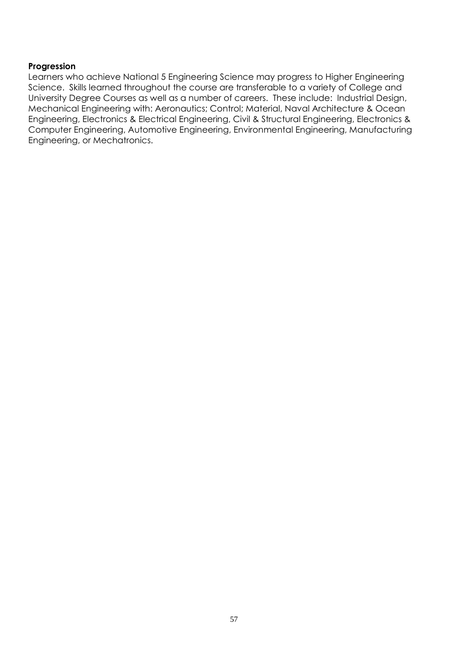#### **Progression**

Learners who achieve National 5 Engineering Science may progress to Higher Engineering Science. Skills learned throughout the course are transferable to a variety of College and University Degree Courses as well as a number of careers. These include: Industrial Design, Mechanical Engineering with: Aeronautics; Control; Material, Naval Architecture & Ocean Engineering, Electronics & Electrical Engineering, Civil & Structural Engineering, Electronics & Computer Engineering, Automotive Engineering, Environmental Engineering, Manufacturing Engineering, or Mechatronics.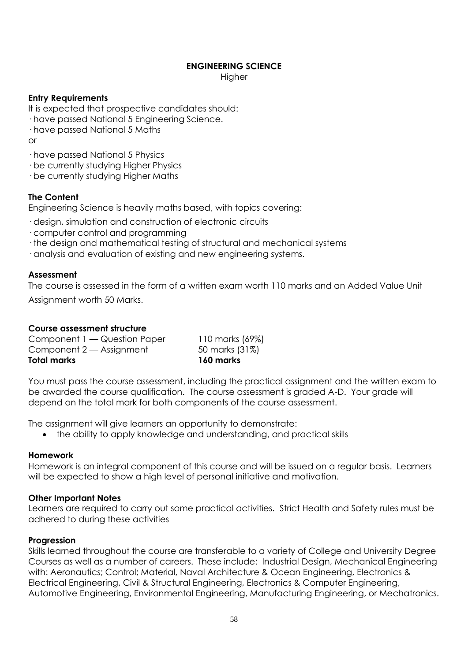## **ENGINEERING SCIENCE**

**Higher** 

### **Entry Requirements**

It is expected that prospective candidates should:

- · have passed National 5 Engineering Science.
- · have passed National 5 Maths

or

- · have passed National 5 Physics
- · be currently studying Higher Physics
- · be currently studying Higher Maths

## **The Content**

Engineering Science is heavily maths based, with topics covering:

- · design, simulation and construction of electronic circuits
- · computer control and programming
- · the design and mathematical testing of structural and mechanical systems
- · analysis and evaluation of existing and new engineering systems.

## **Assessment**

The course is assessed in the form of a written exam worth 110 marks and an Added Value Unit Assignment worth 50 Marks.

#### **Course assessment structure**

| Total marks                  | 160 marks       |
|------------------------------|-----------------|
| Component 2 – Assignment     | 50 marks (31%)  |
| Component 1 – Question Paper | 110 marks (69%) |

You must pass the course assessment, including the practical assignment and the written exam to be awarded the course qualification. The course assessment is graded A-D. Your grade will depend on the total mark for both components of the course assessment.

The assignment will give learners an opportunity to demonstrate:

• the ability to apply knowledge and understanding, and practical skills

#### **Homework**

Homework is an integral component of this course and will be issued on a regular basis. Learners will be expected to show a high level of personal initiative and motivation.

#### **Other Important Notes**

Learners are required to carry out some practical activities. Strict Health and Safety rules must be adhered to during these activities

#### **Progression**

Skills learned throughout the course are transferable to a variety of College and University Degree Courses as well as a number of careers. These include: Industrial Design, Mechanical Engineering with: Aeronautics; Control; Material, Naval Architecture & Ocean Engineering, Electronics & Electrical Engineering, Civil & Structural Engineering, Electronics & Computer Engineering, Automotive Engineering, Environmental Engineering, Manufacturing Engineering, or Mechatronics.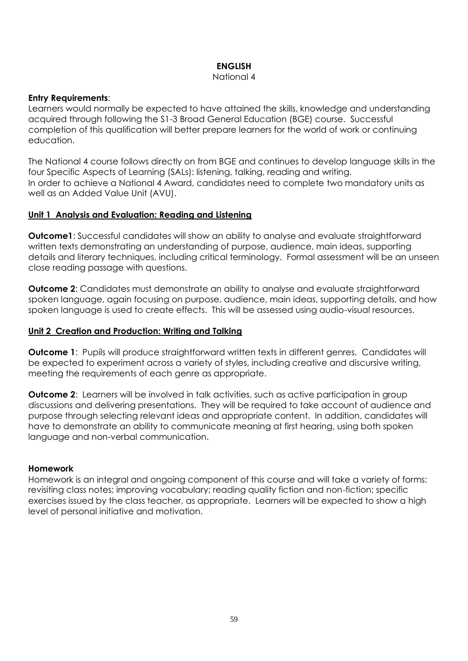#### National 4

## **Entry Requirements**:

Learners would normally be expected to have attained the skills, knowledge and understanding acquired through following the S1-3 Broad General Education (BGE) course. Successful completion of this qualification will better prepare learners for the world of work or continuing education.

The National 4 course follows directly on from BGE and continues to develop language skills in the four Specific Aspects of Learning (SALs): listening, talking, reading and writing. In order to achieve a National 4 Award, candidates need to complete two mandatory units as well as an Added Value Unit (AVU).

### **Unit 1 Analysis and Evaluation: Reading and Listening**

**Outcome1:** Successful candidates will show an ability to analyse and evaluate straightforward written texts demonstrating an understanding of purpose, audience, main ideas, supporting details and literary techniques, including critical terminology. Formal assessment will be an unseen close reading passage with questions.

**Outcome 2**: Candidates must demonstrate an ability to analyse and evaluate straightforward spoken language, again focusing on purpose, audience, main ideas, supporting details, and how spoken language is used to create effects. This will be assessed using audio-visual resources.

## **Unit 2 Creation and Production: Writing and Talking**

**Outcome 1:** Pupils will produce straightforward written texts in different genres. Candidates will be expected to experiment across a variety of styles, including creative and discursive writing, meeting the requirements of each genre as appropriate.

**Outcome 2:** Learners will be involved in talk activities, such as active participation in group discussions and delivering presentations. They will be required to take account of audience and purpose through selecting relevant ideas and appropriate content. In addition, candidates will have to demonstrate an ability to communicate meaning at first hearing, using both spoken language and non-verbal communication.

## **Homework**

Homework is an integral and ongoing component of this course and will take a variety of forms: revisiting class notes; improving vocabulary; reading quality fiction and non-fiction; specific exercises issued by the class teacher, as appropriate. Learners will be expected to show a high level of personal initiative and motivation.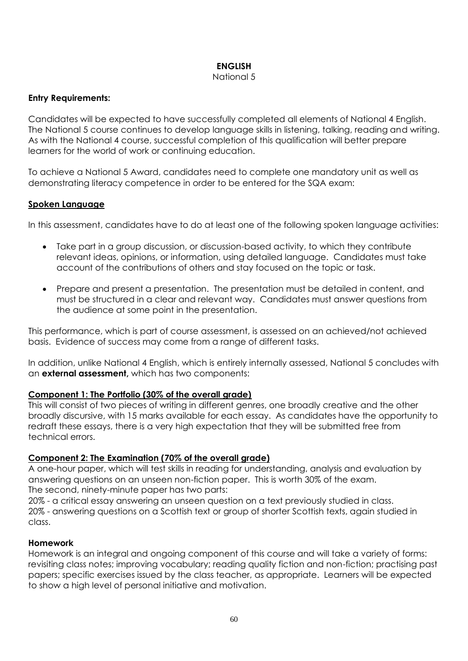#### National 5

## **Entry Requirements:**

Candidates will be expected to have successfully completed all elements of National 4 English. The National 5 course continues to develop language skills in listening, talking, reading and writing. As with the National 4 course, successful completion of this qualification will better prepare learners for the world of work or continuing education.

To achieve a National 5 Award, candidates need to complete one mandatory unit as well as demonstrating literacy competence in order to be entered for the SQA exam:

## **Spoken Language**

In this assessment, candidates have to do at least one of the following spoken language activities:

- Take part in a group discussion, or discussion-based activity, to which they contribute relevant ideas, opinions, or information, using detailed language. Candidates must take account of the contributions of others and stay focused on the topic or task.
- Prepare and present a presentation. The presentation must be detailed in content, and must be structured in a clear and relevant way. Candidates must answer questions from the audience at some point in the presentation.

This performance, which is part of course assessment, is assessed on an achieved/not achieved basis. Evidence of success may come from a range of different tasks.

In addition, unlike National 4 English, which is entirely internally assessed, National 5 concludes with an **external assessment,** which has two components:

## **Component 1: The Portfolio (30% of the overall grade)**

This will consist of two pieces of writing in different genres, one broadly creative and the other broadly discursive, with 15 marks available for each essay. As candidates have the opportunity to redraft these essays, there is a very high expectation that they will be submitted free from technical errors.

## **Component 2: The Examination (70% of the overall grade)**

A one-hour paper, which will test skills in reading for understanding, analysis and evaluation by answering questions on an unseen non-fiction paper. This is worth 30% of the exam. The second, ninety-minute paper has two parts:

20% - a critical essay answering an unseen question on a text previously studied in class. 20% - answering questions on a Scottish text or group of shorter Scottish texts, again studied in class.

## **Homework**

Homework is an integral and ongoing component of this course and will take a variety of forms: revisiting class notes; improving vocabulary; reading quality fiction and non-fiction; practising past papers; specific exercises issued by the class teacher, as appropriate. Learners will be expected to show a high level of personal initiative and motivation.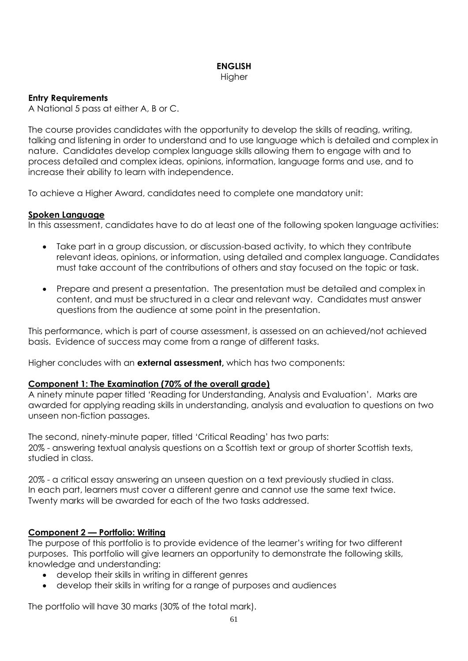Higher

## **Entry Requirements**

A National 5 pass at either A, B or C.

The course provides candidates with the opportunity to develop the skills of reading, writing, talking and listening in order to understand and to use language which is detailed and complex in nature. Candidates develop complex language skills allowing them to engage with and to process detailed and complex ideas, opinions, information, language forms and use, and to increase their ability to learn with independence.

To achieve a Higher Award, candidates need to complete one mandatory unit:

## **Spoken Language**

In this assessment, candidates have to do at least one of the following spoken language activities:

- Take part in a group discussion, or discussion-based activity, to which they contribute relevant ideas, opinions, or information, using detailed and complex language. Candidates must take account of the contributions of others and stay focused on the topic or task.
- Prepare and present a presentation. The presentation must be detailed and complex in content, and must be structured in a clear and relevant way. Candidates must answer questions from the audience at some point in the presentation.

This performance, which is part of course assessment, is assessed on an achieved/not achieved basis. Evidence of success may come from a range of different tasks.

Higher concludes with an **external assessment,** which has two components:

## **Component 1: The Examination (70% of the overall grade)**

A ninety minute paper titled 'Reading for Understanding, Analysis and Evaluation'. Marks are awarded for applying reading skills in understanding, analysis and evaluation to questions on two unseen non-fiction passages.

The second, ninety-minute paper, titled 'Critical Reading' has two parts: 20% - answering textual analysis questions on a Scottish text or group of shorter Scottish texts, studied in class.

20% - a critical essay answering an unseen question on a text previously studied in class. In each part, learners must cover a different genre and cannot use the same text twice. Twenty marks will be awarded for each of the two tasks addressed.

## **Component 2 — Portfolio: Writing**

The purpose of this portfolio is to provide evidence of the learner's writing for two different purposes. This portfolio will give learners an opportunity to demonstrate the following skills, knowledge and understanding:

- develop their skills in writing in different genres
- develop their skills in writing for a range of purposes and audiences

The portfolio will have 30 marks (30% of the total mark).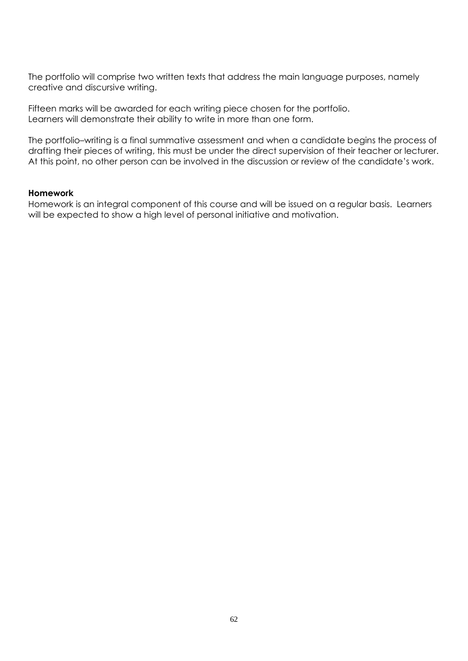The portfolio will comprise two written texts that address the main language purposes, namely creative and discursive writing.

Fifteen marks will be awarded for each writing piece chosen for the portfolio. Learners will demonstrate their ability to write in more than one form.

The portfolio–writing is a final summative assessment and when a candidate begins the process of drafting their pieces of writing, this must be under the direct supervision of their teacher or lecturer. At this point, no other person can be involved in the discussion or review of the candidate's work.

#### **Homework**

Homework is an integral component of this course and will be issued on a regular basis. Learners will be expected to show a high level of personal initiative and motivation.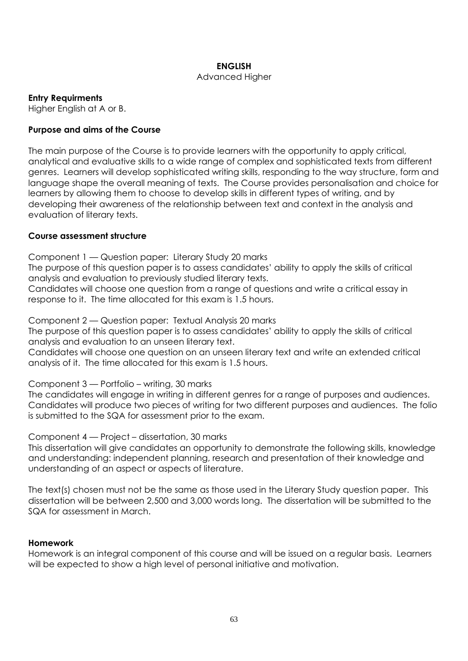### Advanced Higher

## **Entry Requirments**

Higher English at A or B.

## **Purpose and aims of the Course**

The main purpose of the Course is to provide learners with the opportunity to apply critical, analytical and evaluative skills to a wide range of complex and sophisticated texts from different genres. Learners will develop sophisticated writing skills, responding to the way structure, form and language shape the overall meaning of texts. The Course provides personalisation and choice for learners by allowing them to choose to develop skills in different types of writing, and by developing their awareness of the relationship between text and context in the analysis and evaluation of literary texts.

## **Course assessment structure**

Component 1 — Question paper: Literary Study 20 marks

The purpose of this question paper is to assess candidates' ability to apply the skills of critical analysis and evaluation to previously studied literary texts.

Candidates will choose one question from a range of questions and write a critical essay in response to it. The time allocated for this exam is 1.5 hours.

Component 2 — Question paper: Textual Analysis 20 marks

The purpose of this question paper is to assess candidates' ability to apply the skills of critical analysis and evaluation to an unseen literary text.

Candidates will choose one question on an unseen literary text and write an extended critical analysis of it. The time allocated for this exam is 1.5 hours.

#### Component 3 — Portfolio – writing, 30 marks

The candidates will engage in writing in different genres for a range of purposes and audiences. Candidates will produce two pieces of writing for two different purposes and audiences. The folio is submitted to the SQA for assessment prior to the exam.

#### Component 4 — Project – dissertation, 30 marks

This dissertation will give candidates an opportunity to demonstrate the following skills, knowledge and understanding: independent planning, research and presentation of their knowledge and understanding of an aspect or aspects of literature.

The text(s) chosen must not be the same as those used in the Literary Study question paper. This dissertation will be between 2,500 and 3,000 words long. The dissertation will be submitted to the SQA for assessment in March.

## **Homework**

Homework is an integral component of this course and will be issued on a regular basis. Learners will be expected to show a high level of personal initiative and motivation.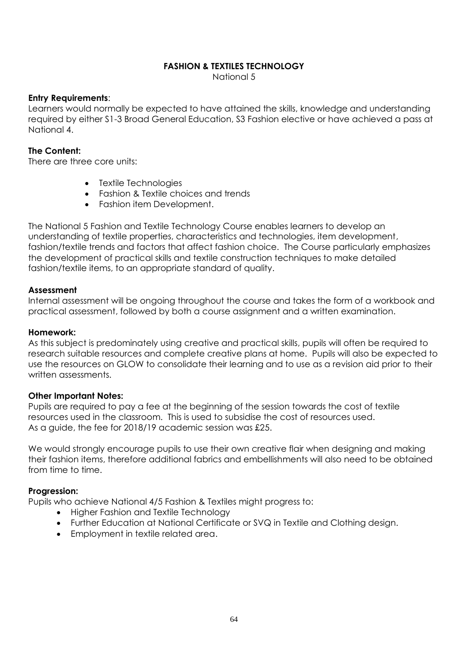## **FASHION & TEXTILES TECHNOLOGY**

National 5

#### **Entry Requirements**:

Learners would normally be expected to have attained the skills, knowledge and understanding required by either S1-3 Broad General Education, S3 Fashion elective or have achieved a pass at National 4.

## **The Content:**

There are three core units:

- Textile Technologies
- Fashion & Textile choices and trends
- Fashion item Development.

The National 5 Fashion and Textile Technology Course enables learners to develop an understanding of textile properties, characteristics and technologies, item development, fashion/textile trends and factors that affect fashion choice. The Course particularly emphasizes the development of practical skills and textile construction techniques to make detailed fashion/textile items, to an appropriate standard of quality.

#### **Assessment**

Internal assessment will be ongoing throughout the course and takes the form of a workbook and practical assessment, followed by both a course assignment and a written examination.

#### **Homework:**

As this subject is predominately using creative and practical skills, pupils will often be required to research suitable resources and complete creative plans at home. Pupils will also be expected to use the resources on GLOW to consolidate their learning and to use as a revision aid prior to their written assessments.

#### **Other Important Notes:**

Pupils are required to pay a fee at the beginning of the session towards the cost of textile resources used in the classroom. This is used to subsidise the cost of resources used. As a guide, the fee for 2018/19 academic session was £25.

We would strongly encourage pupils to use their own creative flair when designing and making their fashion items, therefore additional fabrics and embellishments will also need to be obtained from time to time.

#### **Progression:**

Pupils who achieve National 4/5 Fashion & Textiles might progress to:

- Higher Fashion and Textile Technology
- Further Education at National Certificate or SVQ in Textile and Clothing design.
- Employment in textile related area.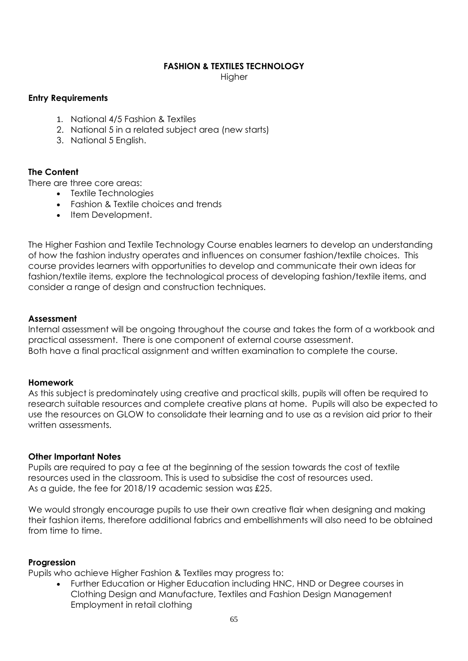### **FASHION & TEXTILES TECHNOLOGY**

**Higher** 

#### **Entry Requirements**

- 1. National 4/5 Fashion & Textiles
- 2. National 5 in a related subject area (new starts)
- 3. National 5 English.

## **The Content**

There are three core areas:

- Textile Technologies
- Fashion & Textile choices and trends
- Item Development.

The Higher Fashion and Textile Technology Course enables learners to develop an understanding of how the fashion industry operates and influences on consumer fashion/textile choices. This course provides learners with opportunities to develop and communicate their own ideas for fashion/textile items, explore the technological process of developing fashion/textile items, and consider a range of design and construction techniques.

#### **Assessment**

Internal assessment will be ongoing throughout the course and takes the form of a workbook and practical assessment. There is one component of external course assessment. Both have a final practical assignment and written examination to complete the course.

#### **Homework**

As this subject is predominately using creative and practical skills, pupils will often be required to research suitable resources and complete creative plans at home. Pupils will also be expected to use the resources on GLOW to consolidate their learning and to use as a revision aid prior to their written assessments.

#### **Other Important Notes**

Pupils are required to pay a fee at the beginning of the session towards the cost of textile resources used in the classroom. This is used to subsidise the cost of resources used. As a guide, the fee for 2018/19 academic session was £25.

We would strongly encourage pupils to use their own creative flair when designing and making their fashion items, therefore additional fabrics and embellishments will also need to be obtained from time to time.

#### **Progression**

Pupils who achieve Higher Fashion & Textiles may progress to:

• Further Education or Higher Education including HNC, HND or Degree courses in Clothing Design and Manufacture, Textiles and Fashion Design Management Employment in retail clothing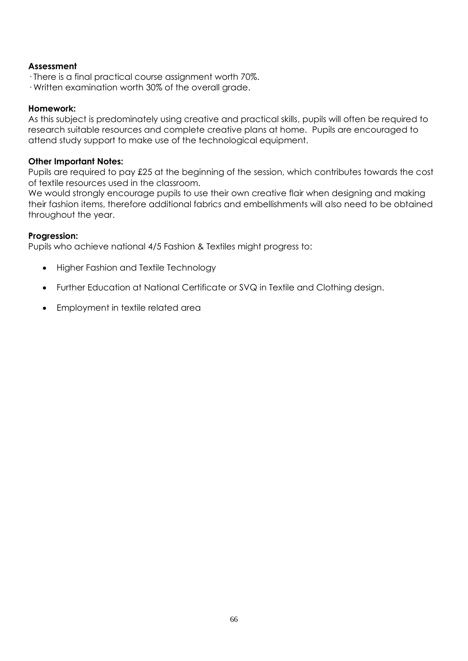## **Assessment**

- · There is a final practical course assignment worth 70%.
- · Written examination worth 30% of the overall grade.

#### **Homework:**

As this subject is predominately using creative and practical skills, pupils will often be required to research suitable resources and complete creative plans at home. Pupils are encouraged to attend study support to make use of the technological equipment.

#### **Other Important Notes:**

Pupils are required to pay £25 at the beginning of the session, which contributes towards the cost of textile resources used in the classroom.

We would strongly encourage pupils to use their own creative flair when designing and making their fashion items, therefore additional fabrics and embellishments will also need to be obtained throughout the year.

#### **Progression:**

Pupils who achieve national 4/5 Fashion & Textiles might progress to:

- Higher Fashion and Textile Technology
- Further Education at National Certificate or SVQ in Textile and Clothing design.
- Employment in textile related area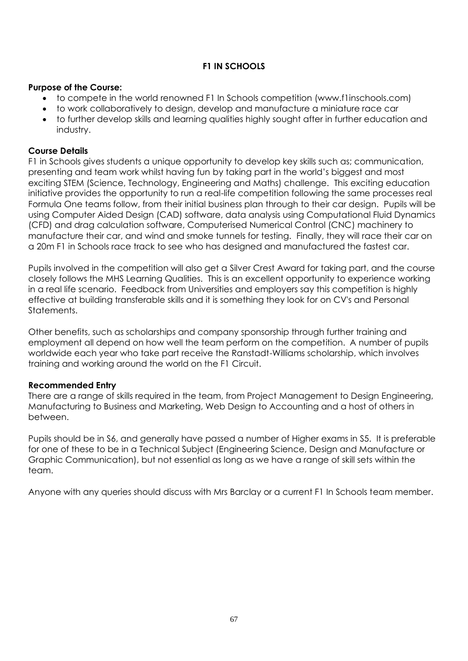## **F1 IN SCHOOLS**

## **Purpose of the Course:**

- to compete in the world renowned F1 In Schools competition (www.f1inschools.com)
- to work collaboratively to design, develop and manufacture a miniature race car
- to further develop skills and learning qualities highly sought after in further education and industry.

## **Course Details**

F1 in Schools gives students a unique opportunity to develop key skills such as; communication, presenting and team work whilst having fun by taking part in the world's biggest and most exciting STEM (Science, Technology, Engineering and Maths) challenge. This exciting education initiative provides the opportunity to run a real-life competition following the same processes real Formula One teams follow, from their initial business plan through to their car design. Pupils will be using Computer Aided Design (CAD) software, data analysis using Computational Fluid Dynamics (CFD) and drag calculation software, Computerised Numerical Control (CNC) machinery to manufacture their car, and wind and smoke tunnels for testing. Finally, they will race their car on a 20m F1 in Schools race track to see who has designed and manufactured the fastest car.

Pupils involved in the competition will also get a Silver Crest Award for taking part, and the course closely follows the MHS Learning Qualities. This is an excellent opportunity to experience working in a real life scenario. Feedback from Universities and employers say this competition is highly effective at building transferable skills and it is something they look for on CV's and Personal Statements.

Other benefits, such as scholarships and company sponsorship through further training and employment all depend on how well the team perform on the competition. A number of pupils worldwide each year who take part receive the Ranstadt-Williams scholarship, which involves training and working around the world on the F1 Circuit.

#### **Recommended Entry**

There are a range of skills required in the team, from Project Management to Design Engineering, Manufacturing to Business and Marketing, Web Design to Accounting and a host of others in between.

Pupils should be in S6, and generally have passed a number of Higher exams in S5. It is preferable for one of these to be in a Technical Subject (Engineering Science, Design and Manufacture or Graphic Communication), but not essential as long as we have a range of skill sets within the team.

Anyone with any queries should discuss with Mrs Barclay or a current F1 In Schools team member.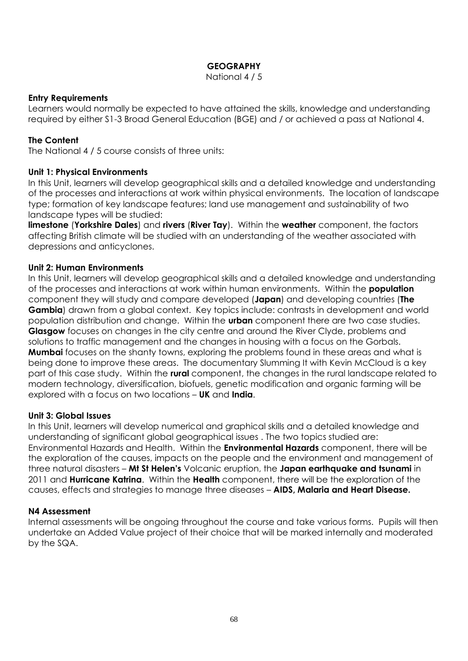## **GEOGRAPHY**

National 4 / 5

## **Entry Requirements**

Learners would normally be expected to have attained the skills, knowledge and understanding required by either S1-3 Broad General Education (BGE) and / or achieved a pass at National 4.

### **The Content**

The National 4 / 5 course consists of three units:

### **Unit 1: Physical Environments**

In this Unit, learners will develop geographical skills and a detailed knowledge and understanding of the processes and interactions at work within physical environments. The location of landscape type; formation of key landscape features; land use management and sustainability of two landscape types will be studied:

**limestone** (**Yorkshire Dales**) and **rivers** (**River Tay**). Within the **weather** component, the factors affecting British climate will be studied with an understanding of the weather associated with depressions and anticyclones.

#### **Unit 2: Human Environments**

In this Unit, learners will develop geographical skills and a detailed knowledge and understanding of the processes and interactions at work within human environments. Within the **population** component they will study and compare developed (**Japan**) and developing countries (**The Gambia**) drawn from a global context. Key topics include: contrasts in development and world population distribution and change. Within the **urban** component there are two case studies. **Glasgow** focuses on changes in the city centre and around the River Clyde, problems and solutions to traffic management and the changes in housing with a focus on the Gorbals. **Mumbai** focuses on the shanty towns, exploring the problems found in these areas and what is being done to improve these areas. The documentary Slumming It with Kevin McCloud is a key part of this case study. Within the **rural** component, the changes in the rural landscape related to modern technology, diversification, biofuels, genetic modification and organic farming will be explored with a focus on two locations – **UK** and **India**.

#### **Unit 3: Global Issues**

In this Unit, learners will develop numerical and graphical skills and a detailed knowledge and understanding of significant global geographical issues . The two topics studied are: Environmental Hazards and Health. Within the **Environmental Hazards** component, there will be the exploration of the causes, impacts on the people and the environment and management of three natural disasters – **Mt St Helen's** Volcanic eruption, the **Japan earthquake and tsunami** in 2011 and **Hurricane Katrina**. Within the **Health** component, there will be the exploration of the causes, effects and strategies to manage three diseases – **AIDS, Malaria and Heart Disease.** 

#### **N4 Assessment**

Internal assessments will be ongoing throughout the course and take various forms. Pupils will then undertake an Added Value project of their choice that will be marked internally and moderated by the SQA.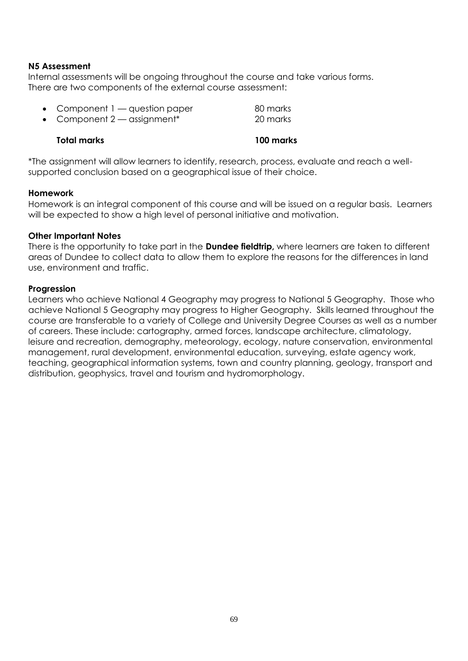#### **N5 Assessment**

Internal assessments will be ongoing throughout the course and take various forms. There are two components of the external course assessment:

| Component 1 — question paper |  |  | 80 marks |
|------------------------------|--|--|----------|
|                              |  |  |          |

• Component 2 — assignment\* 20 marks

## **Total marks 100 marks**

\*The assignment will allow learners to identify, research, process, evaluate and reach a wellsupported conclusion based on a geographical issue of their choice.

## **Homework**

Homework is an integral component of this course and will be issued on a regular basis. Learners will be expected to show a high level of personal initiative and motivation.

### **Other Important Notes**

There is the opportunity to take part in the **Dundee fieldtrip,** where learners are taken to different areas of Dundee to collect data to allow them to explore the reasons for the differences in land use, environment and traffic.

### **Progression**

Learners who achieve National 4 Geography may progress to National 5 Geography. Those who achieve National 5 Geography may progress to Higher Geography. Skills learned throughout the course are transferable to a variety of College and University Degree Courses as well as a number of careers. These include: cartography, armed forces, landscape architecture, climatology, leisure and recreation, demography, meteorology, ecology, nature conservation, environmental management, rural development, environmental education, surveying, estate agency work, teaching, geographical information systems, town and country planning, geology, transport and distribution, geophysics, travel and tourism and hydromorphology.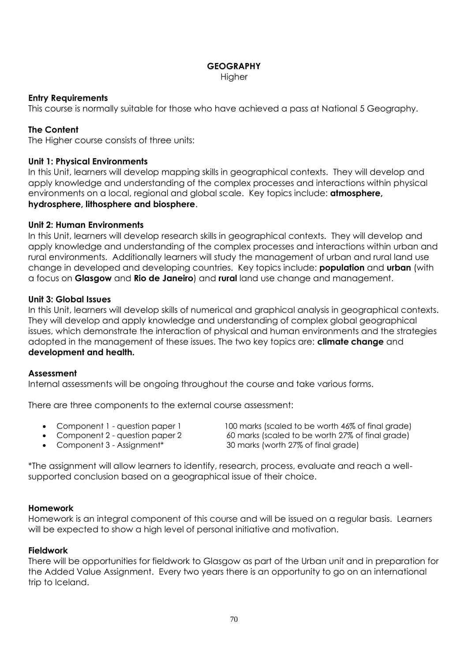# **GEOGRAPHY**

**Higher** 

## **Entry Requirements**

This course is normally suitable for those who have achieved a pass at National 5 Geography.

## **The Content**

The Higher course consists of three units:

### **Unit 1: Physical Environments**

In this Unit, learners will develop mapping skills in geographical contexts. They will develop and apply knowledge and understanding of the complex processes and interactions within physical environments on a local, regional and global scale. Key topics include: **atmosphere, hydrosphere, lithosphere and biosphere**.

#### **Unit 2: Human Environments**

In this Unit, learners will develop research skills in geographical contexts. They will develop and apply knowledge and understanding of the complex processes and interactions within urban and rural environments. Additionally learners will study the management of urban and rural land use change in developed and developing countries. Key topics include: **population** and **urban** (with a focus on **Glasgow** and **Rio de Janeiro**) and **rural** land use change and management.

#### **Unit 3: Global Issues**

In this Unit, learners will develop skills of numerical and graphical analysis in geographical contexts. They will develop and apply knowledge and understanding of complex global geographical issues, which demonstrate the interaction of physical and human environments and the strategies adopted in the management of these issues. The two key topics are: **climate change** and **development and health.**

#### **Assessment**

Internal assessments will be ongoing throughout the course and take various forms.

There are three components to the external course assessment:

• Component 1 - question paper 1 100 marks (scaled to be worth 46% of final grade) • Component 2 - question paper 2 60 marks (scaled to be worth 27% of final grade) • Component 3 - Assignment\* 30 marks (worth 27% of final grade)

\*The assignment will allow learners to identify, research, process, evaluate and reach a wellsupported conclusion based on a geographical issue of their choice.

#### **Homework**

Homework is an integral component of this course and will be issued on a regular basis. Learners will be expected to show a high level of personal initiative and motivation.

#### **Fieldwork**

There will be opportunities for fieldwork to Glasgow as part of the Urban unit and in preparation for the Added Value Assignment. Every two years there is an opportunity to go on an international trip to Iceland.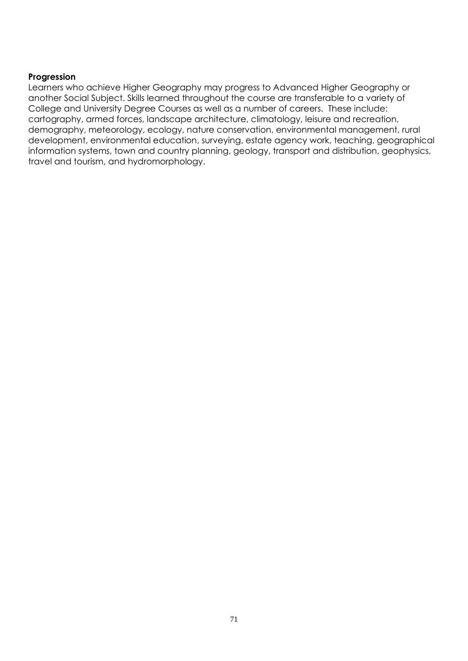#### **Progression**

Learners who achieve Higher Geography may progress to Advanced Higher Geography or another Social Subject. Skills learned throughout the course are transferable to a variety of College and University Degree Courses as well as a number of careers. These include: cartography, armed forces, landscape architecture, climatology, leisure and recreation, demography, meteorology, ecology, nature conservation, environmental management, rural development, environmental education, surveying, estate agency work, teaching, geographical information systems, town and country planning, geology, transport and distribution, geophysics, travel and tourism, and hydromorphology.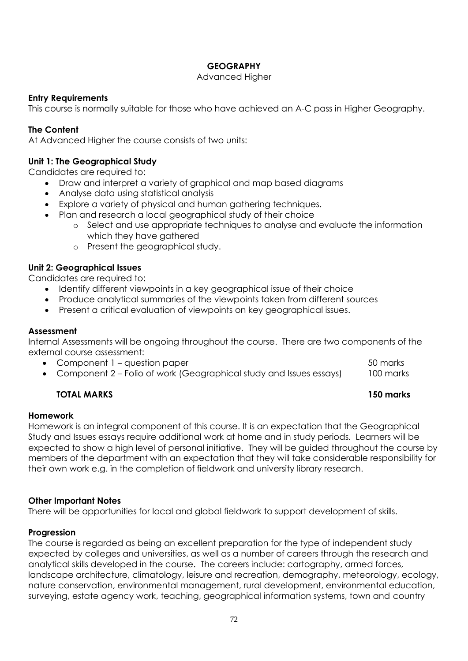## **GEOGRAPHY**

#### Advanced Higher

## **Entry Requirements**

This course is normally suitable for those who have achieved an A-C pass in Higher Geography.

## **The Content**

At Advanced Higher the course consists of two units:

## **Unit 1: The Geographical Study**

Candidates are required to:

- Draw and interpret a variety of graphical and map based diagrams
- Analyse data using statistical analysis
- Explore a variety of physical and human gathering techniques.
- Plan and research a local geographical study of their choice
	- o Select and use appropriate techniques to analyse and evaluate the information which they have gathered
	- o Present the geographical study.

## **Unit 2: Geographical Issues**

Candidates are required to:

- Identify different viewpoints in a key geographical issue of their choice
- Produce analytical summaries of the viewpoints taken from different sources
- Present a critical evaluation of viewpoints on key geographical issues.

## **Assessment**

Internal Assessments will be ongoing throughout the course. There are two components of the external course assessment:

| • Component $1$ – question paper                                     | 50 marks  |
|----------------------------------------------------------------------|-----------|
| • Component 2 – Folio of work (Geographical study and Issues essays) | 100 marks |

## **TOTAL MARKS 150 marks**

## **Homework**

Homework is an integral component of this course. It is an expectation that the Geographical Study and Issues essays require additional work at home and in study periods. Learners will be expected to show a high level of personal initiative. They will be guided throughout the course by members of the department with an expectation that they will take considerable responsibility for their own work e.g. in the completion of fieldwork and university library research.

#### **Other Important Notes**

There will be opportunities for local and global fieldwork to support development of skills.

## **Progression**

The course is regarded as being an excellent preparation for the type of independent study expected by colleges and universities, as well as a number of careers through the research and analytical skills developed in the course. The careers include: cartography, armed forces, landscape architecture, climatology, leisure and recreation, demography, meteorology, ecology, nature conservation, environmental management, rural development, environmental education, surveying, estate agency work, teaching, geographical information systems, town and country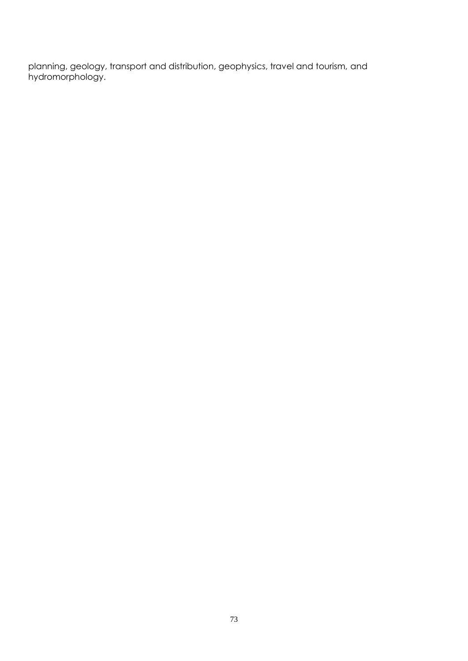planning, geology, transport and distribution, geophysics, travel and tourism, and hydromorphology.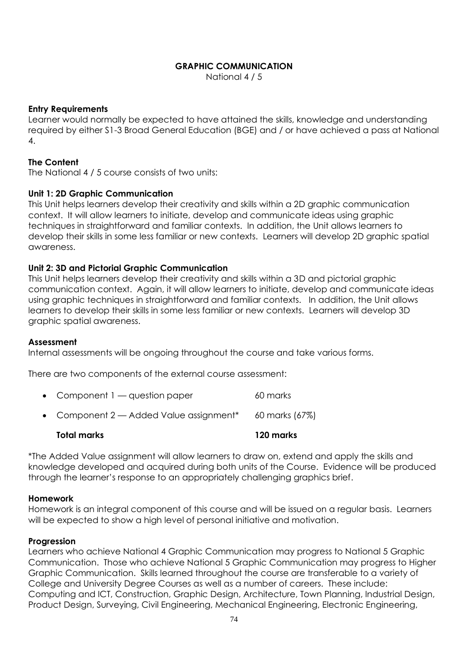#### **GRAPHIC COMMUNICATION**

National 4 / 5

#### **Entry Requirements**

Learner would normally be expected to have attained the skills, knowledge and understanding required by either S1-3 Broad General Education (BGE) and / or have achieved a pass at National 4.

#### **The Content**

The National 4 / 5 course consists of two units:

#### **Unit 1: 2D Graphic Communication**

This Unit helps learners develop their creativity and skills within a 2D graphic communication context. It will allow learners to initiate, develop and communicate ideas using graphic techniques in straightforward and familiar contexts. In addition, the Unit allows learners to develop their skills in some less familiar or new contexts. Learners will develop 2D graphic spatial awareness.

#### **Unit 2: 3D and Pictorial Graphic Communication**

This Unit helps learners develop their creativity and skills within a 3D and pictorial graphic communication context. Again, it will allow learners to initiate, develop and communicate ideas using graphic techniques in straightforward and familiar contexts. In addition, the Unit allows learners to develop their skills in some less familiar or new contexts. Learners will develop 3D graphic spatial awareness.

#### **Assessment**

Internal assessments will be ongoing throughout the course and take various forms.

There are two components of the external course assessment:

| Total marks                             | 120 marks      |
|-----------------------------------------|----------------|
| • Component 2 — Added Value assignment* | 60 marks (67%) |
| • Component $1$ — question paper        | 60 marks       |

\*The Added Value assignment will allow learners to draw on, extend and apply the skills and knowledge developed and acquired during both units of the Course. Evidence will be produced through the learner's response to an appropriately challenging graphics brief.

#### **Homework**

Homework is an integral component of this course and will be issued on a regular basis. Learners will be expected to show a high level of personal initiative and motivation.

#### **Progression**

Learners who achieve National 4 Graphic Communication may progress to National 5 Graphic Communication. Those who achieve National 5 Graphic Communication may progress to Higher Graphic Communication. Skills learned throughout the course are transferable to a variety of College and University Degree Courses as well as a number of careers. These include: Computing and ICT, Construction, Graphic Design, Architecture, Town Planning, Industrial Design, Product Design, Surveying, Civil Engineering, Mechanical Engineering, Electronic Engineering,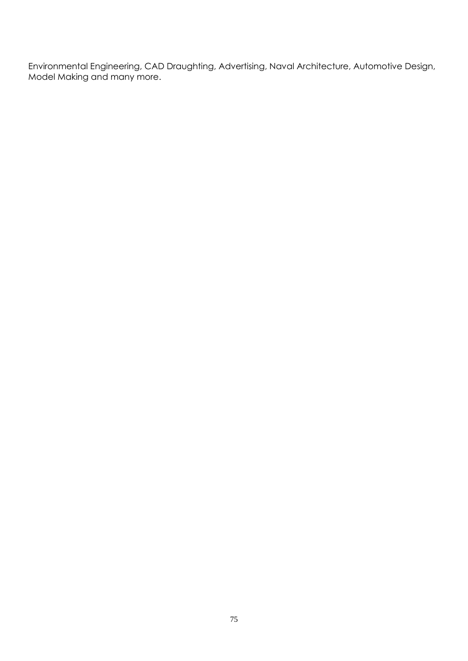Environmental Engineering, CAD Draughting, Advertising, Naval Architecture, Automotive Design, Model Making and many more.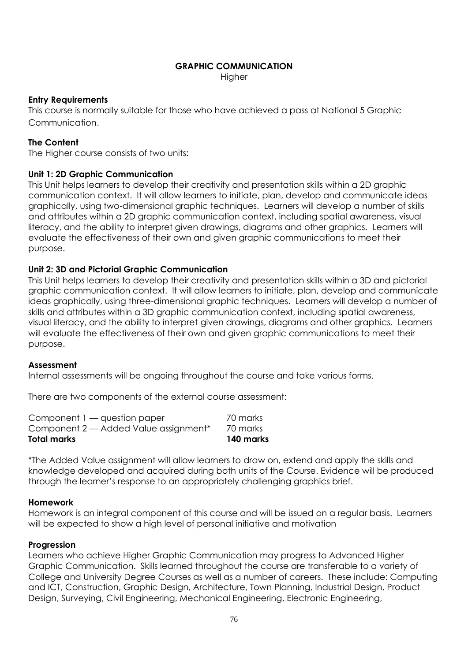#### **GRAPHIC COMMUNICATION**

**Higher** 

#### **Entry Requirements**

This course is normally suitable for those who have achieved a pass at National 5 Graphic Communication.

#### **The Content**

The Higher course consists of two units:

#### **Unit 1: 2D Graphic Communication**

This Unit helps learners to develop their creativity and presentation skills within a 2D graphic communication context. It will allow learners to initiate, plan, develop and communicate ideas graphically, using two-dimensional graphic techniques. Learners will develop a number of skills and attributes within a 2D graphic communication context, including spatial awareness, visual literacy, and the ability to interpret given drawings, diagrams and other graphics. Learners will evaluate the effectiveness of their own and given graphic communications to meet their purpose.

#### **Unit 2: 3D and Pictorial Graphic Communication**

This Unit helps learners to develop their creativity and presentation skills within a 3D and pictorial graphic communication context. It will allow learners to initiate, plan, develop and communicate ideas graphically, using three-dimensional graphic techniques. Learners will develop a number of skills and attributes within a 3D graphic communication context, including spatial awareness, visual literacy, and the ability to interpret given drawings, diagrams and other graphics. Learners will evaluate the effectiveness of their own and given graphic communications to meet their purpose.

#### **Assessment**

Internal assessments will be ongoing throughout the course and take various forms.

There are two components of the external course assessment:

| Total marks                                       | 140 marks |
|---------------------------------------------------|-----------|
| Component 2 – Added Value assignment <sup>*</sup> | 70 marks  |
| Component $1$ — question paper                    | 70 marks  |

\*The Added Value assignment will allow learners to draw on, extend and apply the skills and knowledge developed and acquired during both units of the Course. Evidence will be produced through the learner's response to an appropriately challenging graphics brief.

#### **Homework**

Homework is an integral component of this course and will be issued on a regular basis. Learners will be expected to show a high level of personal initiative and motivation

#### **Progression**

Learners who achieve Higher Graphic Communication may progress to Advanced Higher Graphic Communication. Skills learned throughout the course are transferable to a variety of College and University Degree Courses as well as a number of careers. These include: Computing and ICT, Construction, Graphic Design, Architecture, Town Planning, Industrial Design, Product Design, Surveying, Civil Engineering, Mechanical Engineering, Electronic Engineering,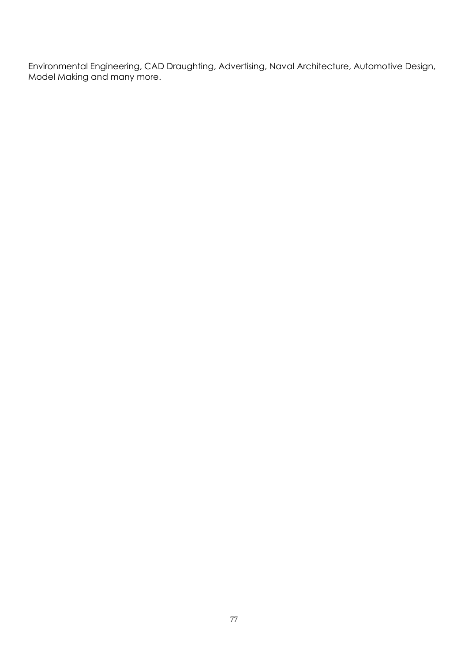Environmental Engineering, CAD Draughting, Advertising, Naval Architecture, Automotive Design, Model Making and many more.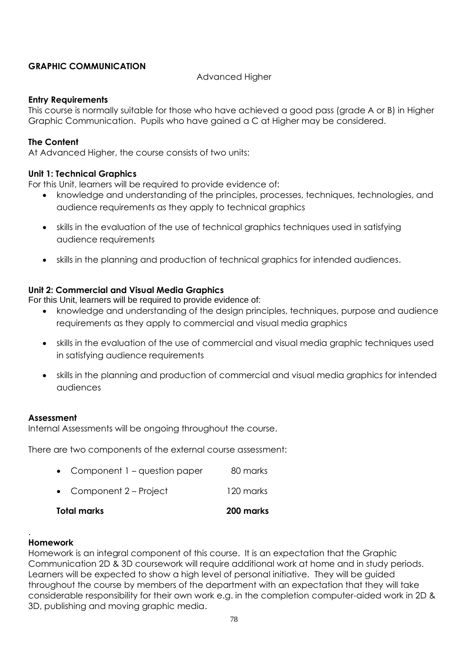### **GRAPHIC COMMUNICATION**

#### Advanced Higher

#### **Entry Requirements**

This course is normally suitable for those who have achieved a good pass (grade A or B) in Higher Graphic Communication. Pupils who have gained a C at Higher may be considered.

#### **The Content**

At Advanced Higher, the course consists of two units:

#### **Unit 1: Technical Graphics**

For this Unit, learners will be required to provide evidence of:

- knowledge and understanding of the principles, processes, techniques, technologies, and audience requirements as they apply to technical graphics
- skills in the evaluation of the use of technical graphics techniques used in satisfying audience requirements
- skills in the planning and production of technical graphics for intended audiences.

#### **Unit 2: Commercial and Visual Media Graphics**

For this Unit, learners will be required to provide evidence of:

- knowledge and understanding of the design principles, techniques, purpose and audience requirements as they apply to commercial and visual media graphics
- skills in the evaluation of the use of commercial and visual media graphic techniques used in satisfying audience requirements
- skills in the planning and production of commercial and visual media graphics for intended audiences

#### **Assessment**

Internal Assessments will be ongoing throughout the course.

There are two components of the external course assessment:

| Total marks                      | 200 marks |
|----------------------------------|-----------|
| • Component $2$ – Project        | 120 marks |
| • Component $1$ – question paper | 80 marks  |

#### . **Homework**

Homework is an integral component of this course. It is an expectation that the Graphic Communication 2D & 3D coursework will require additional work at home and in study periods. Learners will be expected to show a high level of personal initiative. They will be guided throughout the course by members of the department with an expectation that they will take considerable responsibility for their own work e.g. in the completion computer-aided work in 2D & 3D, publishing and moving graphic media.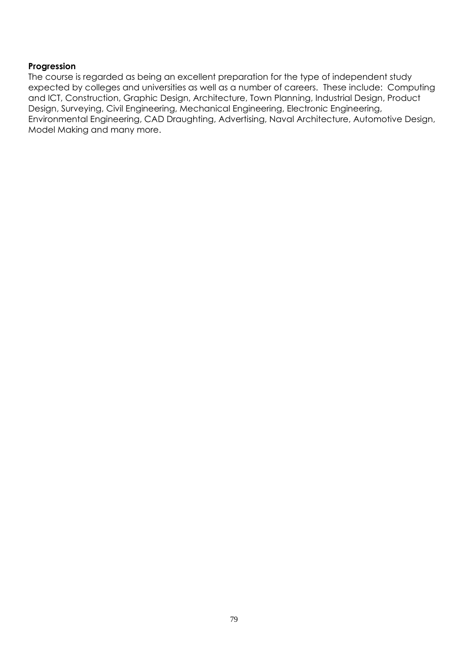#### **Progression**

The course is regarded as being an excellent preparation for the type of independent study expected by colleges and universities as well as a number of careers. These include: Computing and ICT, Construction, Graphic Design, Architecture, Town Planning, Industrial Design, Product Design, Surveying, Civil Engineering, Mechanical Engineering, Electronic Engineering, Environmental Engineering, CAD Draughting, Advertising, Naval Architecture, Automotive Design, Model Making and many more.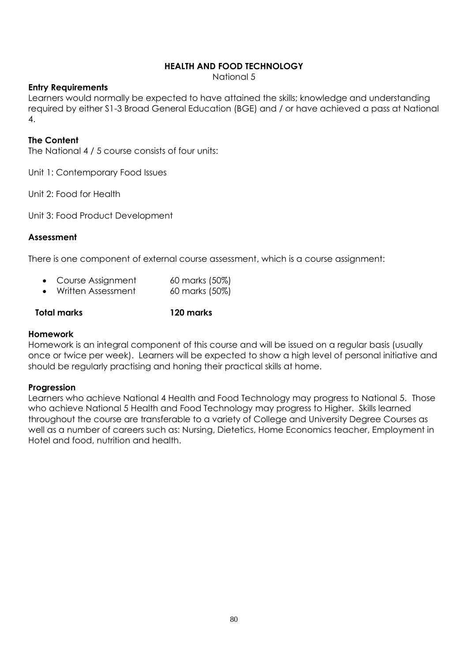#### **HEALTH AND FOOD TECHNOLOGY**

National 5

#### **Entry Requirements**

Learners would normally be expected to have attained the skills; knowledge and understanding required by either S1-3 Broad General Education (BGE) and / or have achieved a pass at National 4.

#### **The Content**

The National 4 / 5 course consists of four units:

Unit 1: Contemporary Food Issues

Unit 2: Food for Health

Unit 3: Food Product Development

#### **Assessment**

There is one component of external course assessment, which is a course assignment:

|  | Course Assignment | 60 marks (50%) |  |
|--|-------------------|----------------|--|
|--|-------------------|----------------|--|

|  | Written Assessment | 60 marks (50%) |  |
|--|--------------------|----------------|--|
|--|--------------------|----------------|--|

#### **Total marks 120 marks**

#### **Homework**

Homework is an integral component of this course and will be issued on a regular basis (usually once or twice per week). Learners will be expected to show a high level of personal initiative and should be regularly practising and honing their practical skills at home.

#### **Progression**

Learners who achieve National 4 Health and Food Technology may progress to National 5. Those who achieve National 5 Health and Food Technology may progress to Higher. Skills learned throughout the course are transferable to a variety of College and University Degree Courses as well as a number of careers such as: Nursing, Dietetics, Home Economics teacher, Employment in Hotel and food, nutrition and health.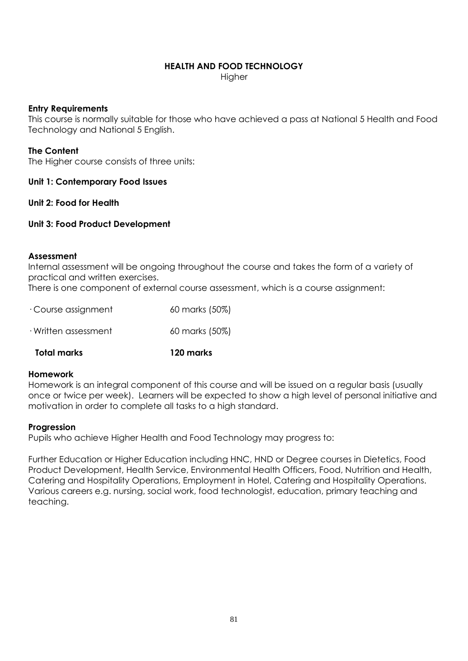#### **HEALTH AND FOOD TECHNOLOGY**

**Higher** 

#### **Entry Requirements**

This course is normally suitable for those who have achieved a pass at National 5 Health and Food Technology and National 5 English.

#### **The Content**

The Higher course consists of three units:

#### **Unit 1: Contemporary Food Issues**

#### **Unit 2: Food for Health**

#### **Unit 3: Food Product Development**

#### **Assessment**

Internal assessment will be ongoing throughout the course and takes the form of a variety of practical and written exercises.

There is one component of external course assessment, which is a course assignment:

| Total marks               | 120 marks      |
|---------------------------|----------------|
| · Written assessment      | 60 marks (50%) |
| $\cdot$ Course assignment | 60 marks (50%) |

## **Homework**

Homework is an integral component of this course and will be issued on a regular basis (usually once or twice per week). Learners will be expected to show a high level of personal initiative and motivation in order to complete all tasks to a high standard.

#### **Progression**

Pupils who achieve Higher Health and Food Technology may progress to:

Further Education or Higher Education including HNC, HND or Degree courses in Dietetics, Food Product Development, Health Service, Environmental Health Officers, Food, Nutrition and Health, Catering and Hospitality Operations, Employment in Hotel, Catering and Hospitality Operations. Various careers e.g. nursing, social work, food technologist, education, primary teaching and teaching.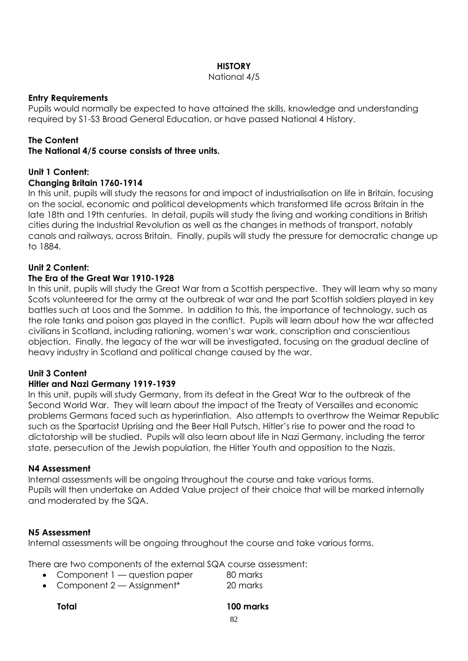#### **HISTORY**

#### National 4/5

#### **Entry Requirements**

Pupils would normally be expected to have attained the skills, knowledge and understanding required by S1-S3 Broad General Education, or have passed National 4 History.

#### **The Content**

#### **The National 4/5 course consists of three units.**

### **Unit 1 Content:**

#### **Changing Britain 1760-1914**

In this unit, pupils will study the reasons for and impact of industrialisation on life in Britain, focusing on the social, economic and political developments which transformed life across Britain in the late 18th and 19th centuries. In detail, pupils will study the living and working conditions in British cities during the Industrial Revolution as well as the changes in methods of transport, notably canals and railways, across Britain. Finally, pupils will study the pressure for democratic change up to 1884.

#### **Unit 2 Content:**

#### **The Era of the Great War 1910-1928**

In this unit, pupils will study the Great War from a Scottish perspective. They will learn why so many Scots volunteered for the army at the outbreak of war and the part Scottish soldiers played in key battles such at Loos and the Somme. In addition to this, the importance of technology, such as the role tanks and poison gas played in the conflict. Pupils will learn about how the war affected civilians in Scotland, including rationing, women's war work, conscription and conscientious objection. Finally, the legacy of the war will be investigated, focusing on the gradual decline of heavy industry in Scotland and political change caused by the war.

#### **Unit 3 Content**

#### **Hitler and Nazi Germany 1919-1939**

In this unit, pupils will study Germany, from its defeat in the Great War to the outbreak of the Second World War. They will learn about the impact of the Treaty of Versailles and economic problems Germans faced such as hyperinflation. Also attempts to overthrow the Weimar Republic such as the Spartacist Uprising and the Beer Hall Putsch, Hitler's rise to power and the road to dictatorship will be studied. Pupils will also learn about life in Nazi Germany, including the terror state, persecution of the Jewish population, the Hitler Youth and opposition to the Nazis.

#### **N4 Assessment**

Internal assessments will be ongoing throughout the course and take various forms. Pupils will then undertake an Added Value project of their choice that will be marked internally and moderated by the SQA.

#### **N5 Assessment**

Internal assessments will be ongoing throughout the course and take various forms.

There are two components of the external SQA course assessment:

- Component  $1$  question paper  $80$  marks
- Component 2 Assignment<sup>\*</sup> 20 marks

#### **Total 100 marks**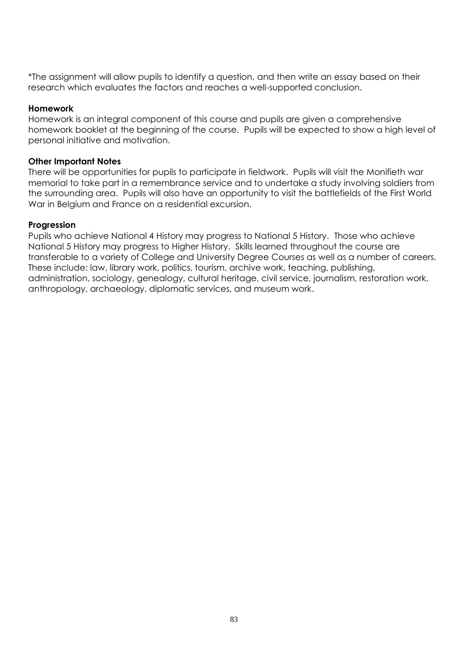\*The assignment will allow pupils to identify a question, and then write an essay based on their research which evaluates the factors and reaches a well-supported conclusion.

#### **Homework**

Homework is an integral component of this course and pupils are given a comprehensive homework booklet at the beginning of the course. Pupils will be expected to show a high level of personal initiative and motivation.

#### **Other Important Notes**

There will be opportunities for pupils to participate in fieldwork. Pupils will visit the Monifieth war memorial to take part in a remembrance service and to undertake a study involving soldiers from the surrounding area. Pupils will also have an opportunity to visit the battlefields of the First World War in Belgium and France on a residential excursion.

#### **Progression**

Pupils who achieve National 4 History may progress to National 5 History. Those who achieve National 5 History may progress to Higher History. Skills learned throughout the course are transferable to a variety of College and University Degree Courses as well as a number of careers. These include: law, library work, politics, tourism, archive work, teaching, publishing, administration, sociology, genealogy, cultural heritage, civil service, journalism, restoration work, anthropology, archaeology, diplomatic services, and museum work.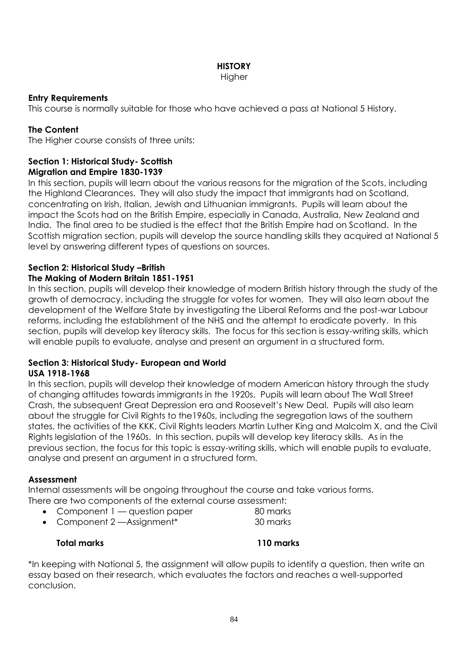## **HISTORY**

**Higher** 

#### **Entry Requirements**

This course is normally suitable for those who have achieved a pass at National 5 History.

#### **The Content**

The Higher course consists of three units:

#### **Section 1: Historical Study- Scottish Migration and Empire 1830-1939**

In this section, pupils will learn about the various reasons for the migration of the Scots, including the Highland Clearances. They will also study the impact that immigrants had on Scotland, concentrating on Irish, Italian, Jewish and Lithuanian immigrants. Pupils will learn about the impact the Scots had on the British Empire, especially in Canada, Australia, New Zealand and India. The final area to be studied is the effect that the British Empire had on Scotland. In the Scottish migration section, pupils will develop the source handling skills they acquired at National 5 level by answering different types of questions on sources.

#### **Section 2: Historical Study –British The Making of Modern Britain 1851-1951**

In this section, pupils will develop their knowledge of modern British history through the study of the growth of democracy, including the struggle for votes for women. They will also learn about the development of the Welfare State by investigating the Liberal Reforms and the post-war Labour reforms, including the establishment of the NHS and the attempt to eradicate poverty. In this section, pupils will develop key literacy skills. The focus for this section is essay-writing skills, which will enable pupils to evaluate, analyse and present an argument in a structured form.

#### **Section 3: Historical Study- European and World USA 1918-1968**

In this section, pupils will develop their knowledge of modern American history through the study of changing attitudes towards immigrants in the 1920s. Pupils will learn about The Wall Street Crash, the subsequent Great Depression era and Roosevelt's New Deal. Pupils will also learn about the struggle for Civil Rights to the1960s, including the segregation laws of the southern states, the activities of the KKK, Civil Rights leaders Martin Luther King and Malcolm X, and the Civil Rights legislation of the 1960s. In this section, pupils will develop key literacy skills. As in the previous section, the focus for this topic is essay-writing skills, which will enable pupils to evaluate, analyse and present an argument in a structured form.

#### **Assessment**

Internal assessments will be ongoing throughout the course and take various forms.

- There are two components of the external course assessment:
	- Component 1 question paper 80 marks
	- Component 2 —Assignment\* 30 marks

#### **Total marks 110 marks**

\*In keeping with National 5, the assignment will allow pupils to identify a question, then write an essay based on their research, which evaluates the factors and reaches a well-supported conclusion.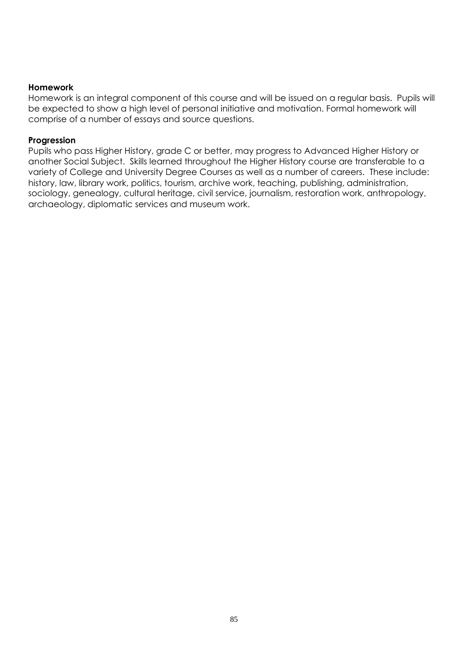#### **Homework**

Homework is an integral component of this course and will be issued on a regular basis. Pupils will be expected to show a high level of personal initiative and motivation. Formal homework will comprise of a number of essays and source questions.

#### **Progression**

Pupils who pass Higher History, grade C or better, may progress to Advanced Higher History or another Social Subject. Skills learned throughout the Higher History course are transferable to a variety of College and University Degree Courses as well as a number of careers. These include: history, law, library work, politics, tourism, archive work, teaching, publishing, administration, sociology, genealogy, cultural heritage, civil service, journalism, restoration work, anthropology, archaeology, diplomatic services and museum work.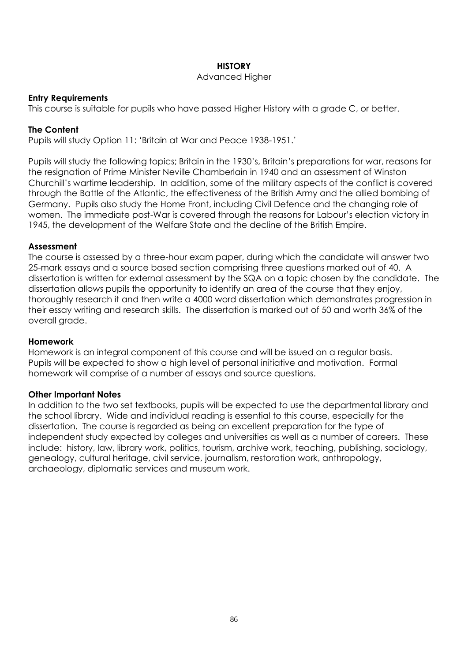#### **HISTORY**

#### Advanced Higher

#### **Entry Requirements**

This course is suitable for pupils who have passed Higher History with a grade C, or better.

#### **The Content**

Pupils will study Option 11: 'Britain at War and Peace 1938-1951.'

Pupils will study the following topics; Britain in the 1930's, Britain's preparations for war, reasons for the resignation of Prime Minister Neville Chamberlain in 1940 and an assessment of Winston Churchill's wartime leadership. In addition, some of the military aspects of the conflict is covered through the Battle of the Atlantic, the effectiveness of the British Army and the allied bombing of Germany. Pupils also study the Home Front, including Civil Defence and the changing role of women. The immediate post-War is covered through the reasons for Labour's election victory in 1945, the development of the Welfare State and the decline of the British Empire.

#### **Assessment**

The course is assessed by a three-hour exam paper, during which the candidate will answer two 25-mark essays and a source based section comprising three questions marked out of 40. A dissertation is written for external assessment by the SQA on a topic chosen by the candidate. The dissertation allows pupils the opportunity to identify an area of the course that they enjoy, thoroughly research it and then write a 4000 word dissertation which demonstrates progression in their essay writing and research skills. The dissertation is marked out of 50 and worth 36% of the overall grade.

#### **Homework**

Homework is an integral component of this course and will be issued on a regular basis. Pupils will be expected to show a high level of personal initiative and motivation. Formal homework will comprise of a number of essays and source questions.

#### **Other Important Notes**

In addition to the two set textbooks, pupils will be expected to use the departmental library and the school library. Wide and individual reading is essential to this course, especially for the dissertation. The course is regarded as being an excellent preparation for the type of independent study expected by colleges and universities as well as a number of careers. These include: history, law, library work, politics, tourism, archive work, teaching, publishing, sociology, genealogy, cultural heritage, civil service, journalism, restoration work, anthropology, archaeology, diplomatic services and museum work.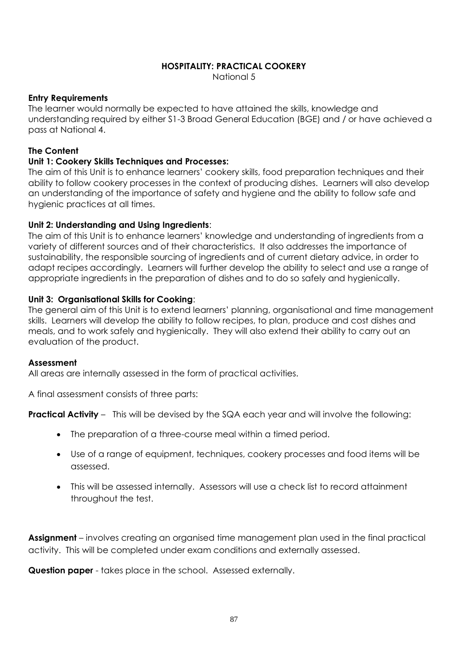#### **HOSPITALITY: PRACTICAL COOKERY**

National 5

#### **Entry Requirements**

The learner would normally be expected to have attained the skills, knowledge and understanding required by either S1-3 Broad General Education (BGE) and / or have achieved a pass at National 4.

#### **The Content**

#### **Unit 1: Cookery Skills Techniques and Processes:**

The aim of this Unit is to enhance learners' cookery skills, food preparation techniques and their ability to follow cookery processes in the context of producing dishes. Learners will also develop an understanding of the importance of safety and hygiene and the ability to follow safe and hygienic practices at all times.

#### **Unit 2: Understanding and Using Ingredients**:

The aim of this Unit is to enhance learners' knowledge and understanding of ingredients from a variety of different sources and of their characteristics. It also addresses the importance of sustainability, the responsible sourcing of ingredients and of current dietary advice, in order to adapt recipes accordingly. Learners will further develop the ability to select and use a range of appropriate ingredients in the preparation of dishes and to do so safely and hygienically.

#### **Unit 3: Organisational Skills for Cooking**:

The general aim of this Unit is to extend learners' planning, organisational and time management skills. Learners will develop the ability to follow recipes, to plan, produce and cost dishes and meals, and to work safely and hygienically. They will also extend their ability to carry out an evaluation of the product.

#### **Assessment**

All areas are internally assessed in the form of practical activities.

A final assessment consists of three parts:

**Practical Activity** – This will be devised by the SQA each year and will involve the following:

- The preparation of a three-course meal within a timed period.
- Use of a range of equipment, techniques, cookery processes and food items will be assessed.
- This will be assessed internally. Assessors will use a check list to record attainment throughout the test.

**Assignment** – involves creating an organised time management plan used in the final practical activity. This will be completed under exam conditions and externally assessed.

**Question paper** - takes place in the school. Assessed externally.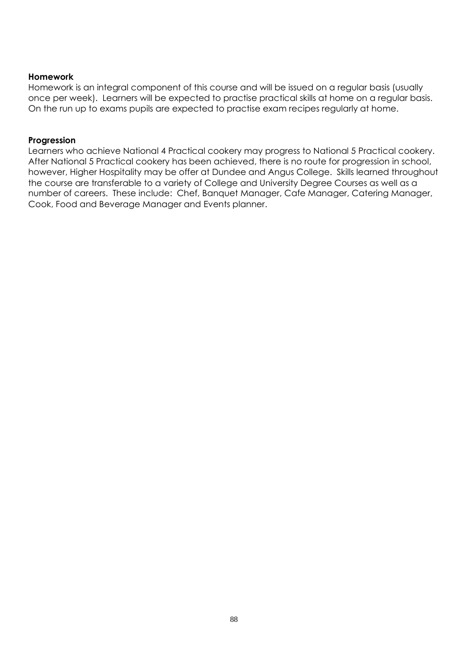#### **Homework**

Homework is an integral component of this course and will be issued on a regular basis (usually once per week). Learners will be expected to practise practical skills at home on a regular basis. On the run up to exams pupils are expected to practise exam recipes regularly at home.

#### **Progression**

Learners who achieve National 4 Practical cookery may progress to National 5 Practical cookery. After National 5 Practical cookery has been achieved, there is no route for progression in school, however, Higher Hospitality may be offer at Dundee and Angus College. Skills learned throughout the course are transferable to a variety of College and University Degree Courses as well as a number of careers. These include: Chef, Banquet Manager, Cafe Manager, Catering Manager, Cook, Food and Beverage Manager and Events planner.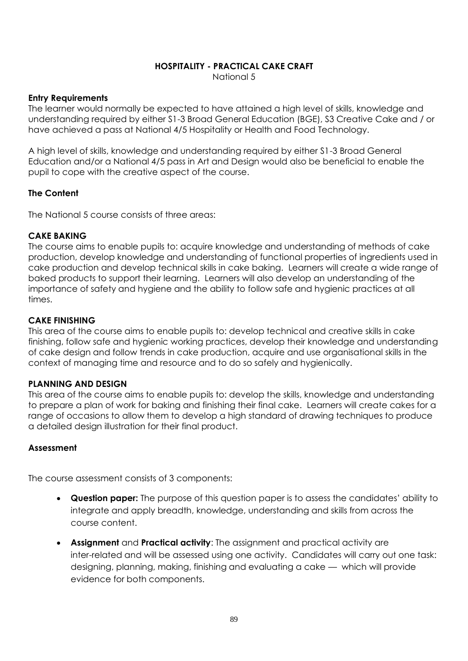#### **HOSPITALITY - PRACTICAL CAKE CRAFT**

National 5

#### **Entry Requirements**

The learner would normally be expected to have attained a high level of skills, knowledge and understanding required by either S1-3 Broad General Education (BGE), S3 Creative Cake and / or have achieved a pass at National 4/5 Hospitality or Health and Food Technology.

A high level of skills, knowledge and understanding required by either S1-3 Broad General Education and/or a National 4/5 pass in Art and Design would also be beneficial to enable the pupil to cope with the creative aspect of the course.

#### **The Content**

The National 5 course consists of three areas:

#### **CAKE BAKING**

The course aims to enable pupils to: acquire knowledge and understanding of methods of cake production, develop knowledge and understanding of functional properties of ingredients used in cake production and develop technical skills in cake baking. Learners will create a wide range of baked products to support their learning. Learners will also develop an understanding of the importance of safety and hygiene and the ability to follow safe and hygienic practices at all times.

#### **CAKE FINISHING**

This area of the course aims to enable pupils to: develop technical and creative skills in cake finishing, follow safe and hygienic working practices, develop their knowledge and understanding of cake design and follow trends in cake production, acquire and use organisational skills in the context of managing time and resource and to do so safely and hygienically.

#### **PLANNING AND DESIGN**

This area of the course aims to enable pupils to: develop the skills, knowledge and understanding to prepare a plan of work for baking and finishing their final cake. Learners will create cakes for a range of occasions to allow them to develop a high standard of drawing techniques to produce a detailed design illustration for their final product.

#### **Assessment**

The course assessment consists of 3 components:

- **Question paper:** The purpose of this question paper is to assess the candidates' ability to integrate and apply breadth, knowledge, understanding and skills from across the course content.
- **Assignment** and **Practical activity**: The assignment and practical activity are inter-related and will be assessed using one activity. Candidates will carry out one task: designing, planning, making, finishing and evaluating a cake — which will provide evidence for both components.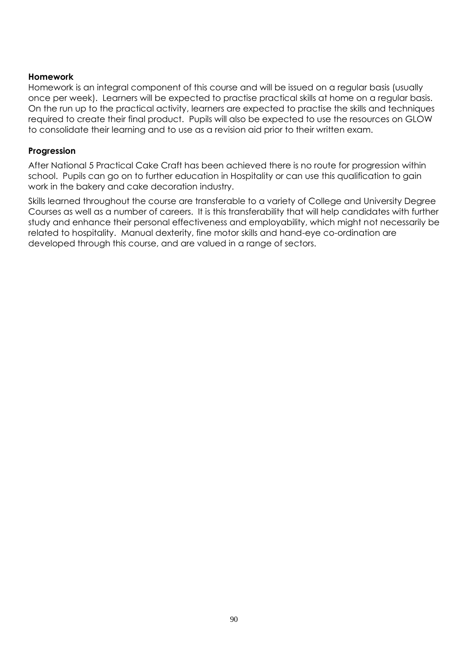#### **Homework**

Homework is an integral component of this course and will be issued on a regular basis (usually once per week). Learners will be expected to practise practical skills at home on a regular basis. On the run up to the practical activity, learners are expected to practise the skills and techniques required to create their final product. Pupils will also be expected to use the resources on GLOW to consolidate their learning and to use as a revision aid prior to their written exam.

#### **Progression**

After National 5 Practical Cake Craft has been achieved there is no route for progression within school. Pupils can go on to further education in Hospitality or can use this qualification to gain work in the bakery and cake decoration industry.

Skills learned throughout the course are transferable to a variety of College and University Degree Courses as well as a number of careers. It is this transferability that will help candidates with further study and enhance their personal effectiveness and employability, which might not necessarily be related to hospitality. Manual dexterity, fine motor skills and hand-eye co-ordination are developed through this course, and are valued in a range of sectors.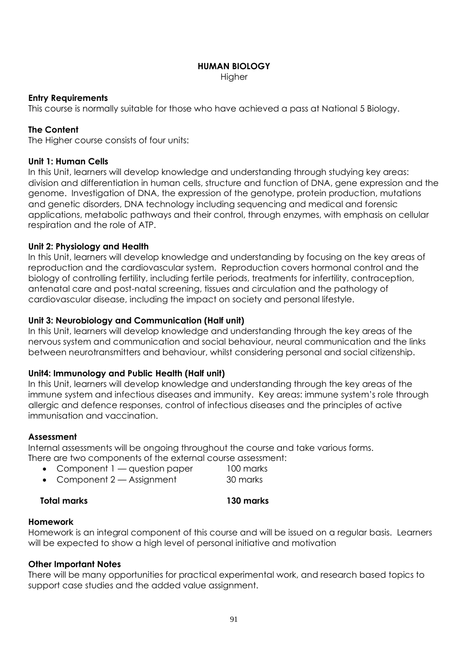#### **HUMAN BIOLOGY**

Higher

#### **Entry Requirements**

This course is normally suitable for those who have achieved a pass at National 5 Biology.

#### **The Content**

The Higher course consists of four units:

#### **Unit 1: Human Cells**

In this Unit, learners will develop knowledge and understanding through studying key areas: division and differentiation in human cells, structure and function of DNA, gene expression and the genome. Investigation of DNA, the expression of the genotype, protein production, mutations and genetic disorders, DNA technology including sequencing and medical and forensic applications, metabolic pathways and their control, through enzymes, with emphasis on cellular respiration and the role of ATP.

#### **Unit 2: Physiology and Health**

In this Unit, learners will develop knowledge and understanding by focusing on the key areas of reproduction and the cardiovascular system. Reproduction covers hormonal control and the biology of controlling fertility, including fertile periods, treatments for infertility, contraception, antenatal care and post-natal screening, tissues and circulation and the pathology of cardiovascular disease, including the impact on society and personal lifestyle.

#### **Unit 3: Neurobiology and Communication (Half unit)**

In this Unit, learners will develop knowledge and understanding through the key areas of the nervous system and communication and social behaviour, neural communication and the links between neurotransmitters and behaviour, whilst considering personal and social citizenship.

#### **Unit4: Immunology and Public Health (Half unit)**

In this Unit, learners will develop knowledge and understanding through the key areas of the immune system and infectious diseases and immunity. Key areas: immune system's role through allergic and defence responses, control of infectious diseases and the principles of active immunisation and vaccination.

#### **Assessment**

Internal assessments will be ongoing throughout the course and take various forms. There are two components of the external course assessment:

- 
- Component 1 question paper 100 marks • Component 2 — Assignment 30 marks
- 

#### **Total marks 130 marks**

#### **Homework**

Homework is an integral component of this course and will be issued on a regular basis. Learners will be expected to show a high level of personal initiative and motivation

#### **Other Important Notes**

There will be many opportunities for practical experimental work, and research based topics to support case studies and the added value assignment.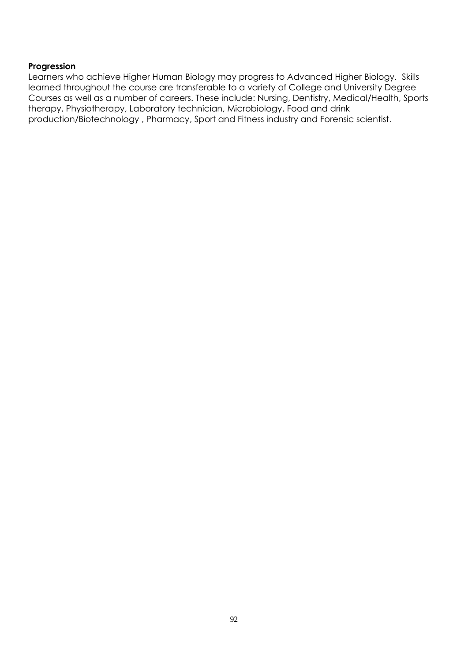#### **Progression**

Learners who achieve Higher Human Biology may progress to Advanced Higher Biology. Skills learned throughout the course are transferable to a variety of College and University Degree Courses as well as a number of careers. These include: Nursing, Dentistry, Medical/Health, Sports therapy, Physiotherapy, Laboratory technician, Microbiology, Food and drink production/Biotechnology , Pharmacy, Sport and Fitness industry and Forensic scientist.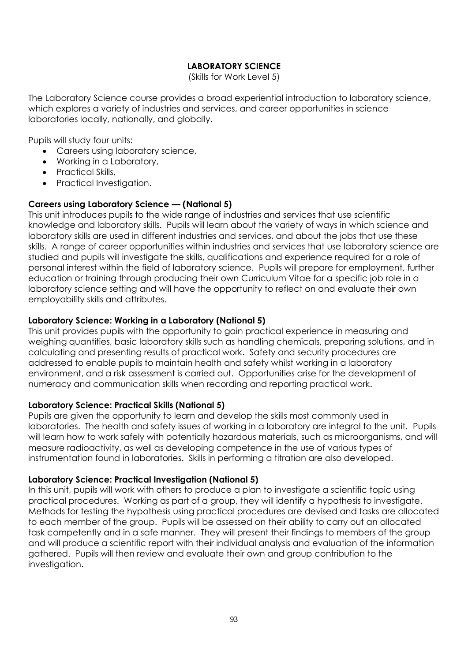### **LABORATORY SCIENCE**

(Skills for Work Level 5)

The Laboratory Science course provides a broad experiential introduction to laboratory science, which explores a variety of industries and services, and career opportunities in science laboratories locally, nationally, and globally.

Pupils will study four units:

- Careers using laboratory science,
- Working in a Laboratory,
- Practical Skills,
- Practical Investigation.

#### **Careers using Laboratory Science — (National 5)**

This unit introduces pupils to the wide range of industries and services that use scientific knowledge and laboratory skills. Pupils will learn about the variety of ways in which science and laboratory skills are used in different industries and services, and about the jobs that use these skills. A range of career opportunities within industries and services that use laboratory science are studied and pupils will investigate the skills, qualifications and experience required for a role of personal interest within the field of laboratory science. Pupils will prepare for employment, further education or training through producing their own Curriculum Vitae for a specific job role in a laboratory science setting and will have the opportunity to reflect on and evaluate their own employability skills and attributes.

#### **Laboratory Science: Working in a Laboratory (National 5)**

This unit provides pupils with the opportunity to gain practical experience in measuring and weighing quantities, basic laboratory skills such as handling chemicals, preparing solutions, and in calculating and presenting results of practical work. Safety and security procedures are addressed to enable pupils to maintain health and safety whilst working in a laboratory environment, and a risk assessment is carried out. Opportunities arise for the development of numeracy and communication skills when recording and reporting practical work.

#### **Laboratory Science: Practical Skills (National 5)**

Pupils are given the opportunity to learn and develop the skills most commonly used in laboratories. The health and safety issues of working in a laboratory are integral to the unit. Pupils will learn how to work safely with potentially hazardous materials, such as microorganisms, and will measure radioactivity, as well as developing competence in the use of various types of instrumentation found in laboratories. Skills in performing a titration are also developed.

#### **Laboratory Science: Practical Investigation (National 5)**

In this unit, pupils will work with others to produce a plan to investigate a scientific topic using practical procedures. Working as part of a group, they will identify a hypothesis to investigate. Methods for testing the hypothesis using practical procedures are devised and tasks are allocated to each member of the group. Pupils will be assessed on their ability to carry out an allocated task competently and in a safe manner. They will present their findings to members of the group and will produce a scientific report with their individual analysis and evaluation of the information gathered. Pupils will then review and evaluate their own and group contribution to the investigation.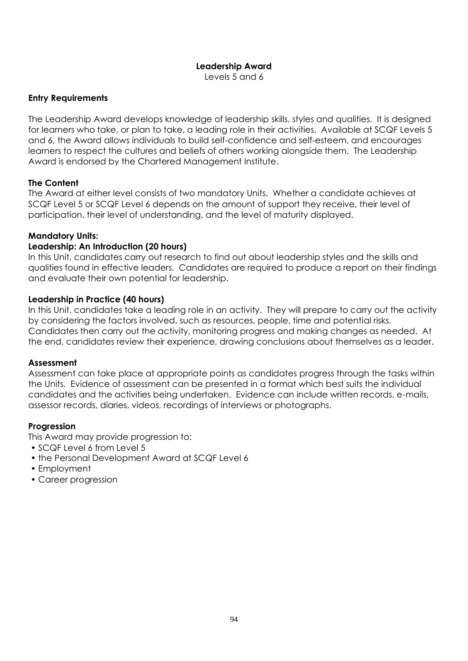## **Leadership Award**

Levels 5 and 6

#### **Entry Requirements**

The Leadership Award develops knowledge of leadership skills, styles and qualities. It is designed for learners who take, or plan to take, a leading role in their activities. Available at SCQF Levels 5 and 6, the Award allows individuals to build self-confidence and self-esteem, and encourages learners to respect the cultures and beliefs of others working alongside them. The Leadership Award is endorsed by the Chartered Management Institute.

#### **The Content**

The Award at either level consists of two mandatory Units. Whether a candidate achieves at SCQF Level 5 or SCQF Level 6 depends on the amount of support they receive, their level of participation, their level of understanding, and the level of maturity displayed.

#### **Mandatory Units:**

#### **Leadership: An Introduction (20 hours)**

In this Unit, candidates carry out research to find out about leadership styles and the skills and qualities found in effective leaders. Candidates are required to produce a report on their findings and evaluate their own potential for leadership.

#### **Leadership in Practice (40 hours)**

In this Unit, candidates take a leading role in an activity. They will prepare to carry out the activity by considering the factors involved, such as resources, people, time and potential risks. Candidates then carry out the activity, monitoring progress and making changes as needed. At the end, candidates review their experience, drawing conclusions about themselves as a leader.

#### **Assessment**

Assessment can take place at appropriate points as candidates progress through the tasks within the Units. Evidence of assessment can be presented in a format which best suits the individual candidates and the activities being undertaken. Evidence can include written records, e-mails, assessor records, diaries, videos, recordings of interviews or photographs.

#### **Progression**

This Award may provide progression to:

- SCQF Level 6 from Level 5
- the Personal Development Award at SCQF Level 6
- Employment
- Career progression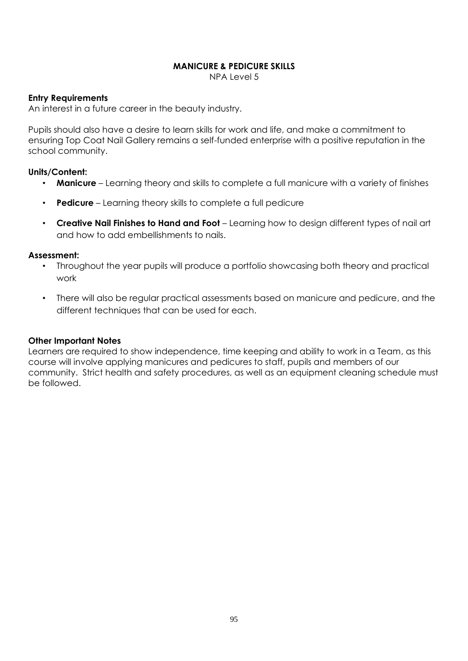#### **MANICURE & PEDICURE SKILLS**

NPA Level 5

#### **Entry Requirements**

An interest in a future career in the beauty industry.

Pupils should also have a desire to learn skills for work and life, and make a commitment to ensuring Top Coat Nail Gallery remains a self-funded enterprise with a positive reputation in the school community.

#### **Units/Content:**

- **Manicure** Learning theory and skills to complete a full manicure with a variety of finishes
- **Pedicure**  Learning theory skills to complete a full pedicure
- **Creative Nail Finishes to Hand and Foot** Learning how to design different types of nail art and how to add embellishments to nails.

#### **Assessment:**

- Throughout the year pupils will produce a portfolio showcasing both theory and practical work
- There will also be regular practical assessments based on manicure and pedicure, and the different techniques that can be used for each.

#### **Other Important Notes**

Learners are required to show independence, time keeping and ability to work in a Team, as this course will involve applying manicures and pedicures to staff, pupils and members of our community. Strict health and safety procedures, as well as an equipment cleaning schedule must be followed.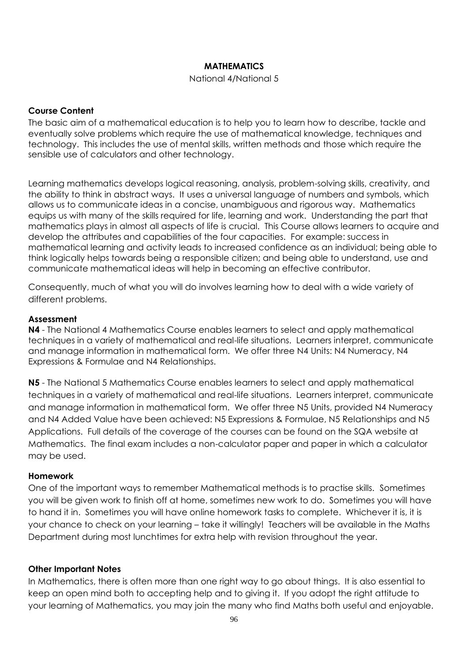#### **MATHEMATICS**

#### National 4/National 5

#### **Course Content**

The basic aim of a mathematical education is to help you to learn how to describe, tackle and eventually solve problems which require the use of mathematical knowledge, techniques and technology. This includes the use of mental skills, written methods and those which require the sensible use of calculators and other technology.

Learning mathematics develops logical reasoning, analysis, problem-solving skills, creativity, and the ability to think in abstract ways. It uses a universal language of numbers and symbols, which allows us to communicate ideas in a concise, unambiguous and rigorous way. Mathematics equips us with many of the skills required for life, learning and work. Understanding the part that mathematics plays in almost all aspects of life is crucial. This Course allows learners to acquire and develop the attributes and capabilities of the four capacities. For example: success in mathematical learning and activity leads to increased confidence as an individual; being able to think logically helps towards being a responsible citizen; and being able to understand, use and communicate mathematical ideas will help in becoming an effective contributor.

Consequently, much of what you will do involves learning how to deal with a wide variety of different problems.

#### **Assessment**

**N4** - The National 4 Mathematics Course enables learners to select and apply mathematical techniques in a variety of mathematical and real-life situations. Learners interpret, communicate and manage information in mathematical form. We offer three N4 Units: N4 Numeracy, N4 Expressions & Formulae and N4 Relationships.

**N5** - The National 5 Mathematics Course enables learners to select and apply mathematical techniques in a variety of mathematical and real-life situations. Learners interpret, communicate and manage information in mathematical form. We offer three N5 Units, provided N4 Numeracy and N4 Added Value have been achieved: N5 Expressions & Formulae, N5 Relationships and N5 Applications. Full details of the coverage of the courses can be found on the SQA website at Mathematics. The final exam includes a non-calculator paper and paper in which a calculator may be used.

#### **Homework**

One of the important ways to remember Mathematical methods is to practise skills. Sometimes you will be given work to finish off at home, sometimes new work to do. Sometimes you will have to hand it in. Sometimes you will have online homework tasks to complete. Whichever it is, it is your chance to check on your learning – take it willingly! Teachers will be available in the Maths Department during most lunchtimes for extra help with revision throughout the year.

#### **Other Important Notes**

In Mathematics, there is often more than one right way to go about things. It is also essential to keep an open mind both to accepting help and to giving it. If you adopt the right attitude to your learning of Mathematics, you may join the many who find Maths both useful and enjoyable.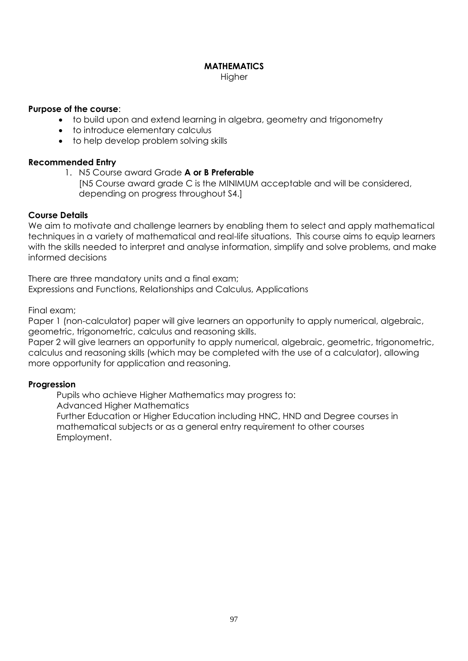## **MATHEMATICS**

Higher

#### **Purpose of the course**:

- to build upon and extend learning in algebra, geometry and trigonometry
- to introduce elementary calculus
- to help develop problem solving skills

#### **Recommended Entry**

- 1. N5 Course award Grade **A or B Preferable**
	- [N5 Course award grade C is the MINIMUM acceptable and will be considered, depending on progress throughout S4.]

#### **Course Details**

We aim to motivate and challenge learners by enabling them to select and apply mathematical techniques in a variety of mathematical and real-life situations. This course aims to equip learners with the skills needed to interpret and analyse information, simplify and solve problems, and make informed decisions

There are three mandatory units and a final exam; Expressions and Functions, Relationships and Calculus, Applications

Final exam;

Paper 1 (non-calculator) paper will give learners an opportunity to apply numerical, algebraic, geometric, trigonometric, calculus and reasoning skills.

Paper 2 will give learners an opportunity to apply numerical, algebraic, geometric, trigonometric, calculus and reasoning skills (which may be completed with the use of a calculator), allowing more opportunity for application and reasoning.

#### **Progression**

Pupils who achieve Higher Mathematics may progress to: Advanced Higher Mathematics Further Education or Higher Education including HNC, HND and Degree courses in mathematical subjects or as a general entry requirement to other courses Employment.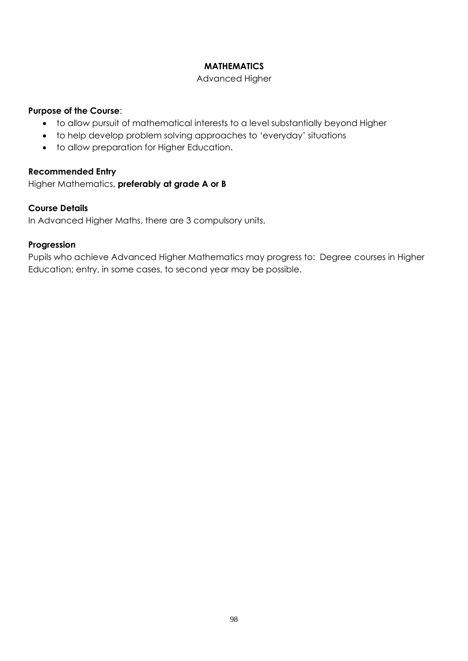## **MATHEMATICS**

#### Advanced Higher

#### **Purpose of the Course**:

- to allow pursuit of mathematical interests to a level substantially beyond Higher
- to help develop problem solving approaches to 'everyday' situations
- to allow preparation for Higher Education.

#### **Recommended Entry**

Higher Mathematics, **preferably at grade A or B**

#### **Course Details**

In Advanced Higher Maths, there are 3 compulsory units.

#### **Progression**

Pupils who achieve Advanced Higher Mathematics may progress to: Degree courses in Higher Education; entry, in some cases, to second year may be possible.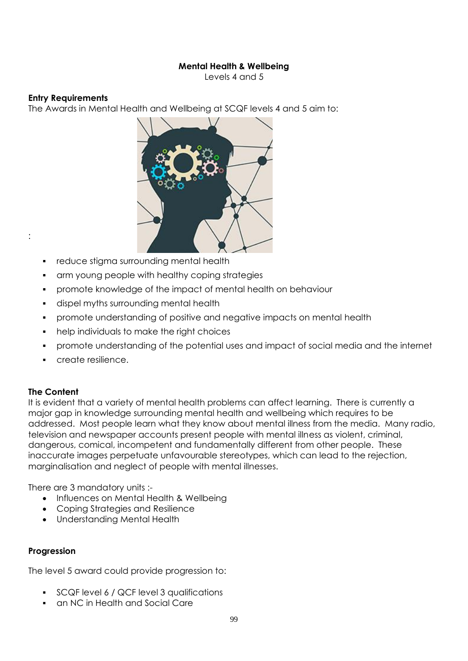#### **Mental Health & Wellbeing**

Levels 4 and 5

#### **Entry Requirements**

The Awards in Mental Health and Wellbeing at SCQF levels 4 and 5 aim to:



- reduce stigma surrounding mental health
- arm young people with healthy coping strategies
- promote knowledge of the impact of mental health on behaviour
- dispel myths surrounding mental health
- promote understanding of positive and negative impacts on mental health
- help individuals to make the right choices
- promote understanding of the potential uses and impact of social media and the internet
- create resilience.

#### **The Content**

:

It is evident that a variety of mental health problems can affect learning. There is currently a major gap in knowledge surrounding mental health and wellbeing which requires to be addressed. Most people learn what they know about mental illness from the media. Many radio, television and newspaper accounts present people with mental illness as violent, criminal, dangerous, comical, incompetent and fundamentally different from other people. These inaccurate images perpetuate unfavourable stereotypes, which can lead to the rejection, marginalisation and neglect of people with mental illnesses.

There are 3 mandatory units :-

- Influences on Mental Health & Wellbeing
- Coping Strategies and Resilience
- Understanding Mental Health

#### **Progression**

The level 5 award could provide progression to:

- SCQF level 6 / QCF level 3 qualifications
- an NC in Health and Social Care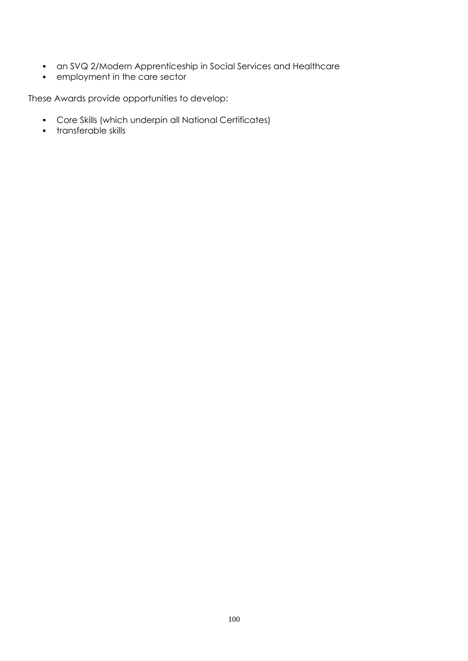- an SVQ 2/Modern Apprenticeship in Social Services and Healthcare
- employment in the care sector

These Awards provide opportunities to develop:

- Core Skills (which underpin all National Certificates)
- transferable skills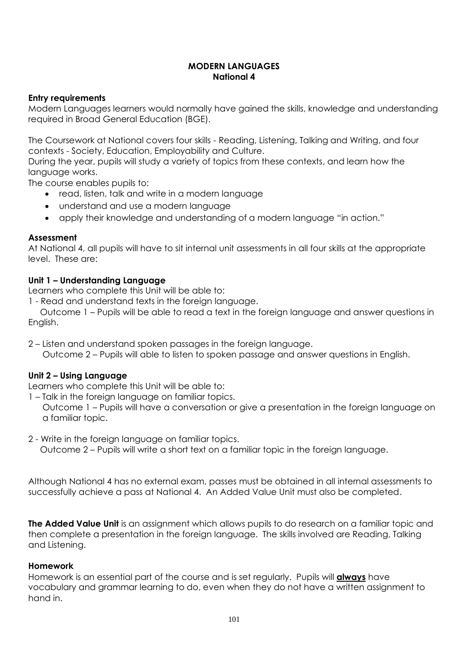#### **MODERN LANGUAGES National 4**

#### **Entry requirements**

Modern Languages learners would normally have gained the skills, knowledge and understanding required in Broad General Education (BGE).

The Coursework at National covers four skills - Reading, Listening, Talking and Writing, and four contexts - Society, Education, Employability and Culture.

During the year, pupils will study a variety of topics from these contexts, and learn how the language works.

The course enables pupils to:

- read, listen, talk and write in a modern language
- understand and use a modern language
- apply their knowledge and understanding of a modern language "in action."

#### **Assessment**

At National 4, all pupils will have to sit internal unit assessments in all four skills at the appropriate level. These are:

#### **Unit 1 – Understanding Language**

Learners who complete this Unit will be able to:

1 - Read and understand texts in the foreign language.

 Outcome 1 – Pupils will be able to read a text in the foreign language and answer questions in English.

- 2 Listen and understand spoken passages in the foreign language.
	- Outcome 2 Pupils will able to listen to spoken passage and answer questions in English.

#### **Unit 2 – Using Language**

Learners who complete this Unit will be able to:

1 – Talk in the foreign language on familiar topics.

- Outcome 1 Pupils will have a conversation or give a presentation in the foreign language on a familiar topic.
- 2 Write in the foreign language on familiar topics.
	- Outcome 2 Pupils will write a short text on a familiar topic in the foreign language.

Although National 4 has no external exam, passes must be obtained in all internal assessments to successfully achieve a pass at National 4. An Added Value Unit must also be completed.

**The Added Value Unit** is an assignment which allows pupils to do research on a familiar topic and then complete a presentation in the foreign language. The skills involved are Reading, Talking and Listening.

#### **Homework**

Homework is an essential part of the course and is set regularly. Pupils will **always** have vocabulary and grammar learning to do, even when they do not have a written assignment to hand in.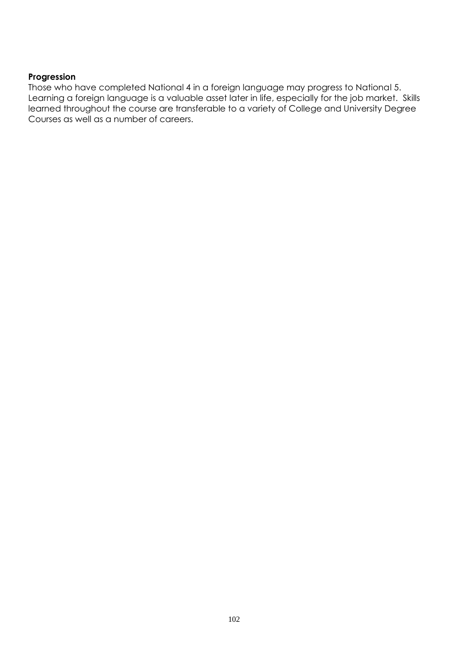#### **Progression**

Those who have completed National 4 in a foreign language may progress to National 5. Learning a foreign language is a valuable asset later in life, especially for the job market. Skills learned throughout the course are transferable to a variety of College and University Degree Courses as well as a number of careers.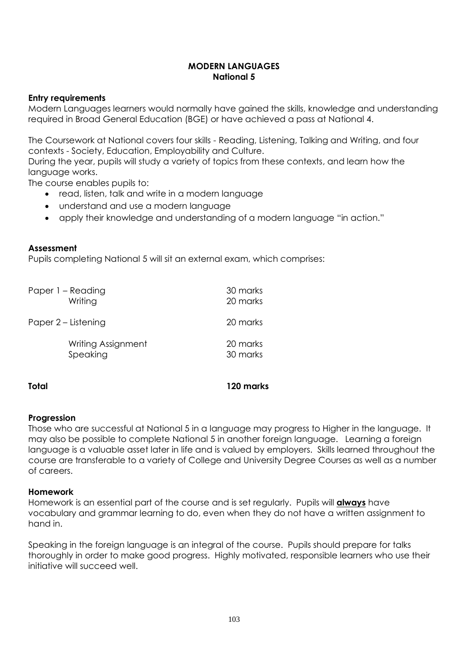#### **MODERN LANGUAGES National 5**

#### **Entry requirements**

Modern Languages learners would normally have gained the skills, knowledge and understanding required in Broad General Education (BGE) or have achieved a pass at National 4.

The Coursework at National covers four skills - Reading, Listening, Talking and Writing, and four contexts - Society, Education, Employability and Culture.

During the year, pupils will study a variety of topics from these contexts, and learn how the language works.

The course enables pupils to:

- read, listen, talk and write in a modern language
- understand and use a modern language
- apply their knowledge and understanding of a modern language "in action."

#### **Assessment**

Pupils completing National 5 will sit an external exam, which comprises:

| Paper 1 – Reading   | Writing                        | 30 marks<br>20 marks |
|---------------------|--------------------------------|----------------------|
| Paper 2 – Listening |                                | 20 marks             |
|                     | Writing Assignment<br>Speaking | 20 marks<br>30 marks |

#### **Total 120 marks**

#### **Progression**

Those who are successful at National 5 in a language may progress to Higher in the language. It may also be possible to complete National 5 in another foreign language. Learning a foreign language is a valuable asset later in life and is valued by employers. Skills learned throughout the course are transferable to a variety of College and University Degree Courses as well as a number of careers.

#### **Homework**

Homework is an essential part of the course and is set regularly. Pupils will **always** have vocabulary and grammar learning to do, even when they do not have a written assignment to hand in.

Speaking in the foreign language is an integral of the course. Pupils should prepare for talks thoroughly in order to make good progress. Highly motivated, responsible learners who use their initiative will succeed well.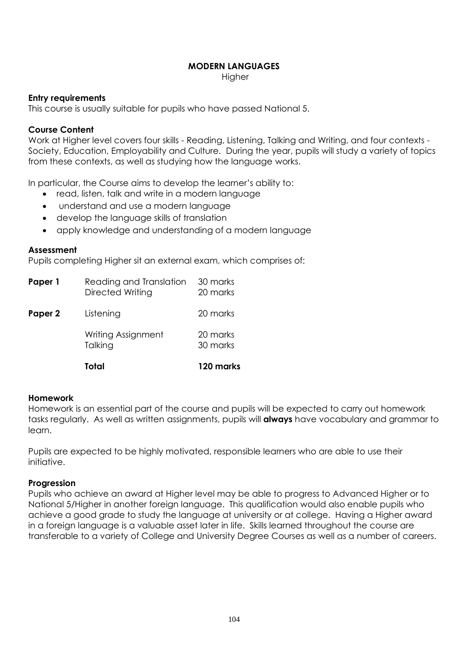#### **MODERN LANGUAGES**

**Higher** 

#### **Entry requirements**

This course is usually suitable for pupils who have passed National 5.

#### **Course Content**

Work at Higher level covers four skills - Reading, Listening, Talking and Writing, and four contexts - Society, Education, Employability and Culture. During the year, pupils will study a variety of topics from these contexts, as well as studying how the language works.

In particular, the Course aims to develop the learner's ability to:

- read, listen, talk and write in a modern language
- understand and use a modern language
- develop the language skills of translation
- apply knowledge and understanding of a modern language

#### **Assessment**

Pupils completing Higher sit an external exam, which comprises of:

|         | Total                                       | 120 marks            |
|---------|---------------------------------------------|----------------------|
|         | Writing Assignment<br>Talking               | 20 marks<br>30 marks |
| Paper 2 | Listening                                   | 20 marks             |
| Paper 1 | Reading and Translation<br>Directed Writing | 30 marks<br>20 marks |

#### **Homework**

Homework is an essential part of the course and pupils will be expected to carry out homework tasks regularly. As well as written assignments, pupils will **always** have vocabulary and grammar to learn.

Pupils are expected to be highly motivated, responsible learners who are able to use their initiative.

#### **Progression**

Pupils who achieve an award at Higher level may be able to progress to Advanced Higher or to National 5/Higher in another foreign language. This qualification would also enable pupils who achieve a good grade to study the language at university or at college. Having a Higher award in a foreign language is a valuable asset later in life. Skills learned throughout the course are transferable to a variety of College and University Degree Courses as well as a number of careers.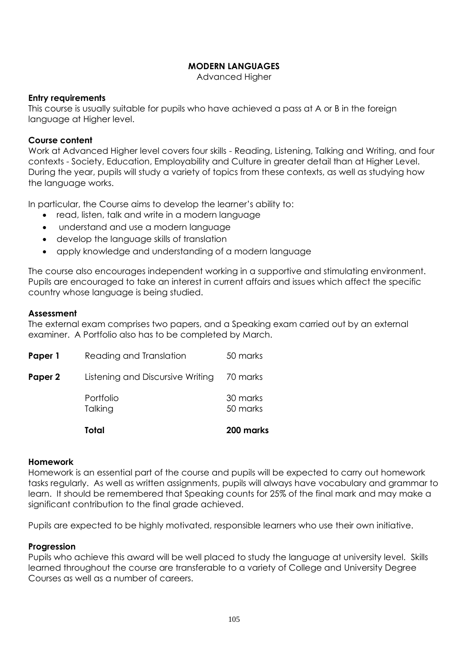#### **MODERN LANGUAGES**

Advanced Higher

#### **Entry requirements**

This course is usually suitable for pupils who have achieved a pass at A or B in the foreign language at Higher level.

#### **Course content**

Work at Advanced Higher level covers four skills - Reading, Listening, Talking and Writing, and four contexts - Society, Education, Employability and Culture in greater detail than at Higher Level. During the year, pupils will study a variety of topics from these contexts, as well as studying how the language works.

In particular, the Course aims to develop the learner's ability to:

- read, listen, talk and write in a modern language
- understand and use a modern language
- develop the language skills of translation
- apply knowledge and understanding of a modern language

The course also encourages independent working in a supportive and stimulating environment. Pupils are encouraged to take an interest in current affairs and issues which affect the specific country whose language is being studied.

#### **Assessment**

The external exam comprises two papers, and a Speaking exam carried out by an external examiner. A Portfolio also has to be completed by March.

|         | Total                            | 200 marks            |
|---------|----------------------------------|----------------------|
|         | Portfolio<br>Talking             | 30 marks<br>50 marks |
| Paper 2 | Listening and Discursive Writing | 70 marks             |
| Paper 1 | Reading and Translation          | 50 marks             |

#### **Homework**

Homework is an essential part of the course and pupils will be expected to carry out homework tasks regularly. As well as written assignments, pupils will always have vocabulary and grammar to learn. It should be remembered that Speaking counts for 25% of the final mark and may make a significant contribution to the final grade achieved.

Pupils are expected to be highly motivated, responsible learners who use their own initiative.

#### **Progression**

Pupils who achieve this award will be well placed to study the language at university level. Skills learned throughout the course are transferable to a variety of College and University Degree Courses as well as a number of careers.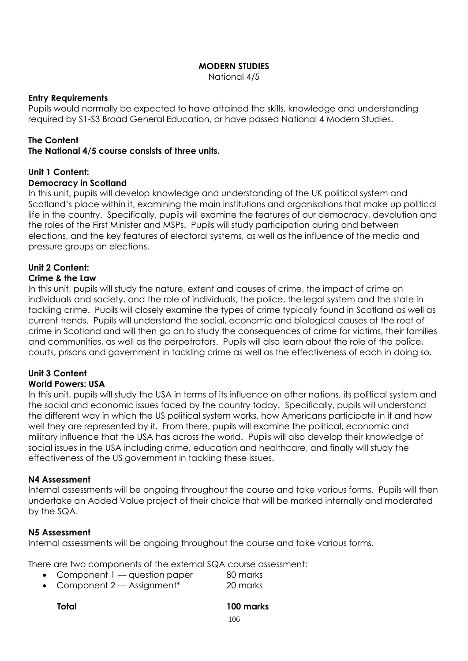#### **MODERN STUDIES**

National 4/5

#### **Entry Requirements**

Pupils would normally be expected to have attained the skills, knowledge and understanding required by S1-S3 Broad General Education, or have passed National 4 Modern Studies.

#### **The Content**

#### **The National 4/5 course consists of three units.**

#### **Unit 1 Content:**

#### **Democracy in Scotland**

In this unit, pupils will develop knowledge and understanding of the UK political system and Scotland's place within it, examining the main institutions and organisations that make up political life in the country. Specifically, pupils will examine the features of our democracy, devolution and the roles of the First Minister and MSPs. Pupils will study participation during and between elections, and the key features of electoral systems, as well as the influence of the media and pressure groups on elections.

# **Unit 2 Content:**

#### **Crime & the Law**

In this unit, pupils will study the nature, extent and causes of crime, the impact of crime on individuals and society, and the role of individuals, the police, the legal system and the state in tackling crime. Pupils will closely examine the types of crime typically found in Scotland as well as current trends. Pupils will understand the social, economic and biological causes at the root of crime in Scotland and will then go on to study the consequences of crime for victims, their families and communities, as well as the perpetrators. Pupils will also learn about the role of the police, courts, prisons and government in tackling crime as well as the effectiveness of each in doing so.

#### **Unit 3 Content World Powers: USA**

#### In this unit, pupils will study the USA in terms of its influence on other nations, its political system and the social and economic issues faced by the country today. Specifically, pupils will understand the different way in which the US political system works, how Americans participate in it and how well they are represented by it. From there, pupils will examine the political, economic and military influence that the USA has across the world. Pupils will also develop their knowledge of social issues in the USA including crime, education and healthcare, and finally will study the effectiveness of the US government in tackling these issues.

#### **N4 Assessment**

Internal assessments will be ongoing throughout the course and take various forms. Pupils will then undertake an Added Value project of their choice that will be marked internally and moderated by the SQA.

#### **N5 Assessment**

Internal assessments will be ongoing throughout the course and take various forms.

There are two components of the external SQA course assessment:

- Component  $1$  question paper  $80$  marks
- Component 2 Assignment<sup>\*</sup> 20 marks

#### **Total 100 marks**

106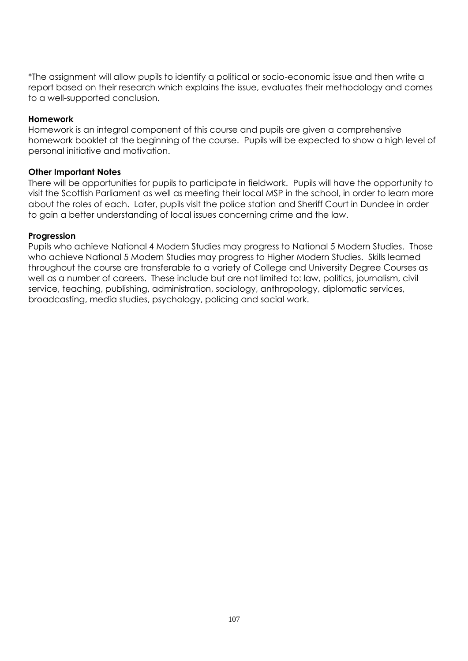\*The assignment will allow pupils to identify a political or socio-economic issue and then write a report based on their research which explains the issue, evaluates their methodology and comes to a well-supported conclusion.

#### **Homework**

Homework is an integral component of this course and pupils are given a comprehensive homework booklet at the beginning of the course. Pupils will be expected to show a high level of personal initiative and motivation.

#### **Other Important Notes**

There will be opportunities for pupils to participate in fieldwork. Pupils will have the opportunity to visit the Scottish Parliament as well as meeting their local MSP in the school, in order to learn more about the roles of each. Later, pupils visit the police station and Sheriff Court in Dundee in order to gain a better understanding of local issues concerning crime and the law.

#### **Progression**

Pupils who achieve National 4 Modern Studies may progress to National 5 Modern Studies. Those who achieve National 5 Modern Studies may progress to Higher Modern Studies. Skills learned throughout the course are transferable to a variety of College and University Degree Courses as well as a number of careers. These include but are not limited to: law, politics, journalism, civil service, teaching, publishing, administration, sociology, anthropology, diplomatic services, broadcasting, media studies, psychology, policing and social work.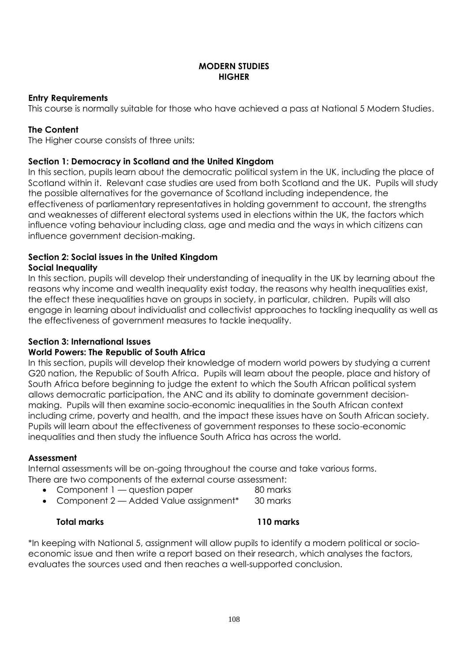#### **MODERN STUDIES HIGHER**

#### **Entry Requirements**

This course is normally suitable for those who have achieved a pass at National 5 Modern Studies.

#### **The Content**

The Higher course consists of three units:

#### **Section 1: Democracy in Scotland and the United Kingdom**

In this section, pupils learn about the democratic political system in the UK, including the place of Scotland within it. Relevant case studies are used from both Scotland and the UK. Pupils will study the possible alternatives for the governance of Scotland including independence, the effectiveness of parliamentary representatives in holding government to account, the strengths and weaknesses of different electoral systems used in elections within the UK, the factors which influence voting behaviour including class, age and media and the ways in which citizens can influence government decision-making.

#### **Section 2: Social issues in the United Kingdom Social Inequality**

In this section, pupils will develop their understanding of inequality in the UK by learning about the reasons why income and wealth inequality exist today, the reasons why health inequalities exist, the effect these inequalities have on groups in society, in particular, children. Pupils will also engage in learning about individualist and collectivist approaches to tackling inequality as well as the effectiveness of government measures to tackle inequality.

#### **Section 3: International Issues**

### **World Powers: The Republic of South Africa**

In this section, pupils will develop their knowledge of modern world powers by studying a current G20 nation, the Republic of South Africa. Pupils will learn about the people, place and history of South Africa before beginning to judge the extent to which the South African political system allows democratic participation, the ANC and its ability to dominate government decisionmaking. Pupils will then examine socio-economic inequalities in the South African context including crime, poverty and health, and the impact these issues have on South African society. Pupils will learn about the effectiveness of government responses to these socio-economic inequalities and then study the influence South Africa has across the world.

#### **Assessment**

Internal assessments will be on-going throughout the course and take various forms. There are two components of the external course assessment:

- Component 1 question paper 80 marks
- Component 2 Added Value assignment\* 30 marks

#### **Total marks 110 marks**

\*In keeping with National 5, assignment will allow pupils to identify a modern political or socioeconomic issue and then write a report based on their research, which analyses the factors, evaluates the sources used and then reaches a well-supported conclusion.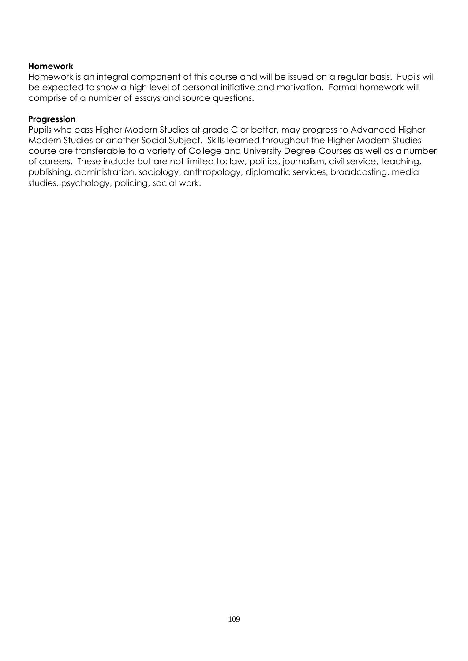#### **Homework**

Homework is an integral component of this course and will be issued on a regular basis. Pupils will be expected to show a high level of personal initiative and motivation. Formal homework will comprise of a number of essays and source questions.

#### **Progression**

Pupils who pass Higher Modern Studies at grade C or better, may progress to Advanced Higher Modern Studies or another Social Subject. Skills learned throughout the Higher Modern Studies course are transferable to a variety of College and University Degree Courses as well as a number of careers. These include but are not limited to: law, politics, journalism, civil service, teaching, publishing, administration, sociology, anthropology, diplomatic services, broadcasting, media studies, psychology, policing, social work.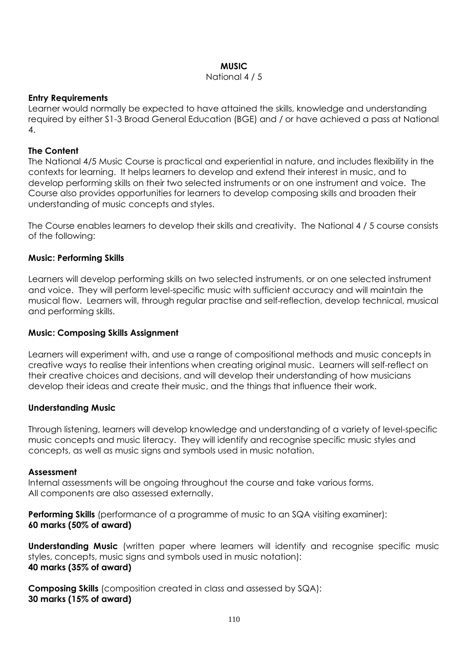## **MUSIC**

#### National 4 / 5

## **Entry Requirements**

Learner would normally be expected to have attained the skills, knowledge and understanding required by either S1-3 Broad General Education (BGE) and / or have achieved a pass at National 4.

## **The Content**

The National 4/5 Music Course is practical and experiential in nature, and includes flexibility in the contexts for learning. It helps learners to develop and extend their interest in music, and to develop performing skills on their two selected instruments or on one instrument and voice. The Course also provides opportunities for learners to develop composing skills and broaden their understanding of music concepts and styles.

The Course enables learners to develop their skills and creativity. The National 4 / 5 course consists of the following:

### **Music: Performing Skills**

Learners will develop performing skills on two selected instruments, or on one selected instrument and voice. They will perform level-specific music with sufficient accuracy and will maintain the musical flow. Learners will, through regular practise and self-reflection, develop technical, musical and performing skills.

#### **Music: Composing Skills Assignment**

Learners will experiment with, and use a range of compositional methods and music concepts in creative ways to realise their intentions when creating original music. Learners will self-reflect on their creative choices and decisions, and will develop their understanding of how musicians develop their ideas and create their music, and the things that influence their work.

#### **Understanding Music**

Through listening, learners will develop knowledge and understanding of a variety of level-specific music concepts and music literacy. They will identify and recognise specific music styles and concepts, as well as music signs and symbols used in music notation.

#### **Assessment**

Internal assessments will be ongoing throughout the course and take various forms. All components are also assessed externally.

**Performing Skills** (performance of a programme of music to an SQA visiting examiner): **60 marks (50% of award)**

**Understanding Music** (written paper where learners will identify and recognise specific music styles, concepts, music signs and symbols used in music notation): **40 marks (35% of award)**

**Composing Skills** (composition created in class and assessed by SQA): **30 marks (15% of award)**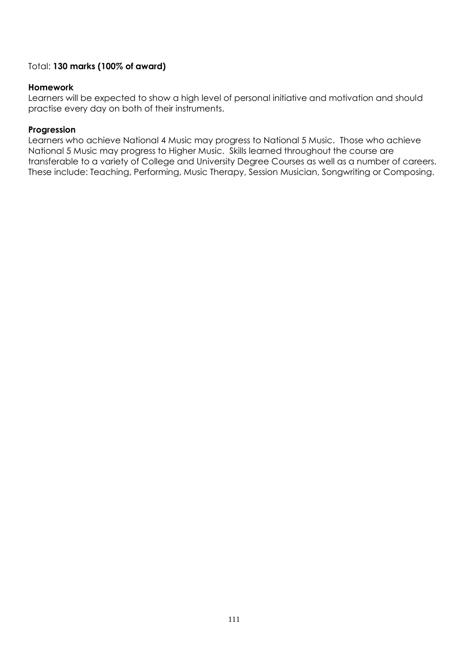## Total: **130 marks (100% of award)**

#### **Homework**

Learners will be expected to show a high level of personal initiative and motivation and should practise every day on both of their instruments.

#### **Progression**

Learners who achieve National 4 Music may progress to National 5 Music. Those who achieve National 5 Music may progress to Higher Music. Skills learned throughout the course are transferable to a variety of College and University Degree Courses as well as a number of careers. These include: Teaching, Performing, Music Therapy, Session Musician, Songwriting or Composing.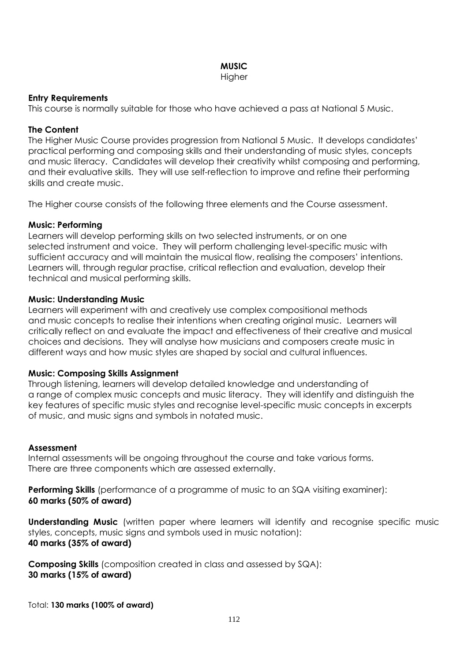# **MUSIC**

#### **Higher**

## **Entry Requirements**

This course is normally suitable for those who have achieved a pass at National 5 Music.

## **The Content**

The Higher Music Course provides progression from National 5 Music. It develops candidates' practical performing and composing skills and their understanding of music styles, concepts and music literacy. Candidates will develop their creativity whilst composing and performing, and their evaluative skills. They will use self-reflection to improve and refine their performing skills and create music.

The Higher course consists of the following three elements and the Course assessment.

### **Music: Performing**

Learners will develop performing skills on two selected instruments, or on one selected instrument and voice. They will perform challenging level-specific music with sufficient accuracy and will maintain the musical flow, realising the composers' intentions. Learners will, through regular practise, critical reflection and evaluation, develop their technical and musical performing skills.

#### **Music: Understanding Music**

Learners will experiment with and creatively use complex compositional methods and music concepts to realise their intentions when creating original music. Learners will critically reflect on and evaluate the impact and effectiveness of their creative and musical choices and decisions. They will analyse how musicians and composers create music in different ways and how music styles are shaped by social and cultural influences.

## **Music: Composing Skills Assignment**

Through listening, learners will develop detailed knowledge and understanding of a range of complex music concepts and music literacy. They will identify and distinguish the key features of specific music styles and recognise level-specific music concepts in excerpts of music, and music signs and symbols in notated music.

#### **Assessment**

Internal assessments will be ongoing throughout the course and take various forms. There are three components which are assessed externally.

**Performing Skills** (performance of a programme of music to an SQA visiting examiner): **60 marks (50% of award)**

**Understanding Music** (written paper where learners will identify and recognise specific music styles, concepts, music signs and symbols used in music notation): **40 marks (35% of award)**

**Composing Skills** (composition created in class and assessed by SQA): **30 marks (15% of award)**

Total: **130 marks (100% of award)**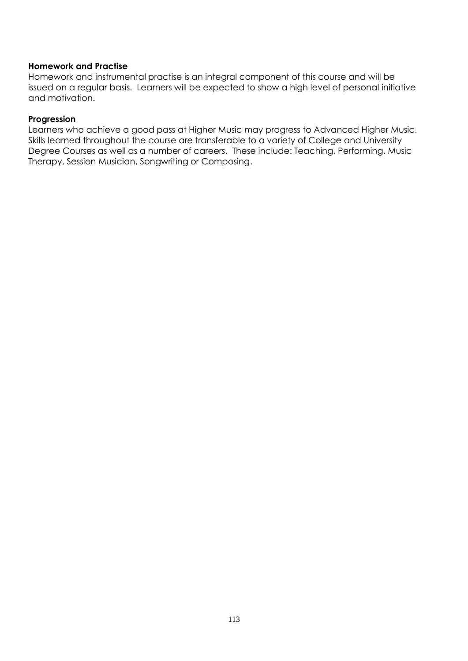#### **Homework and Practise**

Homework and instrumental practise is an integral component of this course and will be issued on a regular basis. Learners will be expected to show a high level of personal initiative and motivation.

#### **Progression**

Learners who achieve a good pass at Higher Music may progress to Advanced Higher Music. Skills learned throughout the course are transferable to a variety of College and University Degree Courses as well as a number of careers. These include: Teaching, Performing, Music Therapy, Session Musician, Songwriting or Composing.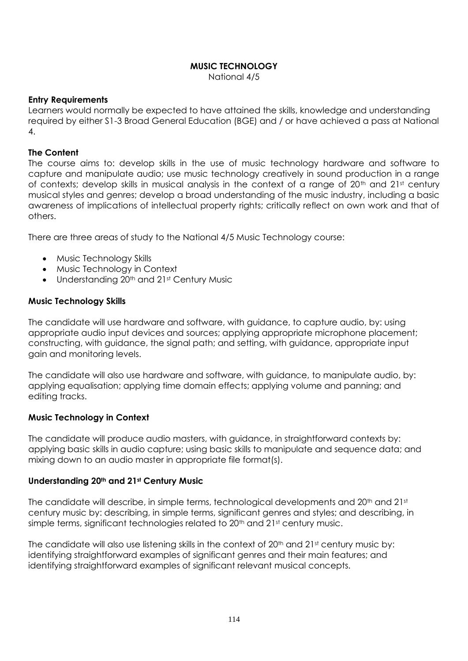## **MUSIC TECHNOLOGY**

National 4/5

#### **Entry Requirements**

Learners would normally be expected to have attained the skills, knowledge and understanding required by either S1-3 Broad General Education (BGE) and / or have achieved a pass at National 4.

## **The Content**

The course aims to: develop skills in the use of music technology hardware and software to capture and manipulate audio; use music technology creatively in sound production in a range of contexts; develop skills in musical analysis in the context of a range of 20<sup>th</sup> and 21<sup>st</sup> century musical styles and genres; develop a broad understanding of the music industry, including a basic awareness of implications of intellectual property rights; critically reflect on own work and that of others.

There are three areas of study to the National 4/5 Music Technology course:

- Music Technology Skills
- Music Technology in Context
- Understanding 20<sup>th</sup> and 21<sup>st</sup> Century Music

## **Music Technology Skills**

The candidate will use hardware and software, with guidance, to capture audio, by: using appropriate audio input devices and sources; applying appropriate microphone placement; constructing, with guidance, the signal path; and setting, with guidance, appropriate input gain and monitoring levels.

The candidate will also use hardware and software, with guidance, to manipulate audio, by: applying equalisation; applying time domain effects; applying volume and panning; and editing tracks.

## **Music Technology in Context**

The candidate will produce audio masters, with guidance, in straightforward contexts by: applying basic skills in audio capture; using basic skills to manipulate and sequence data; and mixing down to an audio master in appropriate file format(s).

## **Understanding 20th and 21st Century Music**

The candidate will describe, in simple terms, technological developments and  $20<sup>th</sup>$  and  $21<sup>st</sup>$ century music by: describing, in simple terms, significant genres and styles; and describing, in simple terms, significant technologies related to 20<sup>th</sup> and 21<sup>st</sup> century music.

The candidate will also use listening skills in the context of 20<sup>th</sup> and 21<sup>st</sup> century music by: identifying straightforward examples of significant genres and their main features; and identifying straightforward examples of significant relevant musical concepts.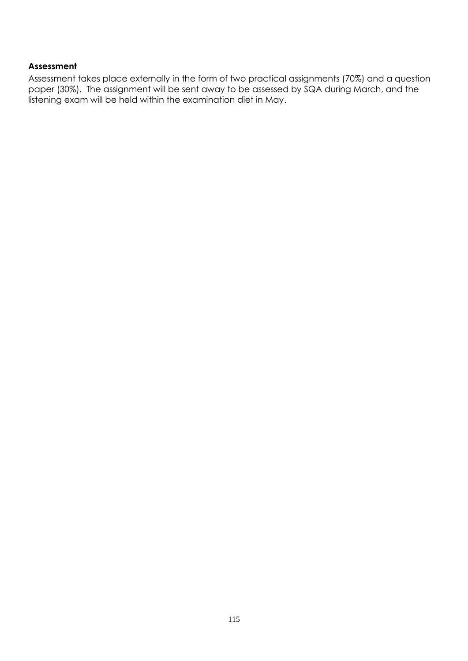#### **Assessment**

Assessment takes place externally in the form of two practical assignments (70%) and a question paper (30%). The assignment will be sent away to be assessed by SQA during March, and the listening exam will be held within the examination diet in May.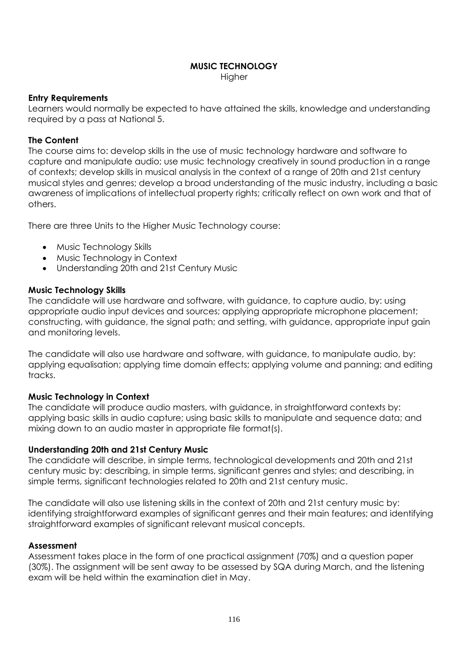# **MUSIC TECHNOLOGY**

**Higher** 

## **Entry Requirements**

Learners would normally be expected to have attained the skills, knowledge and understanding required by a pass at National 5.

## **The Content**

The course aims to: develop skills in the use of music technology hardware and software to capture and manipulate audio; use music technology creatively in sound production in a range of contexts; develop skills in musical analysis in the context of a range of 20th and 21st century musical styles and genres; develop a broad understanding of the music industry, including a basic awareness of implications of intellectual property rights; critically reflect on own work and that of others.

There are three Units to the Higher Music Technology course:

- Music Technology Skills
- Music Technology in Context
- Understanding 20th and 21st Century Music

### **Music Technology Skills**

The candidate will use hardware and software, with guidance, to capture audio, by: using appropriate audio input devices and sources; applying appropriate microphone placement; constructing, with guidance, the signal path; and setting, with guidance, appropriate input gain and monitoring levels.

The candidate will also use hardware and software, with guidance, to manipulate audio, by: applying equalisation; applying time domain effects; applying volume and panning; and editing tracks.

#### **Music Technology in Context**

The candidate will produce audio masters, with guidance, in straightforward contexts by: applying basic skills in audio capture; using basic skills to manipulate and sequence data; and mixing down to an audio master in appropriate file format(s).

## **Understanding 20th and 21st Century Music**

The candidate will describe, in simple terms, technological developments and 20th and 21st century music by: describing, in simple terms, significant genres and styles; and describing, in simple terms, significant technologies related to 20th and 21st century music.

The candidate will also use listening skills in the context of 20th and 21st century music by: identifying straightforward examples of significant genres and their main features; and identifying straightforward examples of significant relevant musical concepts.

#### **Assessment**

Assessment takes place in the form of one practical assignment (70%) and a question paper (30%). The assignment will be sent away to be assessed by SQA during March, and the listening exam will be held within the examination diet in May.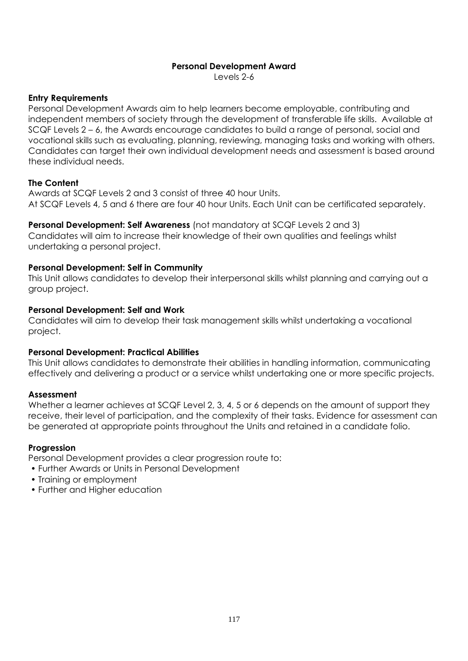## **Personal Development Award**

Levels 2-6

#### **Entry Requirements**

Personal Development Awards aim to help learners become employable, contributing and independent members of society through the development of transferable life skills. Available at SCQF Levels 2 – 6, the Awards encourage candidates to build a range of personal, social and vocational skills such as evaluating, planning, reviewing, managing tasks and working with others. Candidates can target their own individual development needs and assessment is based around these individual needs.

### **The Content**

Awards at SCQF Levels 2 and 3 consist of three 40 hour Units. At SCQF Levels 4, 5 and 6 there are four 40 hour Units. Each Unit can be certificated separately.

## **Personal Development: Self Awareness** (not mandatory at SCQF Levels 2 and 3)

Candidates will aim to increase their knowledge of their own qualities and feelings whilst undertaking a personal project.

### **Personal Development: Self in Community**

This Unit allows candidates to develop their interpersonal skills whilst planning and carrying out a group project.

### **Personal Development: Self and Work**

Candidates will aim to develop their task management skills whilst undertaking a vocational project.

#### **Personal Development: Practical Abilities**

This Unit allows candidates to demonstrate their abilities in handling information, communicating effectively and delivering a product or a service whilst undertaking one or more specific projects.

#### **Assessment**

Whether a learner achieves at SCQF Level 2, 3, 4, 5 or 6 depends on the amount of support they receive, their level of participation, and the complexity of their tasks. Evidence for assessment can be generated at appropriate points throughout the Units and retained in a candidate folio.

#### **Progression**

Personal Development provides a clear progression route to:

- Further Awards or Units in Personal Development
- Training or employment
- Further and Higher education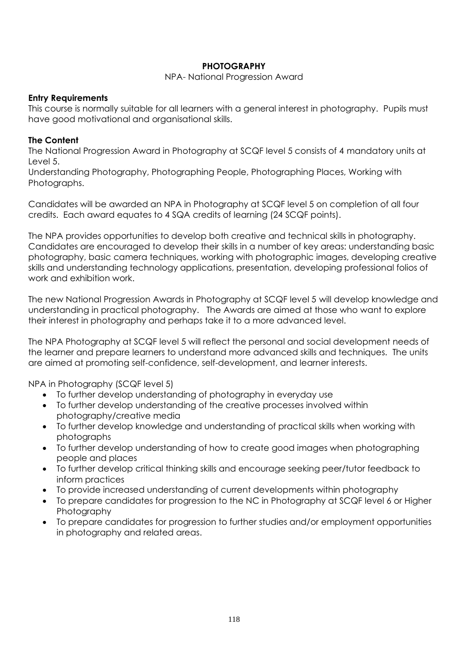## **PHOTOGRAPHY**

#### NPA- National Progression Award

### **Entry Requirements**

This course is normally suitable for all learners with a general interest in photography. Pupils must have good motivational and organisational skills.

## **The Content**

The National Progression Award in Photography at SCQF level 5 consists of 4 mandatory units at Level 5.

Understanding Photography, Photographing People, Photographing Places, Working with Photographs.

Candidates will be awarded an NPA in Photography at SCQF level 5 on completion of all four credits. Each award equates to 4 SQA credits of learning (24 SCQF points).

The NPA provides opportunities to develop both creative and technical skills in photography. Candidates are encouraged to develop their skills in a number of key areas: understanding basic photography, basic camera techniques, working with photographic images, developing creative skills and understanding technology applications, presentation, developing professional folios of work and exhibition work.

The new National Progression Awards in Photography at SCQF level 5 will develop knowledge and understanding in practical photography. The Awards are aimed at those who want to explore their interest in photography and perhaps take it to a more advanced level.

The NPA Photography at SCQF level 5 will reflect the personal and social development needs of the learner and prepare learners to understand more advanced skills and techniques. The units are aimed at promoting self-confidence, self-development, and learner interests.

NPA in Photography (SCQF level 5)

- To further develop understanding of photography in everyday use
- To further develop understanding of the creative processes involved within photography/creative media
- To further develop knowledge and understanding of practical skills when working with photographs
- To further develop understanding of how to create good images when photographing people and places
- To further develop critical thinking skills and encourage seeking peer/tutor feedback to inform practices
- To provide increased understanding of current developments within photography
- To prepare candidates for progression to the NC in Photography at SCQF level 6 or Higher Photography
- To prepare candidates for progression to further studies and/or employment opportunities in photography and related areas.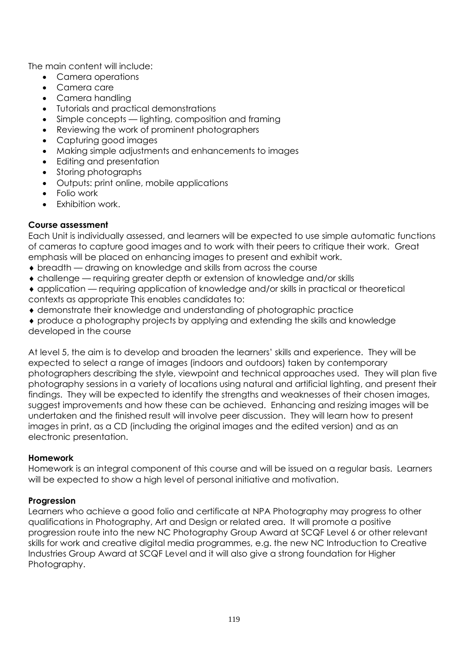The main content will include:

- Camera operations
- Camera care
- Camera handling
- Tutorials and practical demonstrations
- Simple concepts lighting, composition and framing
- Reviewing the work of prominent photographers
- Capturing good images
- Making simple adjustments and enhancements to images
- Editing and presentation
- Storing photographs
- Outputs: print online, mobile applications
- Folio work
- Exhibition work.

## **Course assessment**

Each Unit is individually assessed, and learners will be expected to use simple automatic functions of cameras to capture good images and to work with their peers to critique their work. Great emphasis will be placed on enhancing images to present and exhibit work.

- breadth drawing on knowledge and skills from across the course
- challenge requiring greater depth or extension of knowledge and/or skills
- application requiring application of knowledge and/or skills in practical or theoretical contexts as appropriate This enables candidates to:
- demonstrate their knowledge and understanding of photographic practice
- produce a photography projects by applying and extending the skills and knowledge developed in the course

At level 5, the aim is to develop and broaden the learners' skills and experience. They will be expected to select a range of images (indoors and outdoors) taken by contemporary photographers describing the style, viewpoint and technical approaches used. They will plan five photography sessions in a variety of locations using natural and artificial lighting, and present their findings. They will be expected to identify the strengths and weaknesses of their chosen images, suggest improvements and how these can be achieved. Enhancing and resizing images will be undertaken and the finished result will involve peer discussion. They will learn how to present images in print, as a CD (including the original images and the edited version) and as an electronic presentation.

## **Homework**

Homework is an integral component of this course and will be issued on a regular basis. Learners will be expected to show a high level of personal initiative and motivation.

## **Progression**

Learners who achieve a good folio and certificate at NPA Photography may progress to other qualifications in Photography, Art and Design or related area. It will promote a positive progression route into the new NC Photography Group Award at SCQF Level 6 or other relevant skills for work and creative digital media programmes, e.g. the new NC Introduction to Creative Industries Group Award at SCQF Level and it will also give a strong foundation for Higher Photography.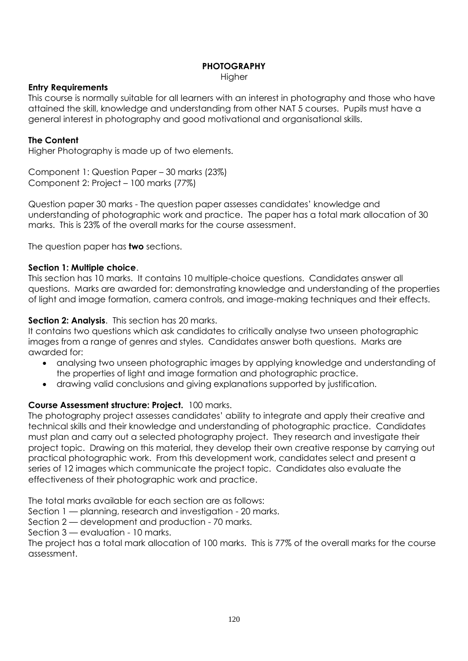## **PHOTOGRAPHY**

**Higher** 

### **Entry Requirements**

This course is normally suitable for all learners with an interest in photography and those who have attained the skill, knowledge and understanding from other NAT 5 courses. Pupils must have a general interest in photography and good motivational and organisational skills.

## **The Content**

Higher Photography is made up of two elements.

Component 1: Question Paper – 30 marks (23%) Component 2: Project – 100 marks (77%)

Question paper 30 marks - The question paper assesses candidates' knowledge and understanding of photographic work and practice. The paper has a total mark allocation of 30 marks. This is 23% of the overall marks for the course assessment.

The question paper has **two** sections.

### **Section 1: Multiple choice**.

This section has 10 marks. It contains 10 multiple-choice questions. Candidates answer all questions. Marks are awarded for: demonstrating knowledge and understanding of the properties of light and image formation, camera controls, and image-making techniques and their effects.

### **Section 2: Analysis**. This section has 20 marks.

It contains two questions which ask candidates to critically analyse two unseen photographic images from a range of genres and styles. Candidates answer both questions. Marks are awarded for:

- analysing two unseen photographic images by applying knowledge and understanding of the properties of light and image formation and photographic practice.
- drawing valid conclusions and giving explanations supported by justification.

## **Course Assessment structure: Project.** 100 marks.

The photography project assesses candidates' ability to integrate and apply their creative and technical skills and their knowledge and understanding of photographic practice. Candidates must plan and carry out a selected photography project. They research and investigate their project topic. Drawing on this material, they develop their own creative response by carrying out practical photographic work. From this development work, candidates select and present a series of 12 images which communicate the project topic. Candidates also evaluate the effectiveness of their photographic work and practice.

The total marks available for each section are as follows:

Section 1 — planning, research and investigation - 20 marks.

Section 2 — development and production - 70 marks.

Section 3 — evaluation - 10 marks.

The project has a total mark allocation of 100 marks. This is 77% of the overall marks for the course assessment.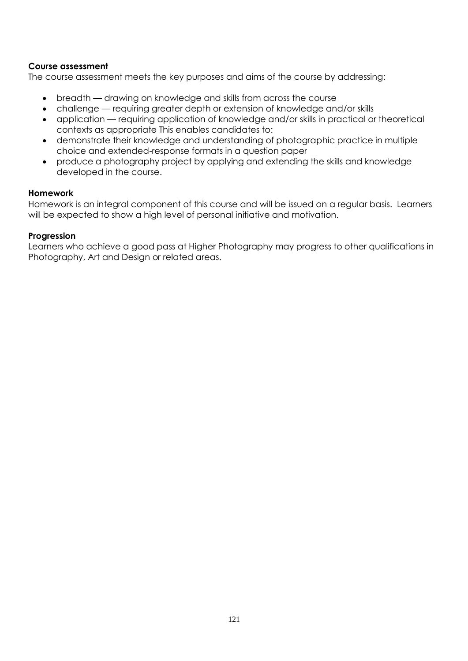## **Course assessment**

The course assessment meets the key purposes and aims of the course by addressing:

- breadth drawing on knowledge and skills from across the course
- challenge requiring greater depth or extension of knowledge and/or skills
- application requiring application of knowledge and/or skills in practical or theoretical contexts as appropriate This enables candidates to:
- demonstrate their knowledge and understanding of photographic practice in multiple choice and extended-response formats in a question paper
- produce a photography project by applying and extending the skills and knowledge developed in the course.

#### **Homework**

Homework is an integral component of this course and will be issued on a regular basis. Learners will be expected to show a high level of personal initiative and motivation.

#### **Progression**

Learners who achieve a good pass at Higher Photography may progress to other qualifications in Photography, Art and Design or related areas.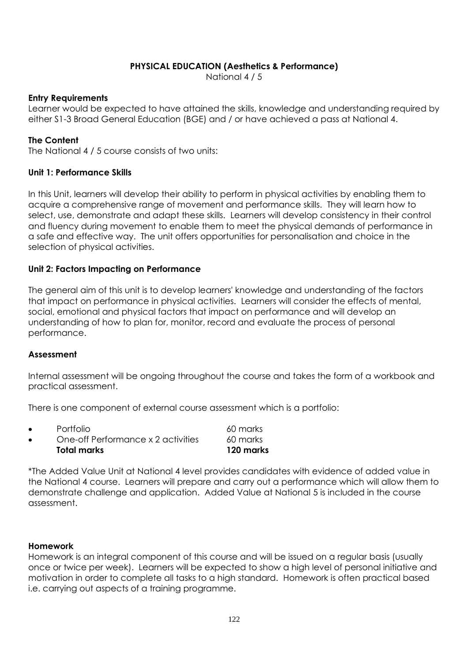## **PHYSICAL EDUCATION (Aesthetics & Performance)**

National 4 / 5

### **Entry Requirements**

Learner would be expected to have attained the skills, knowledge and understanding required by either S1-3 Broad General Education (BGE) and / or have achieved a pass at National 4.

### **The Content**

The National 4 / 5 course consists of two units:

### **Unit 1: Performance Skills**

In this Unit, learners will develop their ability to perform in physical activities by enabling them to acquire a comprehensive range of movement and performance skills. They will learn how to select, use, demonstrate and adapt these skills. Learners will develop consistency in their control and fluency during movement to enable them to meet the physical demands of performance in a safe and effective way. The unit offers opportunities for personalisation and choice in the selection of physical activities.

### **Unit 2: Factors Impacting on Performance**

The general aim of this unit is to develop learners' knowledge and understanding of the factors that impact on performance in physical activities. Learners will consider the effects of mental, social, emotional and physical factors that impact on performance and will develop an understanding of how to plan for, monitor, record and evaluate the process of personal performance.

#### **Assessment**

Internal assessment will be ongoing throughout the course and takes the form of a workbook and practical assessment.

There is one component of external course assessment which is a portfolio:

|           | Total marks                        | 120 marks |
|-----------|------------------------------------|-----------|
|           | One-off Performance x 2 activities | 60 marks  |
| $\bullet$ | <b>Portfolio</b>                   | 60 marks  |

\*The Added Value Unit at National 4 level provides candidates with evidence of added value in the National 4 course. Learners will prepare and carry out a performance which will allow them to demonstrate challenge and application. Added Value at National 5 is included in the course assessment.

#### **Homework**

Homework is an integral component of this course and will be issued on a regular basis (usually once or twice per week). Learners will be expected to show a high level of personal initiative and motivation in order to complete all tasks to a high standard. Homework is often practical based i.e. carrying out aspects of a training programme.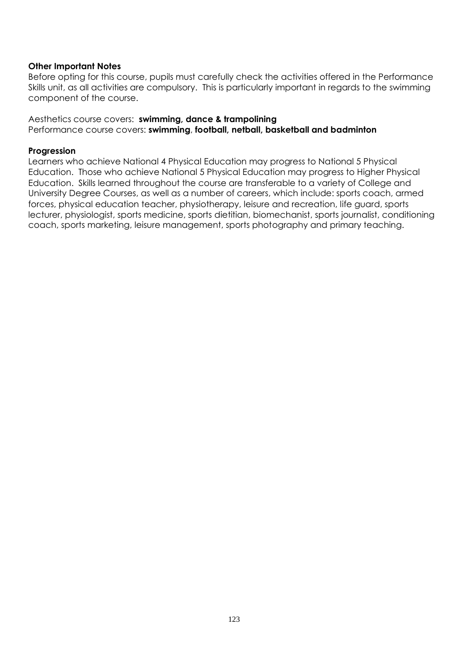#### **Other Important Notes**

Before opting for this course, pupils must carefully check the activities offered in the Performance Skills unit, as all activities are compulsory. This is particularly important in regards to the swimming component of the course.

Aesthetics course covers: **swimming, dance & trampolining** Performance course covers: **swimming**, **football, netball, basketball and badminton**

#### **Progression**

Learners who achieve National 4 Physical Education may progress to National 5 Physical Education. Those who achieve National 5 Physical Education may progress to Higher Physical Education. Skills learned throughout the course are transferable to a variety of College and University Degree Courses, as well as a number of careers, which include: sports coach, armed forces, physical education teacher, physiotherapy, leisure and recreation, life guard, sports lecturer, physiologist, sports medicine, sports dietitian, biomechanist, sports journalist, conditioning coach, sports marketing, leisure management, sports photography and primary teaching.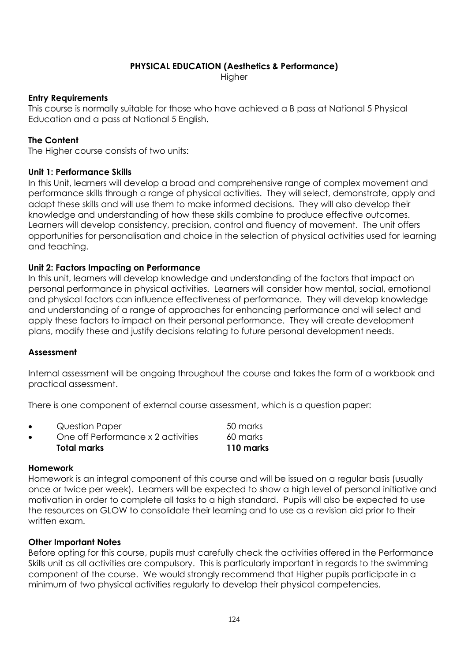## **PHYSICAL EDUCATION (Aesthetics & Performance)**

**Higher** 

#### **Entry Requirements**

This course is normally suitable for those who have achieved a B pass at National 5 Physical Education and a pass at National 5 English.

#### **The Content**

The Higher course consists of two units:

### **Unit 1: Performance Skills**

In this Unit, learners will develop a broad and comprehensive range of complex movement and performance skills through a range of physical activities. They will select, demonstrate, apply and adapt these skills and will use them to make informed decisions. They will also develop their knowledge and understanding of how these skills combine to produce effective outcomes. Learners will develop consistency, precision, control and fluency of movement. The unit offers opportunities for personalisation and choice in the selection of physical activities used for learning and teaching.

### **Unit 2: Factors Impacting on Performance**

In this unit, learners will develop knowledge and understanding of the factors that impact on personal performance in physical activities. Learners will consider how mental, social, emotional and physical factors can influence effectiveness of performance. They will develop knowledge and understanding of a range of approaches for enhancing performance and will select and apply these factors to impact on their personal performance. They will create development plans, modify these and justify decisions relating to future personal development needs.

#### **Assessment**

Internal assessment will be ongoing throughout the course and takes the form of a workbook and practical assessment.

There is one component of external course assessment, which is a question paper:

**Question Paper 60 marks** 50 marks One off Performance x 2 activities 60 marks **Total marks 110 marks**

#### **Homework**

Homework is an integral component of this course and will be issued on a regular basis (usually once or twice per week). Learners will be expected to show a high level of personal initiative and motivation in order to complete all tasks to a high standard. Pupils will also be expected to use the resources on GLOW to consolidate their learning and to use as a revision aid prior to their written exam.

#### **Other Important Notes**

Before opting for this course, pupils must carefully check the activities offered in the Performance Skills unit as all activities are compulsory. This is particularly important in regards to the swimming component of the course. We would strongly recommend that Higher pupils participate in a minimum of two physical activities regularly to develop their physical competencies.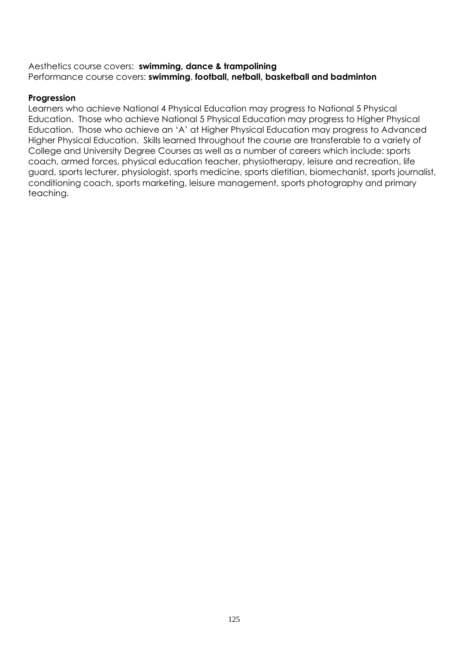Aesthetics course covers: **swimming, dance & trampolining** Performance course covers: **swimming**, **football, netball, basketball and badminton**

## **Progression**

Learners who achieve National 4 Physical Education may progress to National 5 Physical Education. Those who achieve National 5 Physical Education may progress to Higher Physical Education. Those who achieve an 'A' at Higher Physical Education may progress to Advanced Higher Physical Education. Skills learned throughout the course are transferable to a variety of College and University Degree Courses as well as a number of careers which include: sports coach, armed forces, physical education teacher, physiotherapy, leisure and recreation, life guard, sports lecturer, physiologist, sports medicine, sports dietitian, biomechanist, sports journalist, conditioning coach, sports marketing, leisure management, sports photography and primary teaching.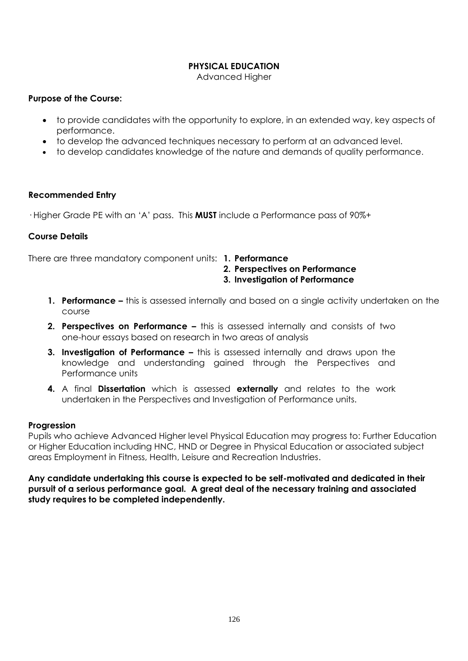## **PHYSICAL EDUCATION**

Advanced Higher

#### **Purpose of the Course:**

- to provide candidates with the opportunity to explore, in an extended way, key aspects of performance.
- to develop the advanced techniques necessary to perform at an advanced level.
- to develop candidates knowledge of the nature and demands of quality performance.

### **Recommended Entry**

· Higher Grade PE with an 'A' pass. This **MUST** include a Performance pass of 90%+

### **Course Details**

There are three mandatory component units: **1. Performance**

- **2. Perspectives on Performance**
- **3. Investigation of Performance**
- **1. Performance –** this is assessed internally and based on a single activity undertaken on the course
- **2. Perspectives on Performance –** this is assessed internally and consists of two one-hour essays based on research in two areas of analysis
- **3. Investigation of Performance –** this is assessed internally and draws upon the knowledge and understanding gained through the Perspectives and Performance units
- **4.** A final **Dissertation** which is assessed **externally** and relates to the work undertaken in the Perspectives and Investigation of Performance units.

#### **Progression**

Pupils who achieve Advanced Higher level Physical Education may progress to: Further Education or Higher Education including HNC, HND or Degree in Physical Education or associated subject areas Employment in Fitness, Health, Leisure and Recreation Industries.

**Any candidate undertaking this course is expected to be self-motivated and dedicated in their pursuit of a serious performance goal. A great deal of the necessary training and associated study requires to be completed independently.**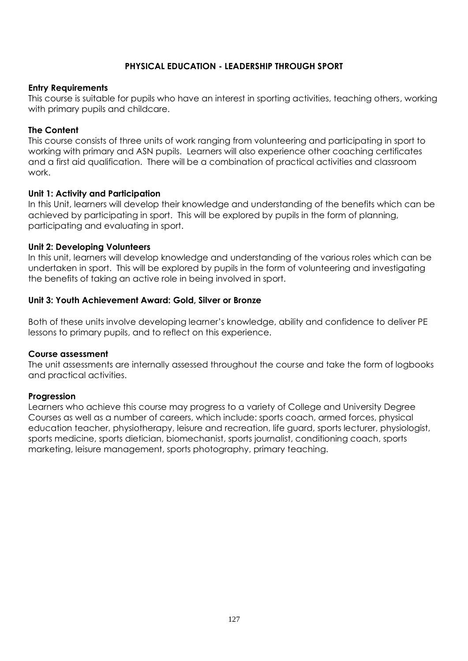## **PHYSICAL EDUCATION - LEADERSHIP THROUGH SPORT**

#### **Entry Requirements**

This course is suitable for pupils who have an interest in sporting activities, teaching others, working with primary pupils and childcare.

## **The Content**

This course consists of three units of work ranging from volunteering and participating in sport to working with primary and ASN pupils. Learners will also experience other coaching certificates and a first aid qualification. There will be a combination of practical activities and classroom work.

### **Unit 1: Activity and Participation**

In this Unit, learners will develop their knowledge and understanding of the benefits which can be achieved by participating in sport. This will be explored by pupils in the form of planning, participating and evaluating in sport.

### **Unit 2: Developing Volunteers**

In this unit, learners will develop knowledge and understanding of the various roles which can be undertaken in sport. This will be explored by pupils in the form of volunteering and investigating the benefits of taking an active role in being involved in sport.

### **Unit 3: Youth Achievement Award: Gold, Silver or Bronze**

Both of these units involve developing learner's knowledge, ability and confidence to deliver PE lessons to primary pupils, and to reflect on this experience.

#### **Course assessment**

The unit assessments are internally assessed throughout the course and take the form of logbooks and practical activities.

#### **Progression**

Learners who achieve this course may progress to a variety of College and University Degree Courses as well as a number of careers, which include: sports coach, armed forces, physical education teacher, physiotherapy, leisure and recreation, life guard, sports lecturer, physiologist, sports medicine, sports dietician, biomechanist, sports journalist, conditioning coach, sports marketing, leisure management, sports photography, primary teaching.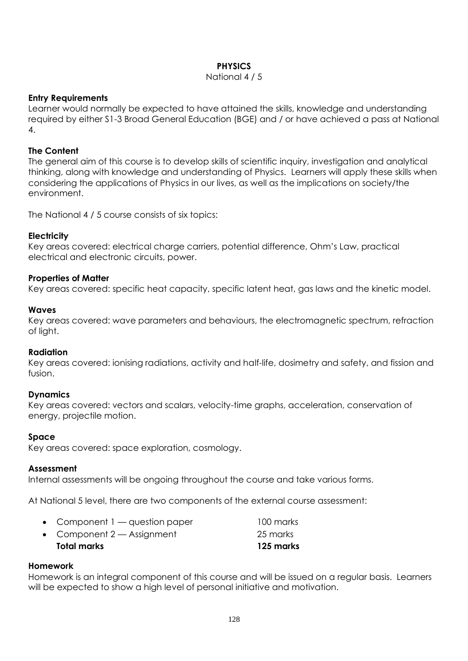## **PHYSICS**

#### National 4 / 5

## **Entry Requirements**

Learner would normally be expected to have attained the skills, knowledge and understanding required by either S1-3 Broad General Education (BGE) and / or have achieved a pass at National 4.

## **The Content**

The general aim of this course is to develop skills of scientific inquiry, investigation and analytical thinking, along with knowledge and understanding of Physics. Learners will apply these skills when considering the applications of Physics in our lives, as well as the implications on society/the environment.

The National 4 / 5 course consists of six topics:

## **Electricity**

Key areas covered: electrical charge carriers, potential difference, Ohm's Law, practical electrical and electronic circuits, power.

### **Properties of Matter**

Key areas covered: specific heat capacity, specific latent heat, gas laws and the kinetic model.

#### **Waves**

Key areas covered: wave parameters and behaviours, the electromagnetic spectrum, refraction of light.

#### **Radiation**

Key areas covered: ionising radiations, activity and half-life, dosimetry and safety, and fission and fusion.

#### **Dynamics**

Key areas covered: vectors and scalars, velocity-time graphs, acceleration, conservation of energy, projectile motion.

#### **Space**

Key areas covered: space exploration, cosmology.

#### **Assessment**

Internal assessments will be ongoing throughout the course and take various forms.

At National 5 level, there are two components of the external course assessment:

| <b>Total marks</b>               | 125 marks |
|----------------------------------|-----------|
| • Component $2$ $-$ Assignment   | 25 marks  |
| • Component $1$ — question paper | 100 marks |

#### **Homework**

Homework is an integral component of this course and will be issued on a regular basis. Learners will be expected to show a high level of personal initiative and motivation.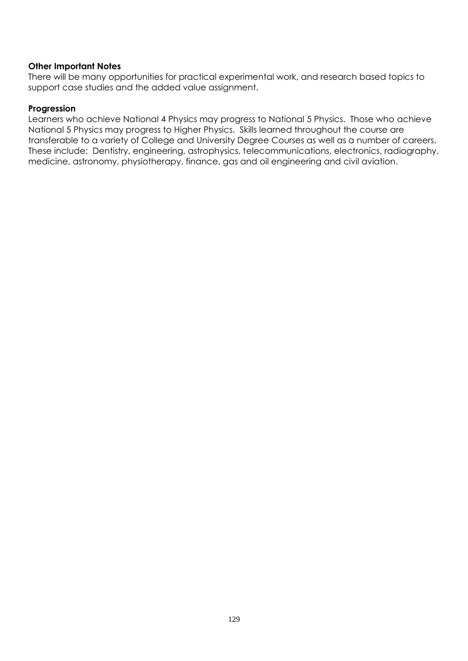#### **Other Important Notes**

There will be many opportunities for practical experimental work, and research based topics to support case studies and the added value assignment.

#### **Progression**

Learners who achieve National 4 Physics may progress to National 5 Physics. Those who achieve National 5 Physics may progress to Higher Physics. Skills learned throughout the course are transferable to a variety of College and University Degree Courses as well as a number of careers. These include: Dentistry, engineering, astrophysics, telecommunications, electronics, radiography, medicine, astronomy, physiotherapy, finance, gas and oil engineering and civil aviation.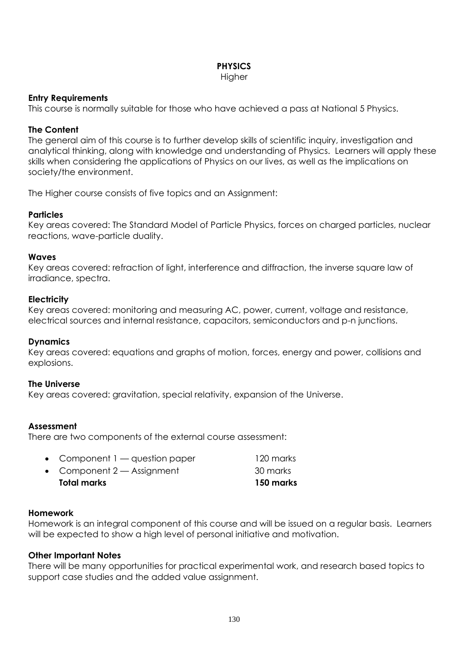## **PHYSICS**

#### **Higher**

## **Entry Requirements**

This course is normally suitable for those who have achieved a pass at National 5 Physics.

## **The Content**

The general aim of this course is to further develop skills of scientific inquiry, investigation and analytical thinking, along with knowledge and understanding of Physics. Learners will apply these skills when considering the applications of Physics on our lives, as well as the implications on society/the environment.

The Higher course consists of five topics and an Assignment:

### **Particles**

Key areas covered: The Standard Model of Particle Physics, forces on charged particles, nuclear reactions, wave-particle duality.

#### **Waves**

Key areas covered: refraction of light, interference and diffraction, the inverse square law of irradiance, spectra.

#### **Electricity**

Key areas covered: monitoring and measuring AC, power, current, voltage and resistance, electrical sources and internal resistance, capacitors, semiconductors and p-n junctions.

#### **Dynamics**

Key areas covered: equations and graphs of motion, forces, energy and power, collisions and explosions.

#### **The Universe**

Key areas covered: gravitation, special relativity, expansion of the Universe.

## **Assessment**

There are two components of the external course assessment:

| Total marks                      | 150 marks |
|----------------------------------|-----------|
| • Component $2 -$ Assignment     | -30 marks |
| • Component $1$ — question paper | 120 marks |

#### **Homework**

Homework is an integral component of this course and will be issued on a regular basis. Learners will be expected to show a high level of personal initiative and motivation.

#### **Other Important Notes**

There will be many opportunities for practical experimental work, and research based topics to support case studies and the added value assignment.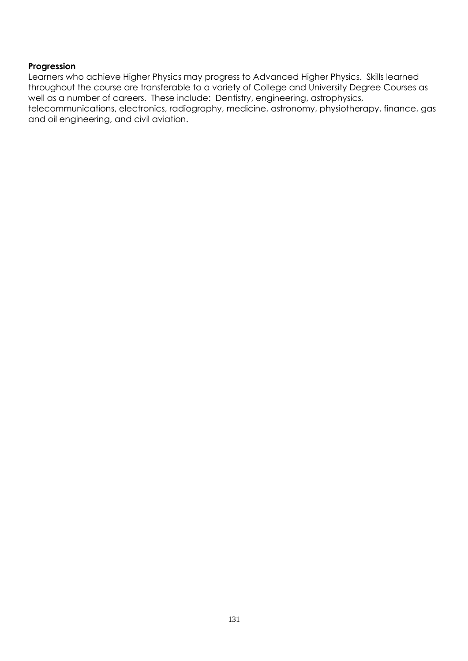#### **Progression**

Learners who achieve Higher Physics may progress to Advanced Higher Physics. Skills learned throughout the course are transferable to a variety of College and University Degree Courses as well as a number of careers. These include: Dentistry, engineering, astrophysics, telecommunications, electronics, radiography, medicine, astronomy, physiotherapy, finance, gas and oil engineering, and civil aviation.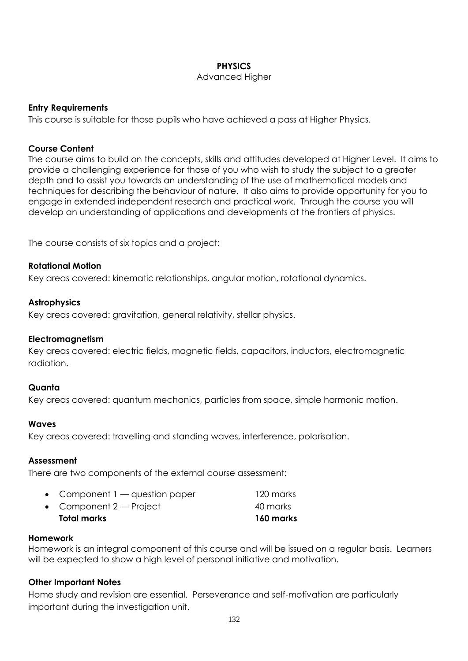## **PHYSICS**

#### Advanced Higher

### **Entry Requirements**

This course is suitable for those pupils who have achieved a pass at Higher Physics.

### **Course Content**

The course aims to build on the concepts, skills and attitudes developed at Higher Level. It aims to provide a challenging experience for those of you who wish to study the subject to a greater depth and to assist you towards an understanding of the use of mathematical models and techniques for describing the behaviour of nature. It also aims to provide opportunity for you to engage in extended independent research and practical work. Through the course you will develop an understanding of applications and developments at the frontiers of physics.

The course consists of six topics and a project:

#### **Rotational Motion**

Key areas covered: kinematic relationships, angular motion, rotational dynamics.

### **Astrophysics**

Key areas covered: gravitation, general relativity, stellar physics.

#### **Electromagnetism**

Key areas covered: electric fields, magnetic fields, capacitors, inductors, electromagnetic radiation.

#### **Quanta**

Key areas covered: quantum mechanics, particles from space, simple harmonic motion.

#### **Waves**

Key areas covered: travelling and standing waves, interference, polarisation.

#### **Assessment**

There are two components of the external course assessment:

|                     | • Component $1$ — question paper | 120 marks                 |
|---------------------|----------------------------------|---------------------------|
| c Campanant Draigat |                                  | $\Lambda$ $\Omega$ models |

• Component 2 — Project 40 marks **Total marks 160 marks**

#### **Homework**

Homework is an integral component of this course and will be issued on a regular basis. Learners will be expected to show a high level of personal initiative and motivation.

## **Other Important Notes**

Home study and revision are essential. Perseverance and self-motivation are particularly important during the investigation unit.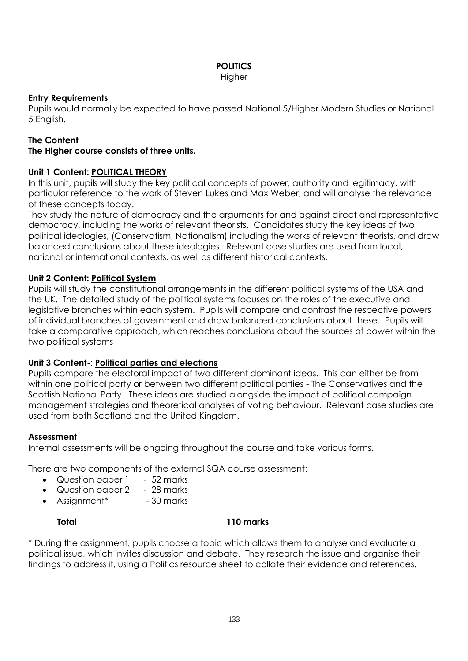# **POLITICS**

**Higher** 

## **Entry Requirements**

Pupils would normally be expected to have passed National 5/Higher Modern Studies or National 5 English.

## **The Content**

## **The Higher course consists of three units.**

## **Unit 1 Content: POLITICAL THEORY**

In this unit, pupils will study the key political concepts of power, authority and legitimacy, with particular reference to the work of Steven Lukes and Max Weber, and will analyse the relevance of these concepts today.

They study the nature of democracy and the arguments for and against direct and representative democracy, including the works of relevant theorists. Candidates study the key ideas of two political ideologies, (Conservatism, Nationalism) including the works of relevant theorists, and draw balanced conclusions about these ideologies. Relevant case studies are used from local, national or international contexts, as well as different historical contexts.

## **Unit 2 Content: Political System**

Pupils will study the constitutional arrangements in the different political systems of the USA and the UK. The detailed study of the political systems focuses on the roles of the executive and legislative branches within each system. Pupils will compare and contrast the respective powers of individual branches of government and draw balanced conclusions about these. Pupils will take a comparative approach, which reaches conclusions about the sources of power within the two political systems

## **Unit 3 Content-**: **Political parties and elections**

Pupils compare the electoral impact of two different dominant ideas. This can either be from within one political party or between two different political parties - The Conservatives and the Scottish National Party. These ideas are studied alongside the impact of political campaign management strategies and theoretical analyses of voting behaviour. Relevant case studies are used from both Scotland and the United Kingdom.

## **Assessment**

Internal assessments will be ongoing throughout the course and take various forms.

There are two components of the external SQA course assessment:

- Question paper 1 52 marks
- Question paper 2 28 marks
- Assignment<sup>\*</sup> 30 marks

#### **Total 110 marks**

\* During the assignment, pupils choose a topic which allows them to analyse and evaluate a political issue, which invites discussion and debate. They research the issue and organise their findings to address it, using a Politics resource sheet to collate their evidence and references.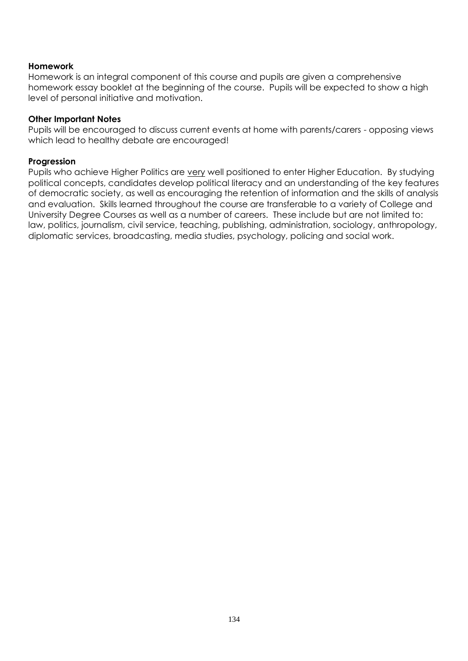#### **Homework**

Homework is an integral component of this course and pupils are given a comprehensive homework essay booklet at the beginning of the course. Pupils will be expected to show a high level of personal initiative and motivation.

#### **Other Important Notes**

Pupils will be encouraged to discuss current events at home with parents/carers - opposing views which lead to healthy debate are encouraged!

#### **Progression**

Pupils who achieve Higher Politics are very well positioned to enter Higher Education. By studying political concepts, candidates develop political literacy and an understanding of the key features of democratic society, as well as encouraging the retention of information and the skills of analysis and evaluation. Skills learned throughout the course are transferable to a variety of College and University Degree Courses as well as a number of careers. These include but are not limited to: law, politics, journalism, civil service, teaching, publishing, administration, sociology, anthropology, diplomatic services, broadcasting, media studies, psychology, policing and social work.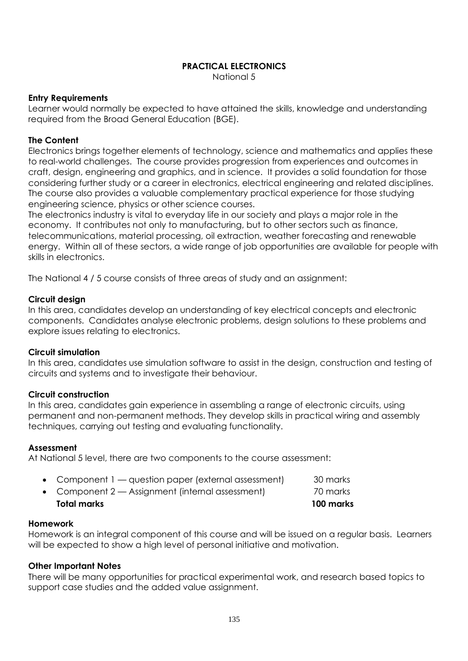## **PRACTICAL ELECTRONICS**

National 5

## **Entry Requirements**

Learner would normally be expected to have attained the skills, knowledge and understanding required from the Broad General Education (BGE).

#### **The Content**

Electronics brings together elements of technology, science and mathematics and applies these to real-world challenges. The course provides progression from experiences and outcomes in craft, design, engineering and graphics, and in science. It provides a solid foundation for those considering further study or a career in electronics, electrical engineering and related disciplines. The course also provides a valuable complementary practical experience for those studying engineering science, physics or other science courses.

The electronics industry is vital to everyday life in our society and plays a major role in the economy. It contributes not only to manufacturing, but to other sectors such as finance, telecommunications, material processing, oil extraction, weather forecasting and renewable energy. Within all of these sectors, a wide range of job opportunities are available for people with skills in electronics.

The National 4 / 5 course consists of three areas of study and an assignment:

#### **Circuit design**

In this area, candidates develop an understanding of key electrical concepts and electronic components. Candidates analyse electronic problems, design solutions to these problems and explore issues relating to electronics.

#### **Circuit simulation**

In this area, candidates use simulation software to assist in the design, construction and testing of circuits and systems and to investigate their behaviour.

#### **Circuit construction**

In this area, candidates gain experience in assembling a range of electronic circuits, using permanent and non-permanent methods. They develop skills in practical wiring and assembly techniques, carrying out testing and evaluating functionality.

#### **Assessment**

At National 5 level, there are two components to the course assessment:

| Total marks                                          | 100 marks |
|------------------------------------------------------|-----------|
| • Component 2 — Assignment (internal assessment)     | 70 marks  |
| • Component 1 — question paper (external assessment) | 30 marks  |

#### **Homework**

Homework is an integral component of this course and will be issued on a regular basis. Learners will be expected to show a high level of personal initiative and motivation.

#### **Other Important Notes**

There will be many opportunities for practical experimental work, and research based topics to support case studies and the added value assignment.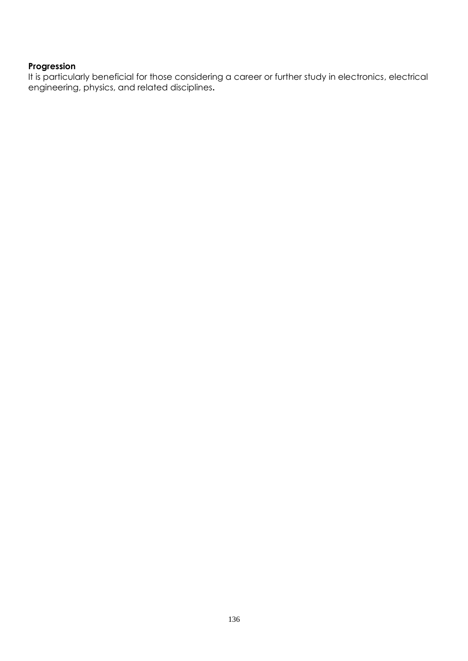## **Progression**

It is particularly beneficial for those considering a career or further study in electronics, electrical engineering, physics, and related disciplines**.**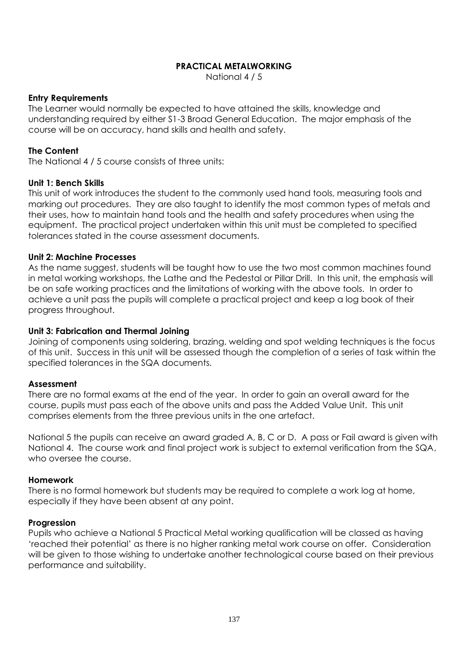## **PRACTICAL METALWORKING**

National 4 / 5

#### **Entry Requirements**

The Learner would normally be expected to have attained the skills, knowledge and understanding required by either S1-3 Broad General Education. The major emphasis of the course will be on accuracy, hand skills and health and safety.

## **The Content**

The National 4 / 5 course consists of three units:

### **Unit 1: Bench Skills**

This unit of work introduces the student to the commonly used hand tools, measuring tools and marking out procedures. They are also taught to identify the most common types of metals and their uses, how to maintain hand tools and the health and safety procedures when using the equipment. The practical project undertaken within this unit must be completed to specified tolerances stated in the course assessment documents.

### **Unit 2: Machine Processes**

As the name suggest, students will be taught how to use the two most common machines found in metal working workshops, the Lathe and the Pedestal or Pillar Drill. In this unit, the emphasis will be on safe working practices and the limitations of working with the above tools. In order to achieve a unit pass the pupils will complete a practical project and keep a log book of their progress throughout.

#### **Unit 3: Fabrication and Thermal Joining**

Joining of components using soldering, brazing, welding and spot welding techniques is the focus of this unit. Success in this unit will be assessed though the completion of a series of task within the specified tolerances in the SQA documents.

#### **Assessment**

There are no formal exams at the end of the year. In order to gain an overall award for the course, pupils must pass each of the above units and pass the Added Value Unit. This unit comprises elements from the three previous units in the one artefact.

National 5 the pupils can receive an award graded A, B, C or D. A pass or Fail award is given with National 4. The course work and final project work is subject to external verification from the SQA, who oversee the course.

#### **Homework**

There is no formal homework but students may be required to complete a work log at home, especially if they have been absent at any point.

#### **Progression**

Pupils who achieve a National 5 Practical Metal working qualification will be classed as having 'reached their potential' as there is no higher ranking metal work course on offer. Consideration will be given to those wishing to undertake another technological course based on their previous performance and suitability.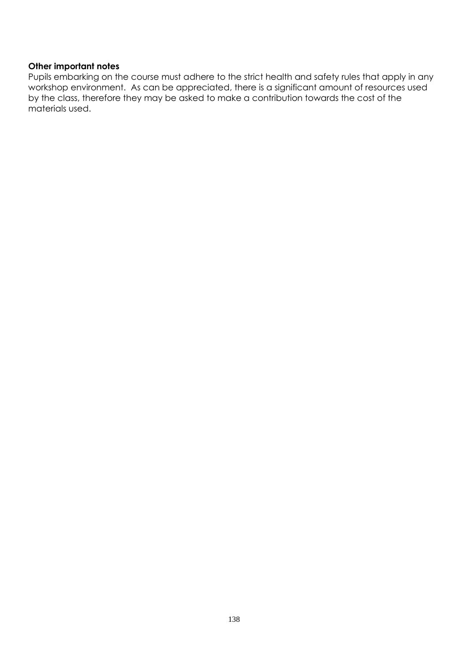#### **Other important notes**

Pupils embarking on the course must adhere to the strict health and safety rules that apply in any workshop environment. As can be appreciated, there is a significant amount of resources used by the class, therefore they may be asked to make a contribution towards the cost of the materials used.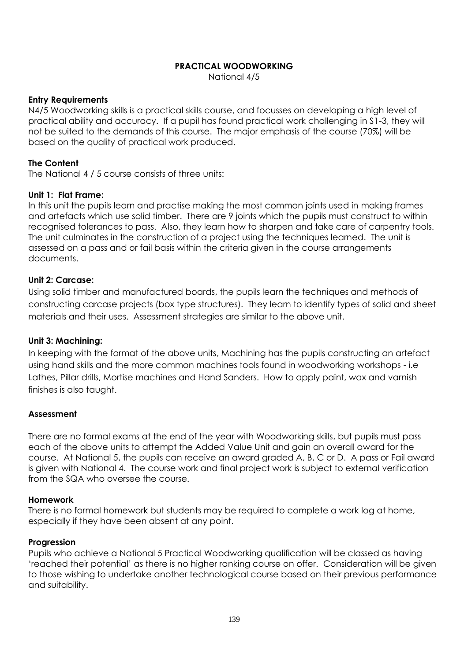## **PRACTICAL WOODWORKING**

National 4/5

### **Entry Requirements**

N4/5 Woodworking skills is a practical skills course, and focusses on developing a high level of practical ability and accuracy. If a pupil has found practical work challenging in S1-3, they will not be suited to the demands of this course. The major emphasis of the course (70%) will be based on the quality of practical work produced.

## **The Content**

The National 4 / 5 course consists of three units:

### **Unit 1: Flat Frame:**

In this unit the pupils learn and practise making the most common joints used in making frames and artefacts which use solid timber. There are 9 joints which the pupils must construct to within recognised tolerances to pass. Also, they learn how to sharpen and take care of carpentry tools. The unit culminates in the construction of a project using the techniques learned. The unit is assessed on a pass and or fail basis within the criteria given in the course arrangements documents.

### **Unit 2: Carcase:**

Using solid timber and manufactured boards, the pupils learn the techniques and methods of constructing carcase projects (box type structures). They learn to identify types of solid and sheet materials and their uses. Assessment strategies are similar to the above unit.

#### **Unit 3: Machining:**

In keeping with the format of the above units, Machining has the pupils constructing an artefact using hand skills and the more common machines tools found in woodworking workshops - i.e Lathes, Pillar drills, Mortise machines and Hand Sanders. How to apply paint, wax and varnish finishes is also taught.

#### **Assessment**

There are no formal exams at the end of the year with Woodworking skills, but pupils must pass each of the above units to attempt the Added Value Unit and gain an overall award for the course. At National 5, the pupils can receive an award graded A, B, C or D. A pass or Fail award is given with National 4. The course work and final project work is subject to external verification from the SQA who oversee the course.

#### **Homework**

There is no formal homework but students may be required to complete a work log at home, especially if they have been absent at any point.

#### **Progression**

Pupils who achieve a National 5 Practical Woodworking qualification will be classed as having 'reached their potential' as there is no higher ranking course on offer. Consideration will be given to those wishing to undertake another technological course based on their previous performance and suitability.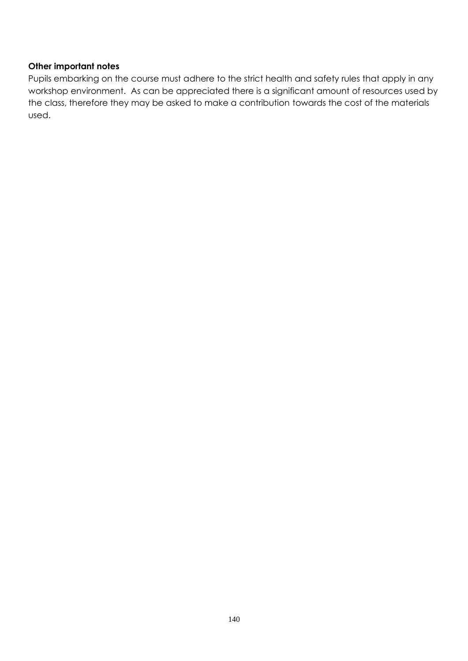## **Other important notes**

Pupils embarking on the course must adhere to the strict health and safety rules that apply in any workshop environment. As can be appreciated there is a significant amount of resources used by the class, therefore they may be asked to make a contribution towards the cost of the materials used.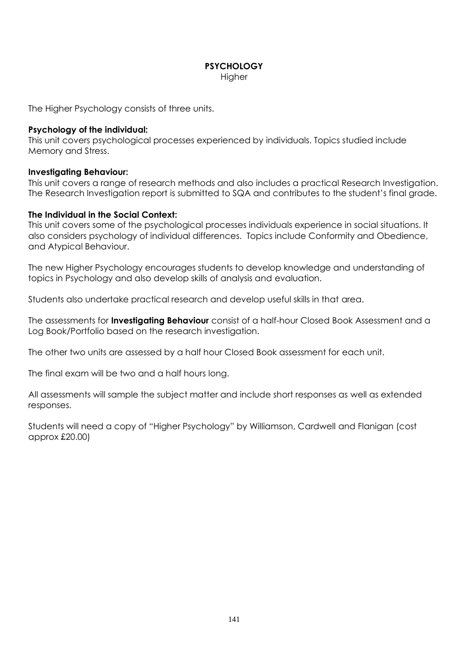#### **PSYCHOLOGY** Higher

The Higher Psychology consists of three units.

#### **Psychology of the individual:**

This unit covers psychological processes experienced by individuals. Topics studied include Memory and Stress.

#### **Investigating Behaviour:**

This unit covers a range of research methods and also includes a practical Research Investigation. The Research Investigation report is submitted to SQA and contributes to the student's final grade.

#### **The Individual in the Social Context:**

This unit covers some of the psychological processes individuals experience in social situations. It also considers psychology of individual differences. Topics include Conformity and Obedience, and Atypical Behaviour.

The new Higher Psychology encourages students to develop knowledge and understanding of topics in Psychology and also develop skills of analysis and evaluation.

Students also undertake practical research and develop useful skills in that area.

The assessments for **Investigating Behaviour** consist of a half-hour Closed Book Assessment and a Log Book/Portfolio based on the research investigation.

The other two units are assessed by a half hour Closed Book assessment for each unit.

The final exam will be two and a half hours long.

All assessments will sample the subject matter and include short responses as well as extended responses.

Students will need a copy of "Higher Psychology" by Williamson, Cardwell and Flanigan (cost approx £20.00)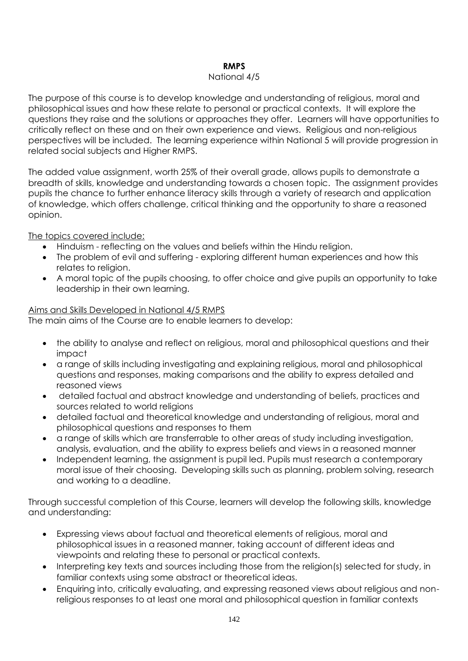## **RMPS**

#### National 4/5

The purpose of this course is to develop knowledge and understanding of religious, moral and philosophical issues and how these relate to personal or practical contexts. It will explore the questions they raise and the solutions or approaches they offer. Learners will have opportunities to critically reflect on these and on their own experience and views. Religious and non-religious perspectives will be included. The learning experience within National 5 will provide progression in related social subjects and Higher RMPS.

The added value assignment, worth 25% of their overall grade, allows pupils to demonstrate a breadth of skills, knowledge and understanding towards a chosen topic. The assignment provides pupils the chance to further enhance literacy skills through a variety of research and application of knowledge, which offers challenge, critical thinking and the opportunity to share a reasoned opinion.

## The topics covered include:

- Hinduism reflecting on the values and beliefs within the Hindu religion.
- The problem of evil and suffering exploring different human experiences and how this relates to religion.
- A moral topic of the pupils choosing, to offer choice and give pupils an opportunity to take leadership in their own learning.

## Aims and Skills Developed in National 4/5 RMPS

The main aims of the Course are to enable learners to develop:

- the ability to analyse and reflect on religious, moral and philosophical questions and their impact
- a range of skills including investigating and explaining religious, moral and philosophical questions and responses, making comparisons and the ability to express detailed and reasoned views
- detailed factual and abstract knowledge and understanding of beliefs, practices and sources related to world religions
- detailed factual and theoretical knowledge and understanding of religious, moral and philosophical questions and responses to them
- a range of skills which are transferrable to other areas of study including investigation, analysis, evaluation, and the ability to express beliefs and views in a reasoned manner
- Independent learning, the assignment is pupil led. Pupils must research a contemporary moral issue of their choosing. Developing skills such as planning, problem solving, research and working to a deadline.

Through successful completion of this Course, learners will develop the following skills, knowledge and understanding:

- Expressing views about factual and theoretical elements of religious, moral and philosophical issues in a reasoned manner, taking account of different ideas and viewpoints and relating these to personal or practical contexts.
- Interpreting key texts and sources including those from the religion(s) selected for study, in familiar contexts using some abstract or theoretical ideas.
- Enquiring into, critically evaluating, and expressing reasoned views about religious and nonreligious responses to at least one moral and philosophical question in familiar contexts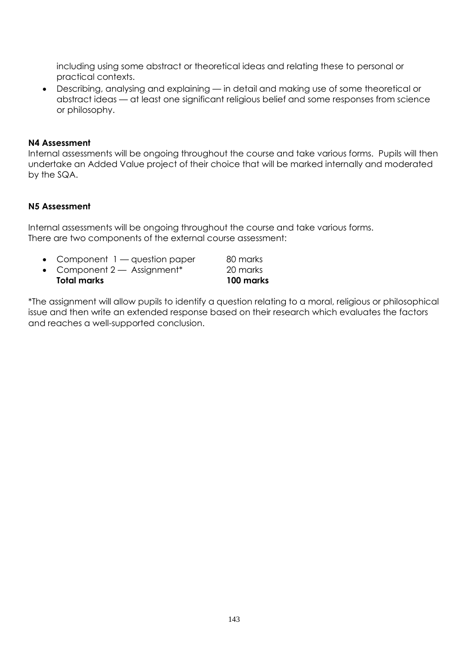including using some abstract or theoretical ideas and relating these to personal or practical contexts.

• Describing, analysing and explaining — in detail and making use of some theoretical or abstract ideas — at least one significant religious belief and some responses from science or philosophy.

#### **N4 Assessment**

Internal assessments will be ongoing throughout the course and take various forms. Pupils will then undertake an Added Value project of their choice that will be marked internally and moderated by the SQA.

### **N5 Assessment**

Internal assessments will be ongoing throughout the course and take various forms. There are two components of the external course assessment:

• Component 1 — question paper 80 marks • Component 2 — Assignment<sup>\*</sup> 20 marks **Total marks 100 marks**

\*The assignment will allow pupils to identify a question relating to a moral, religious or philosophical issue and then write an extended response based on their research which evaluates the factors and reaches a well-supported conclusion.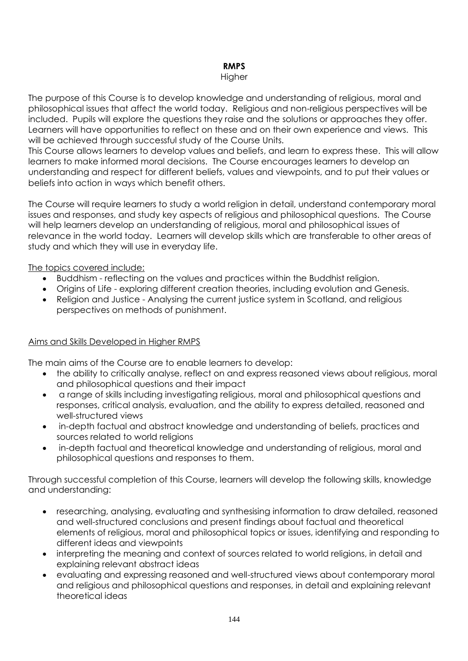## **RMPS**

#### **Higher**

The purpose of this Course is to develop knowledge and understanding of religious, moral and philosophical issues that affect the world today. Religious and non-religious perspectives will be included. Pupils will explore the questions they raise and the solutions or approaches they offer. Learners will have opportunities to reflect on these and on their own experience and views. This will be achieved through successful study of the Course Units.

This Course allows learners to develop values and beliefs, and learn to express these. This will allow learners to make informed moral decisions. The Course encourages learners to develop an understanding and respect for different beliefs, values and viewpoints, and to put their values or beliefs into action in ways which benefit others.

The Course will require learners to study a world religion in detail, understand contemporary moral issues and responses, and study key aspects of religious and philosophical questions. The Course will help learners develop an understanding of religious, moral and philosophical issues of relevance in the world today. Learners will develop skills which are transferable to other areas of study and which they will use in everyday life.

## The topics covered include:

- Buddhism reflecting on the values and practices within the Buddhist religion.
- Origins of Life exploring different creation theories, including evolution and Genesis.
- Religion and Justice Analysing the current justice system in Scotland, and religious perspectives on methods of punishment.

## Aims and Skills Developed in Higher RMPS

The main aims of the Course are to enable learners to develop:

- the ability to critically analyse, reflect on and express reasoned views about religious, moral and philosophical questions and their impact
- a range of skills including investigating religious, moral and philosophical questions and responses, critical analysis, evaluation, and the ability to express detailed, reasoned and well-structured views
- in-depth factual and abstract knowledge and understanding of beliefs, practices and sources related to world religions
- in-depth factual and theoretical knowledge and understanding of religious, moral and philosophical questions and responses to them.

Through successful completion of this Course, learners will develop the following skills, knowledge and understanding:

- researching, analysing, evaluating and synthesising information to draw detailed, reasoned and well-structured conclusions and present findings about factual and theoretical elements of religious, moral and philosophical topics or issues, identifying and responding to different ideas and viewpoints
- interpreting the meaning and context of sources related to world religions, in detail and explaining relevant abstract ideas
- evaluating and expressing reasoned and well-structured views about contemporary moral and religious and philosophical questions and responses, in detail and explaining relevant theoretical ideas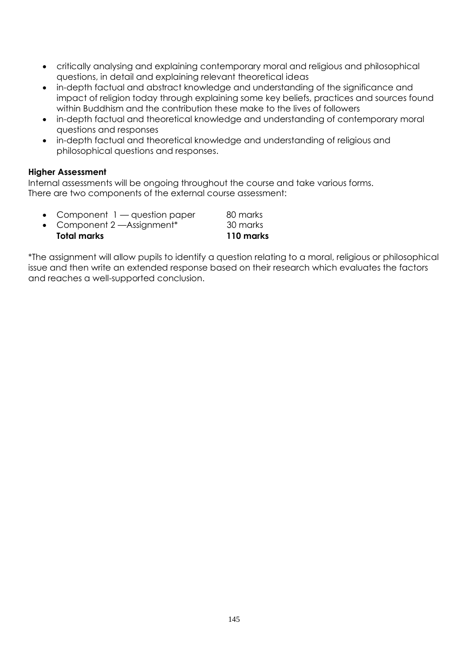- critically analysing and explaining contemporary moral and religious and philosophical questions, in detail and explaining relevant theoretical ideas
- in-depth factual and abstract knowledge and understanding of the significance and impact of religion today through explaining some key beliefs, practices and sources found within Buddhism and the contribution these make to the lives of followers
- in-depth factual and theoretical knowledge and understanding of contemporary moral questions and responses
- in-depth factual and theoretical knowledge and understanding of religious and philosophical questions and responses.

## **Higher Assessment**

Internal assessments will be ongoing throughout the course and take various forms. There are two components of the external course assessment:

| Total marks                      | 110 marks |
|----------------------------------|-----------|
| • Component 2 — Assignment*      | 30 marks  |
| • Component $1$ — question paper | 80 marks  |

\*The assignment will allow pupils to identify a question relating to a moral, religious or philosophical issue and then write an extended response based on their research which evaluates the factors and reaches a well-supported conclusion.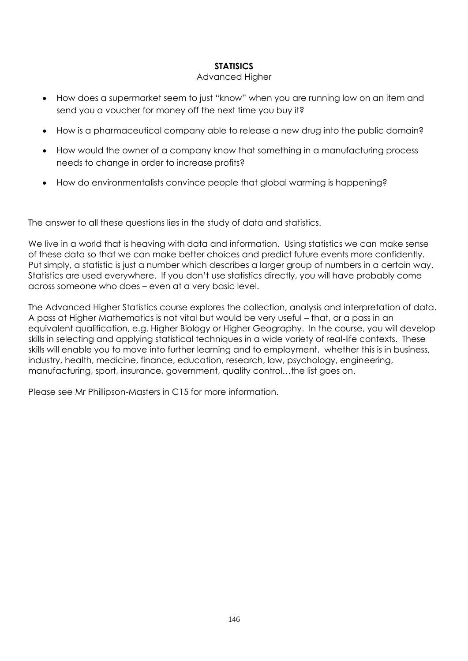# **STATISICS**

### Advanced Higher

- How does a supermarket seem to just "know" when you are running low on an item and send you a voucher for money off the next time you buy it?
- How is a pharmaceutical company able to release a new drug into the public domain?
- How would the owner of a company know that something in a manufacturing process needs to change in order to increase profits?
- How do environmentalists convince people that global warming is happening?

The answer to all these questions lies in the study of data and statistics.

We live in a world that is heaving with data and information. Using statistics we can make sense of these data so that we can make better choices and predict future events more confidently. Put simply, a statistic is just a number which describes a larger group of numbers in a certain way. Statistics are used everywhere. If you don't use statistics directly, you will have probably come across someone who does – even at a very basic level.

The Advanced Higher Statistics course explores the collection, analysis and interpretation of data. A pass at Higher Mathematics is not vital but would be very useful – that, or a pass in an equivalent qualification, e.g. Higher Biology or Higher Geography. In the course, you will develop skills in selecting and applying statistical techniques in a wide variety of real-life contexts. These skills will enable you to move into further learning and to employment, whether this is in business, industry, health, medicine, finance, education, research, law, psychology, engineering, manufacturing, sport, insurance, government, quality control…the list goes on.

Please see Mr Phillipson-Masters in C15 for more information.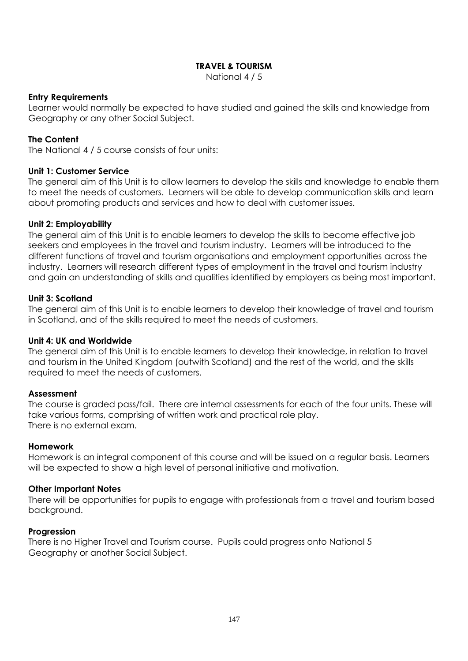## **TRAVEL & TOURISM**

National 4 / 5

#### **Entry Requirements**

Learner would normally be expected to have studied and gained the skills and knowledge from Geography or any other Social Subject.

#### **The Content**

The National 4 / 5 course consists of four units:

#### **Unit 1: Customer Service**

The general aim of this Unit is to allow learners to develop the skills and knowledge to enable them to meet the needs of customers. Learners will be able to develop communication skills and learn about promoting products and services and how to deal with customer issues.

#### **Unit 2: Employability**

The general aim of this Unit is to enable learners to develop the skills to become effective job seekers and employees in the travel and tourism industry. Learners will be introduced to the different functions of travel and tourism organisations and employment opportunities across the industry. Learners will research different types of employment in the travel and tourism industry and gain an understanding of skills and qualities identified by employers as being most important.

#### **Unit 3: Scotland**

The general aim of this Unit is to enable learners to develop their knowledge of travel and tourism in Scotland, and of the skills required to meet the needs of customers.

#### **Unit 4: UK and Worldwide**

The general aim of this Unit is to enable learners to develop their knowledge, in relation to travel and tourism in the United Kingdom (outwith Scotland) and the rest of the world, and the skills required to meet the needs of customers.

#### **Assessment**

The course is graded pass/fail. There are internal assessments for each of the four units. These will take various forms, comprising of written work and practical role play. There is no external exam.

#### **Homework**

Homework is an integral component of this course and will be issued on a regular basis. Learners will be expected to show a high level of personal initiative and motivation.

#### **Other Important Notes**

There will be opportunities for pupils to engage with professionals from a travel and tourism based background.

#### **Progression**

There is no Higher Travel and Tourism course. Pupils could progress onto National 5 Geography or another Social Subject.